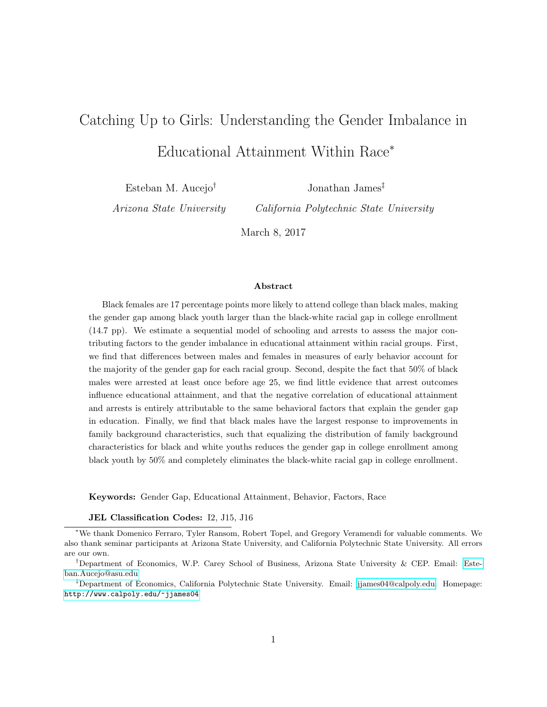# Catching Up to Girls: Understanding the Gender Imbalance in Educational Attainment Within Race<sup>∗</sup>

Esteban M. Aucejo†

Jonathan James‡

Arizona State University

California Polytechnic State University

March 8, 2017

#### Abstract

Black females are 17 percentage points more likely to attend college than black males, making the gender gap among black youth larger than the black-white racial gap in college enrollment (14.7 pp). We estimate a sequential model of schooling and arrests to assess the major contributing factors to the gender imbalance in educational attainment within racial groups. First, we find that differences between males and females in measures of early behavior account for the majority of the gender gap for each racial group. Second, despite the fact that 50% of black males were arrested at least once before age 25, we find little evidence that arrest outcomes influence educational attainment, and that the negative correlation of educational attainment and arrests is entirely attributable to the same behavioral factors that explain the gender gap in education. Finally, we find that black males have the largest response to improvements in family background characteristics, such that equalizing the distribution of family background characteristics for black and white youths reduces the gender gap in college enrollment among black youth by 50% and completely eliminates the black-white racial gap in college enrollment.

Keywords: Gender Gap, Educational Attainment, Behavior, Factors, Race

JEL Classification Codes: I2, J15, J16

<sup>∗</sup>We thank Domenico Ferraro, Tyler Ransom, Robert Topel, and Gregory Veramendi for valuable comments. We also thank seminar participants at Arizona State University, and California Polytechnic State University. All errors are our own.

<sup>†</sup>Department of Economics, W.P. Carey School of Business, Arizona State University & CEP. Email: [Este](mailto:Esteban.Aucejo@asu.edu)[ban.Aucejo@asu.edu](mailto:Esteban.Aucejo@asu.edu)

<sup>‡</sup>Department of Economics, California Polytechnic State University. Email: [jjames04@calpoly.edu.](mailto:jjames04@calpoly.edu) Homepage: <http://www.calpoly.edu/~jjames04>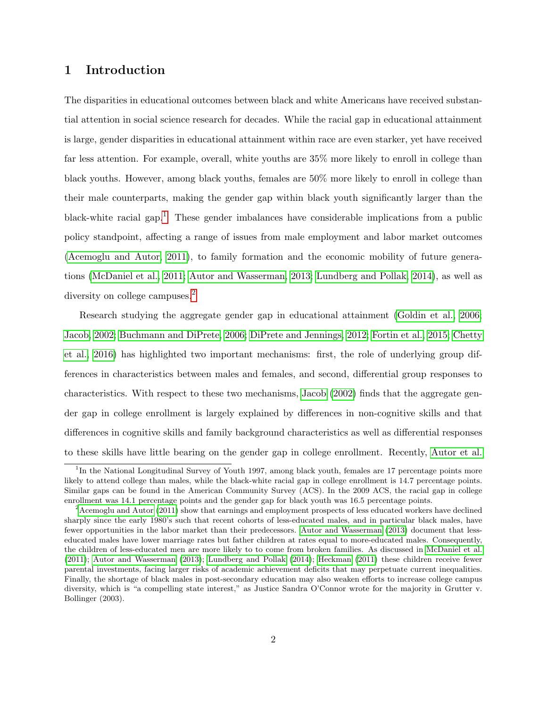# 1 Introduction

The disparities in educational outcomes between black and white Americans have received substantial attention in social science research for decades. While the racial gap in educational attainment is large, gender disparities in educational attainment within race are even starker, yet have received far less attention. For example, overall, white youths are 35% more likely to enroll in college than black youths. However, among black youths, females are 50% more likely to enroll in college than their male counterparts, making the gender gap within black youth significantly larger than the black-white racial gap.<sup>[1](#page-1-0)</sup> These gender imbalances have considerable implications from a public policy standpoint, affecting a range of issues from male employment and labor market outcomes [\(Acemoglu and Autor, 2011\)](#page-51-0), to family formation and the economic mobility of future generations [\(McDaniel et al., 2011;](#page-54-0) [Autor and Wasserman, 2013;](#page-51-1) [Lundberg and Pollak, 2014\)](#page-54-1), as well as diversity on college campuses.<sup>[2](#page-1-1)</sup>

Research studying the aggregate gender gap in educational attainment [\(Goldin et al., 2006;](#page-53-0) [Jacob, 2002;](#page-53-1) [Buchmann and DiPrete, 2006;](#page-52-0) [DiPrete and Jennings, 2012;](#page-52-1) [Fortin et al., 2015;](#page-52-2) [Chetty](#page-52-3) [et al., 2016\)](#page-52-3) has highlighted two important mechanisms: first, the role of underlying group differences in characteristics between males and females, and second, differential group responses to characteristics. With respect to these two mechanisms, [Jacob](#page-53-1) [\(2002\)](#page-53-1) finds that the aggregate gender gap in college enrollment is largely explained by differences in non-cognitive skills and that differences in cognitive skills and family background characteristics as well as differential responses to these skills have little bearing on the gender gap in college enrollment. Recently, [Autor et al.](#page-51-2)

<span id="page-1-0"></span><sup>&</sup>lt;sup>1</sup>In the National Longitudinal Survey of Youth 1997, among black youth, females are 17 percentage points more likely to attend college than males, while the black-white racial gap in college enrollment is 14.7 percentage points. Similar gaps can be found in the American Community Survey (ACS). In the 2009 ACS, the racial gap in college enrollment was 14.1 percentage points and the gender gap for black youth was 16.5 percentage points.

<span id="page-1-1"></span><sup>&</sup>lt;sup>2</sup>[Acemoglu and Autor](#page-51-0) [\(2011\)](#page-51-0) show that earnings and employment prospects of less educated workers have declined sharply since the early 1980's such that recent cohorts of less-educated males, and in particular black males, have fewer opportunities in the labor market than their predecessors. [Autor and Wasserman](#page-51-1) [\(2013\)](#page-51-1) document that lesseducated males have lower marriage rates but father children at rates equal to more-educated males. Consequently, the children of less-educated men are more likely to to come from broken families. As discussed in [McDaniel et al.](#page-54-0) [\(2011\)](#page-54-0); [Autor and Wasserman](#page-51-1) [\(2013\)](#page-51-1); [Lundberg and Pollak](#page-54-1) [\(2014\)](#page-54-1); [Heckman](#page-53-2) [\(2011\)](#page-53-2) these children receive fewer parental investments, facing larger risks of academic achievement deficits that may perpetuate current inequalities. Finally, the shortage of black males in post-secondary education may also weaken efforts to increase college campus diversity, which is "a compelling state interest," as Justice Sandra O'Connor wrote for the majority in Grutter v. Bollinger (2003).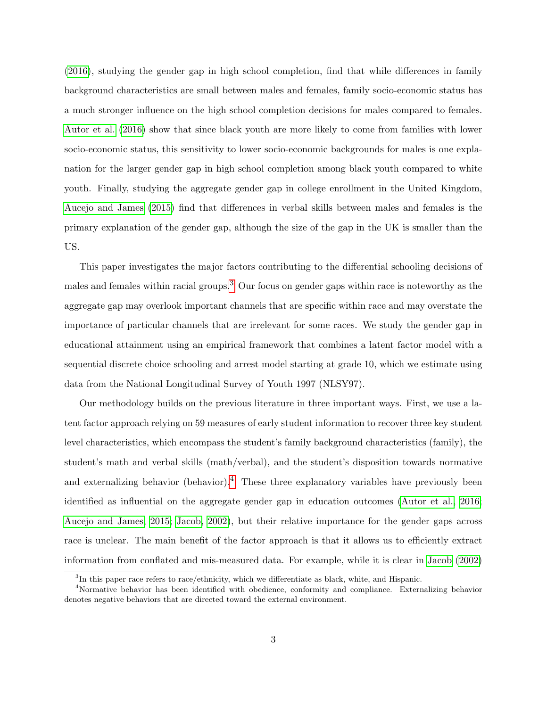[\(2016\)](#page-51-2), studying the gender gap in high school completion, find that while differences in family background characteristics are small between males and females, family socio-economic status has a much stronger influence on the high school completion decisions for males compared to females. [Autor et al.](#page-51-2) [\(2016\)](#page-51-2) show that since black youth are more likely to come from families with lower socio-economic status, this sensitivity to lower socio-economic backgrounds for males is one explanation for the larger gender gap in high school completion among black youth compared to white youth. Finally, studying the aggregate gender gap in college enrollment in the United Kingdom, [Aucejo and James](#page-51-3) [\(2015\)](#page-51-3) find that differences in verbal skills between males and females is the primary explanation of the gender gap, although the size of the gap in the UK is smaller than the US.

This paper investigates the major factors contributing to the differential schooling decisions of males and females within racial groups.<sup>[3](#page-2-0)</sup> Our focus on gender gaps within race is noteworthy as the aggregate gap may overlook important channels that are specific within race and may overstate the importance of particular channels that are irrelevant for some races. We study the gender gap in educational attainment using an empirical framework that combines a latent factor model with a sequential discrete choice schooling and arrest model starting at grade 10, which we estimate using data from the National Longitudinal Survey of Youth 1997 (NLSY97).

Our methodology builds on the previous literature in three important ways. First, we use a latent factor approach relying on 59 measures of early student information to recover three key student level characteristics, which encompass the student's family background characteristics (family), the student's math and verbal skills (math/verbal), and the student's disposition towards normative and externalizing behavior (behavior).<sup>[4](#page-2-1)</sup> These three explanatory variables have previously been identified as influential on the aggregate gender gap in education outcomes [\(Autor et al., 2016;](#page-51-2) [Aucejo and James, 2015;](#page-51-3) [Jacob, 2002\)](#page-53-1), but their relative importance for the gender gaps across race is unclear. The main benefit of the factor approach is that it allows us to efficiently extract information from conflated and mis-measured data. For example, while it is clear in [Jacob](#page-53-1) [\(2002\)](#page-53-1)

<span id="page-2-1"></span><span id="page-2-0"></span> ${}^{3}$ In this paper race refers to race/ethnicity, which we differentiate as black, white, and Hispanic.

<sup>4</sup>Normative behavior has been identified with obedience, conformity and compliance. Externalizing behavior denotes negative behaviors that are directed toward the external environment.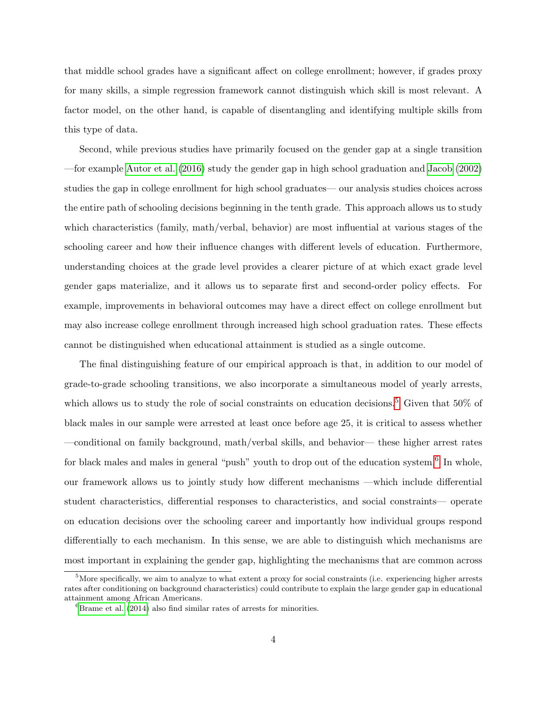that middle school grades have a significant affect on college enrollment; however, if grades proxy for many skills, a simple regression framework cannot distinguish which skill is most relevant. A factor model, on the other hand, is capable of disentangling and identifying multiple skills from this type of data.

Second, while previous studies have primarily focused on the gender gap at a single transition —for example [Autor et al.](#page-51-2) [\(2016\)](#page-51-2) study the gender gap in high school graduation and [Jacob](#page-53-1) [\(2002\)](#page-53-1) studies the gap in college enrollment for high school graduates— our analysis studies choices across the entire path of schooling decisions beginning in the tenth grade. This approach allows us to study which characteristics (family, math/verbal, behavior) are most influential at various stages of the schooling career and how their influence changes with different levels of education. Furthermore, understanding choices at the grade level provides a clearer picture of at which exact grade level gender gaps materialize, and it allows us to separate first and second-order policy effects. For example, improvements in behavioral outcomes may have a direct effect on college enrollment but may also increase college enrollment through increased high school graduation rates. These effects cannot be distinguished when educational attainment is studied as a single outcome.

The final distinguishing feature of our empirical approach is that, in addition to our model of grade-to-grade schooling transitions, we also incorporate a simultaneous model of yearly arrests, which allows us to study the role of social constraints on education decisions.<sup>[5](#page-3-0)</sup> Given that 50% of black males in our sample were arrested at least once before age 25, it is critical to assess whether —conditional on family background, math/verbal skills, and behavior— these higher arrest rates for black males and males in general "push" youth to drop out of the education system.<sup>[6](#page-3-1)</sup> In whole, our framework allows us to jointly study how different mechanisms —which include differential student characteristics, differential responses to characteristics, and social constraints— operate on education decisions over the schooling career and importantly how individual groups respond differentially to each mechanism. In this sense, we are able to distinguish which mechanisms are most important in explaining the gender gap, highlighting the mechanisms that are common across

<span id="page-3-0"></span> $<sup>5</sup>$  More specifically, we aim to analyze to what extent a proxy for social constraints (i.e. experiencing higher arrests</sup> rates after conditioning on background characteristics) could contribute to explain the large gender gap in educational attainment among African Americans.

<span id="page-3-1"></span> ${}^{6}$ [Brame et al.](#page-51-4) [\(2014\)](#page-51-4) also find similar rates of arrests for minorities.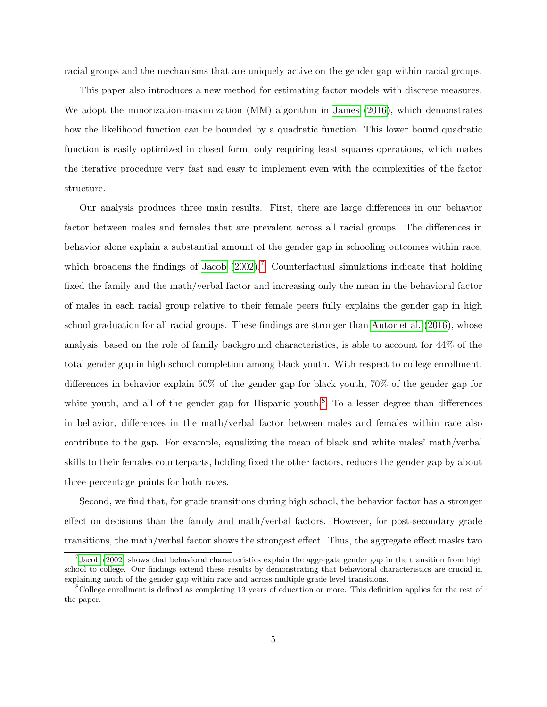racial groups and the mechanisms that are uniquely active on the gender gap within racial groups.

This paper also introduces a new method for estimating factor models with discrete measures. We adopt the minorization-maximization (MM) algorithm in [James](#page-53-3) [\(2016\)](#page-53-3), which demonstrates how the likelihood function can be bounded by a quadratic function. This lower bound quadratic function is easily optimized in closed form, only requiring least squares operations, which makes the iterative procedure very fast and easy to implement even with the complexities of the factor structure.

Our analysis produces three main results. First, there are large differences in our behavior factor between males and females that are prevalent across all racial groups. The differences in behavior alone explain a substantial amount of the gender gap in schooling outcomes within race, which broadens the findings of [Jacob](#page-53-1)  $(2002)$ .<sup>[7](#page-4-0)</sup> Counterfactual simulations indicate that holding fixed the family and the math/verbal factor and increasing only the mean in the behavioral factor of males in each racial group relative to their female peers fully explains the gender gap in high school graduation for all racial groups. These findings are stronger than [Autor et al.](#page-51-2) [\(2016\)](#page-51-2), whose analysis, based on the role of family background characteristics, is able to account for 44% of the total gender gap in high school completion among black youth. With respect to college enrollment, differences in behavior explain 50% of the gender gap for black youth, 70% of the gender gap for white youth, and all of the gender gap for Hispanic youth.<sup>[8](#page-4-1)</sup> To a lesser degree than differences in behavior, differences in the math/verbal factor between males and females within race also contribute to the gap. For example, equalizing the mean of black and white males' math/verbal skills to their females counterparts, holding fixed the other factors, reduces the gender gap by about three percentage points for both races.

Second, we find that, for grade transitions during high school, the behavior factor has a stronger effect on decisions than the family and math/verbal factors. However, for post-secondary grade transitions, the math/verbal factor shows the strongest effect. Thus, the aggregate effect masks two

<span id="page-4-0"></span> $<sup>7</sup>$  [Jacob](#page-53-1) [\(2002\)](#page-53-1) shows that behavioral characteristics explain the aggregate gender gap in the transition from high</sup> school to college. Our findings extend these results by demonstrating that behavioral characteristics are crucial in explaining much of the gender gap within race and across multiple grade level transitions.

<span id="page-4-1"></span> ${}^8$ College enrollment is defined as completing 13 years of education or more. This definition applies for the rest of the paper.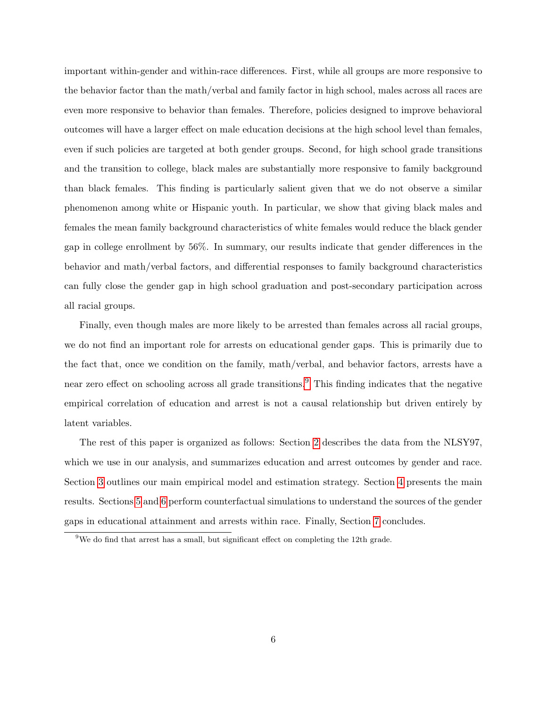important within-gender and within-race differences. First, while all groups are more responsive to the behavior factor than the math/verbal and family factor in high school, males across all races are even more responsive to behavior than females. Therefore, policies designed to improve behavioral outcomes will have a larger effect on male education decisions at the high school level than females, even if such policies are targeted at both gender groups. Second, for high school grade transitions and the transition to college, black males are substantially more responsive to family background than black females. This finding is particularly salient given that we do not observe a similar phenomenon among white or Hispanic youth. In particular, we show that giving black males and females the mean family background characteristics of white females would reduce the black gender gap in college enrollment by 56%. In summary, our results indicate that gender differences in the behavior and math/verbal factors, and differential responses to family background characteristics can fully close the gender gap in high school graduation and post-secondary participation across all racial groups.

Finally, even though males are more likely to be arrested than females across all racial groups, we do not find an important role for arrests on educational gender gaps. This is primarily due to the fact that, once we condition on the family, math/verbal, and behavior factors, arrests have a near zero effect on schooling across all grade transitions.<sup>[9](#page-5-0)</sup> This finding indicates that the negative empirical correlation of education and arrest is not a causal relationship but driven entirely by latent variables.

The rest of this paper is organized as follows: Section [2](#page-6-0) describes the data from the NLSY97, which we use in our analysis, and summarizes education and arrest outcomes by gender and race. Section [3](#page-18-0) outlines our main empirical model and estimation strategy. Section [4](#page-26-0) presents the main results. Sections [5](#page-40-0) and [6](#page-47-0) perform counterfactual simulations to understand the sources of the gender gaps in educational attainment and arrests within race. Finally, Section [7](#page-49-0) concludes.

<span id="page-5-0"></span> $9$ We do find that arrest has a small, but significant effect on completing the 12th grade.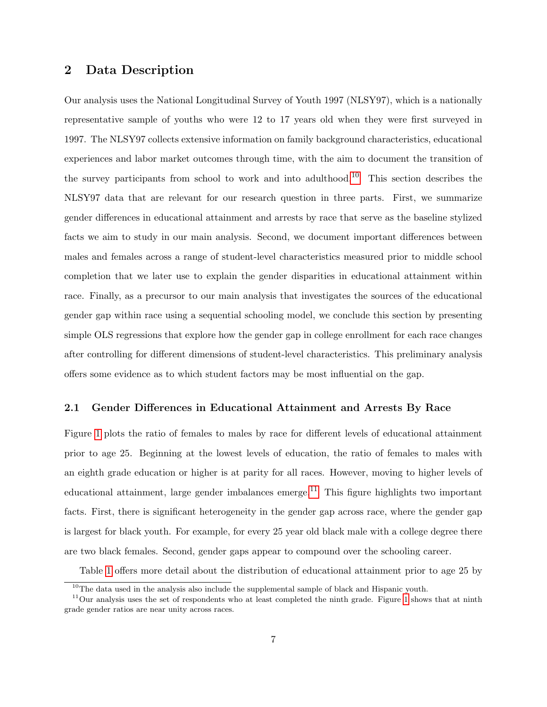# <span id="page-6-0"></span>2 Data Description

Our analysis uses the National Longitudinal Survey of Youth 1997 (NLSY97), which is a nationally representative sample of youths who were 12 to 17 years old when they were first surveyed in 1997. The NLSY97 collects extensive information on family background characteristics, educational experiences and labor market outcomes through time, with the aim to document the transition of the survey participants from school to work and into adulthood.<sup>[10](#page-6-1)</sup> This section describes the NLSY97 data that are relevant for our research question in three parts. First, we summarize gender differences in educational attainment and arrests by race that serve as the baseline stylized facts we aim to study in our main analysis. Second, we document important differences between males and females across a range of student-level characteristics measured prior to middle school completion that we later use to explain the gender disparities in educational attainment within race. Finally, as a precursor to our main analysis that investigates the sources of the educational gender gap within race using a sequential schooling model, we conclude this section by presenting simple OLS regressions that explore how the gender gap in college enrollment for each race changes after controlling for different dimensions of student-level characteristics. This preliminary analysis offers some evidence as to which student factors may be most influential on the gap.

## 2.1 Gender Differences in Educational Attainment and Arrests By Race

Figure [1](#page-7-0) plots the ratio of females to males by race for different levels of educational attainment prior to age 25. Beginning at the lowest levels of education, the ratio of females to males with an eighth grade education or higher is at parity for all races. However, moving to higher levels of educational attainment, large gender imbalances emerge.<sup>[11](#page-6-2)</sup> This figure highlights two important facts. First, there is significant heterogeneity in the gender gap across race, where the gender gap is largest for black youth. For example, for every 25 year old black male with a college degree there are two black females. Second, gender gaps appear to compound over the schooling career.

Table [1](#page-8-0) offers more detail about the distribution of educational attainment prior to age 25 by

<span id="page-6-2"></span><span id="page-6-1"></span> $10$ The data used in the analysis also include the supplemental sample of black and Hispanic youth.

 $11$ Our analysis uses the set of respondents who at least completed the ninth grade. Figure [1](#page-7-0) shows that at ninth grade gender ratios are near unity across races.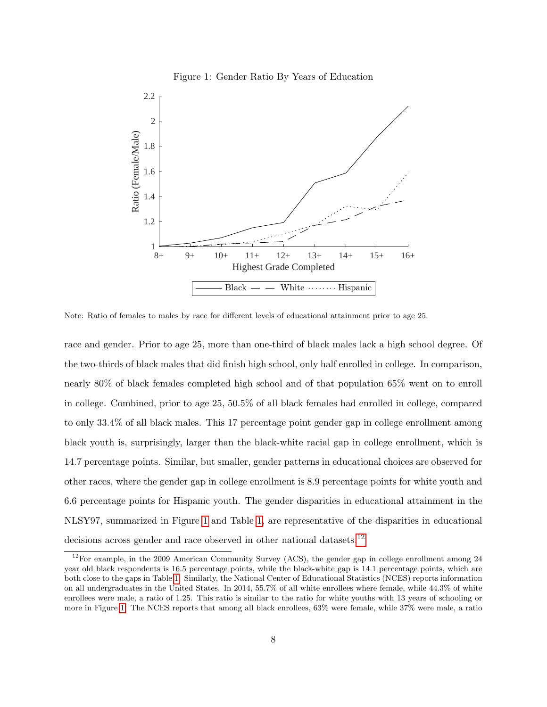#### <span id="page-7-0"></span>Figure 1: Gender Ratio By Years of Education



Note: Ratio of females to males by race for different levels of educational attainment prior to age 25.

race and gender. Prior to age 25, more than one-third of black males lack a high school degree. Of the two-thirds of black males that did finish high school, only half enrolled in college. In comparison, nearly 80% of black females completed high school and of that population 65% went on to enroll in college. Combined, prior to age 25, 50.5% of all black females had enrolled in college, compared to only 33.4% of all black males. This 17 percentage point gender gap in college enrollment among black youth is, surprisingly, larger than the black-white racial gap in college enrollment, which is 14.7 percentage points. Similar, but smaller, gender patterns in educational choices are observed for other races, where the gender gap in college enrollment is 8.9 percentage points for white youth and 6.6 percentage points for Hispanic youth. The gender disparities in educational attainment in the NLSY97, summarized in Figure [1](#page-7-0) and Table [1,](#page-8-0) are representative of the disparities in educational decisions across gender and race observed in other national datasets.<sup>[12](#page-7-1)</sup>

<span id="page-7-1"></span> $12$ For example, in the 2009 American Community Survey (ACS), the gender gap in college enrollment among 24 year old black respondents is 16.5 percentage points, while the black-white gap is 14.1 percentage points, which are both close to the gaps in Table [1.](#page-8-0) Similarly, the National Center of Educational Statistics (NCES) reports information on all undergraduates in the United States. In 2014, 55.7% of all white enrollees where female, while 44.3% of white enrollees were male, a ratio of 1.25. This ratio is similar to the ratio for white youths with 13 years of schooling or more in Figure [1.](#page-7-0) The NCES reports that among all black enrollees, 63% were female, while 37% were male, a ratio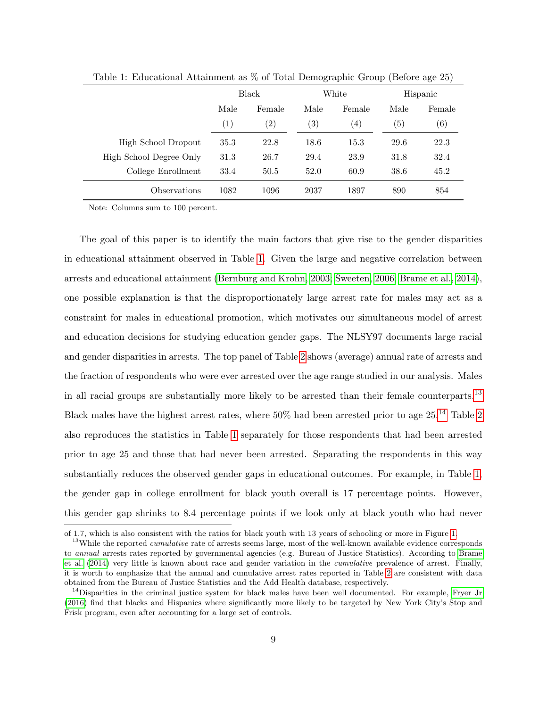|                         | Black             |                   | White             |                   | Hispanic |                  |
|-------------------------|-------------------|-------------------|-------------------|-------------------|----------|------------------|
|                         | Male<br>Female    |                   | Male              | Female            | Male     | Female           |
|                         | $\left( 1\right)$ | $\left( 2\right)$ | $\left( 3\right)$ | $\left( 4\right)$ | (5)      | $\left(6\right)$ |
| High School Dropout     | 35.3              | 22.8              | 18.6              | 15.3              | 29.6     | 22.3             |
| High School Degree Only | 31.3              | 26.7              | 29.4              | 23.9              | 31.8     | 32.4             |
| College Enrollment      | 33.4              | 50.5              | 52.0              | 60.9              | 38.6     | 45.2             |
| Observations            | 1082              | 1096              | 2037              | 1897              | 890      | 854              |

<span id="page-8-0"></span>Table 1: Educational Attainment as % of Total Demographic Group (Before age 25)

Note: Columns sum to 100 percent.

The goal of this paper is to identify the main factors that give rise to the gender disparities in educational attainment observed in Table [1.](#page-8-0) Given the large and negative correlation between arrests and educational attainment [\(Bernburg and Krohn, 2003;](#page-51-5) [Sweeten, 2006;](#page-54-2) [Brame et al., 2014\)](#page-51-4), one possible explanation is that the disproportionately large arrest rate for males may act as a constraint for males in educational promotion, which motivates our simultaneous model of arrest and education decisions for studying education gender gaps. The NLSY97 documents large racial and gender disparities in arrests. The top panel of Table [2](#page-9-0) shows (average) annual rate of arrests and the fraction of respondents who were ever arrested over the age range studied in our analysis. Males in all racial groups are substantially more likely to be arrested than their female counterparts.<sup>[13](#page-8-1)</sup> Black males have the highest arrest rates, where 50% had been arrested prior to age 25.[14](#page-8-2) Table [2](#page-9-0) also reproduces the statistics in Table [1](#page-8-0) separately for those respondents that had been arrested prior to age 25 and those that had never been arrested. Separating the respondents in this way substantially reduces the observed gender gaps in educational outcomes. For example, in Table [1,](#page-8-0) the gender gap in college enrollment for black youth overall is 17 percentage points. However, this gender gap shrinks to 8.4 percentage points if we look only at black youth who had never

of 1.7, which is also consistent with the ratios for black youth with 13 years of schooling or more in Figure [1.](#page-7-0)

<span id="page-8-1"></span><sup>&</sup>lt;sup>13</sup>While the reported *cumulative* rate of arrests seems large, most of the well-known available evidence corresponds to annual arrests rates reported by governmental agencies (e.g. Bureau of Justice Statistics). According to [Brame](#page-51-4) [et al.](#page-51-4) [\(2014\)](#page-51-4) very little is known about race and gender variation in the cumulative prevalence of arrest. Finally, it is worth to emphasize that the annual and cumulative arrest rates reported in Table [2](#page-9-0) are consistent with data obtained from the Bureau of Justice Statistics and the Add Health database, respectively.

<span id="page-8-2"></span><sup>&</sup>lt;sup>14</sup>Disparities in the criminal justice system for black males have been well documented. For example, [Fryer Jr](#page-52-4) [\(2016\)](#page-52-4) find that blacks and Hispanics where significantly more likely to be targeted by New York City's Stop and Frisk program, even after accounting for a large set of controls.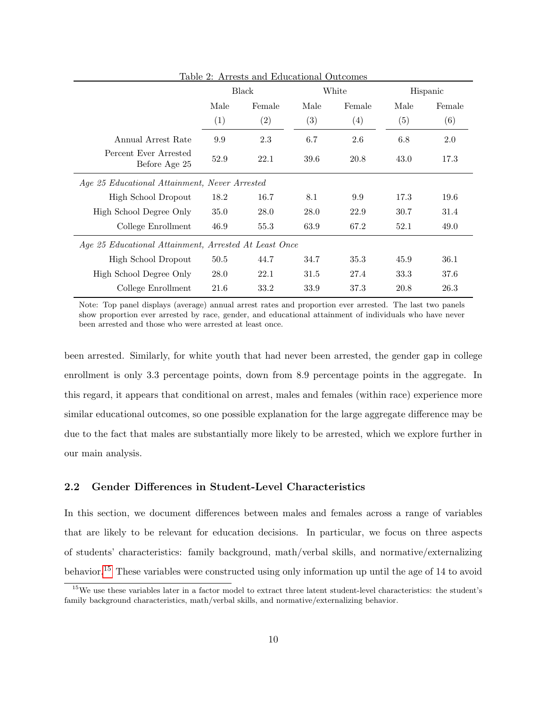|                                               |                                                       | Table 2. Arrests and Equicational Outcomes |      |        |      |          |  |  |
|-----------------------------------------------|-------------------------------------------------------|--------------------------------------------|------|--------|------|----------|--|--|
|                                               | Black                                                 |                                            |      | White  |      | Hispanic |  |  |
|                                               | Male                                                  | Female                                     | Male | Female | Male | Female   |  |  |
|                                               | (1)                                                   | (2)                                        | (3)  | (4)    | (5)  | (6)      |  |  |
| Annual Arrest Rate                            | 9.9                                                   | 2.3                                        | 6.7  | 2.6    | 6.8  | 2.0      |  |  |
| Percent Ever Arrested<br>Before Age 25        | 52.9                                                  | 22.1                                       | 39.6 | 20.8   | 43.0 | 17.3     |  |  |
| Age 25 Educational Attainment, Never Arrested |                                                       |                                            |      |        |      |          |  |  |
| High School Dropout                           | 18.2                                                  | 16.7                                       | 8.1  | 9.9    | 17.3 | 19.6     |  |  |
| High School Degree Only                       | 35.0                                                  | 28.0                                       | 28.0 | 22.9   | 30.7 | 31.4     |  |  |
| College Enrollment                            | 46.9                                                  | 55.3                                       | 63.9 | 67.2   | 52.1 | 49.0     |  |  |
|                                               | Age 25 Educational Attainment, Arrested At Least Once |                                            |      |        |      |          |  |  |
| High School Dropout                           | 50.5                                                  | 44.7                                       | 34.7 | 35.3   | 45.9 | 36.1     |  |  |
| High School Degree Only                       | 28.0                                                  | 22.1                                       | 31.5 | 27.4   | 33.3 | 37.6     |  |  |
| College Enrollment                            | 21.6                                                  | 33.2                                       | 33.9 | 37.3   | 20.8 | 26.3     |  |  |

<span id="page-9-0"></span>Table 2: Arrests and Educational Outcomes

Note: Top panel displays (average) annual arrest rates and proportion ever arrested. The last two panels show proportion ever arrested by race, gender, and educational attainment of individuals who have never been arrested and those who were arrested at least once.

been arrested. Similarly, for white youth that had never been arrested, the gender gap in college enrollment is only 3.3 percentage points, down from 8.9 percentage points in the aggregate. In this regard, it appears that conditional on arrest, males and females (within race) experience more similar educational outcomes, so one possible explanation for the large aggregate difference may be due to the fact that males are substantially more likely to be arrested, which we explore further in our main analysis.

## 2.2 Gender Differences in Student-Level Characteristics

In this section, we document differences between males and females across a range of variables that are likely to be relevant for education decisions. In particular, we focus on three aspects of students' characteristics: family background, math/verbal skills, and normative/externalizing behavior.[15](#page-9-1) These variables were constructed using only information up until the age of 14 to avoid

<span id="page-9-1"></span> $15$ We use these variables later in a factor model to extract three latent student-level characteristics: the student's family background characteristics, math/verbal skills, and normative/externalizing behavior.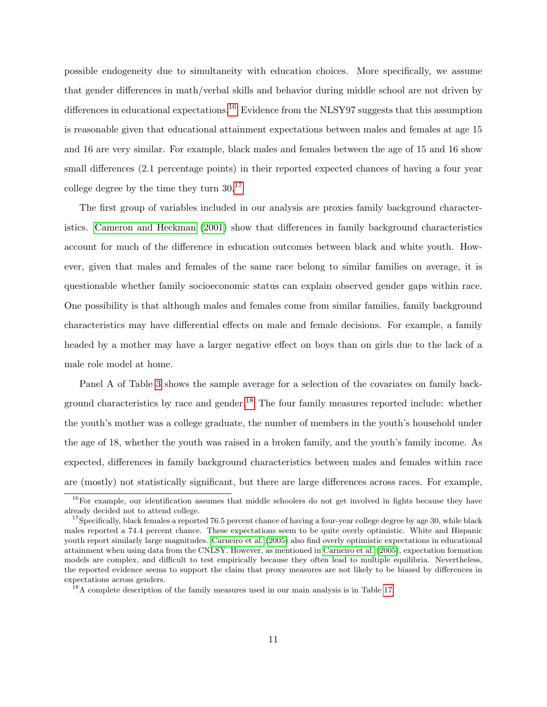possible endogeneity due to simultaneity with education choices. More specifically, we assume that gender differences in math/verbal skills and behavior during middle school are not driven by differences in educational expectations.<sup>[16](#page-10-0)</sup> Evidence from the NLSY97 suggests that this assumption is reasonable given that educational attainment expectations between males and females at age 15 and 16 are very similar. For example, black males and females between the age of 15 and 16 show small differences (2.1 percentage points) in their reported expected chances of having a four year college degree by the time they turn 30.[17](#page-10-1)

The first group of variables included in our analysis are proxies family background characteristics. [Cameron and Heckman](#page-52-5) [\(2001\)](#page-52-5) show that differences in family background characteristics account for much of the difference in education outcomes between black and white youth. However, given that males and females of the same race belong to similar families on average, it is questionable whether family socioeconomic status can explain observed gender gaps within race. One possibility is that although males and females come from similar families, family background characteristics may have differential effects on male and female decisions. For example, a family headed by a mother may have a larger negative effect on boys than on girls due to the lack of a male role model at home.

Panel A of Table [3](#page-12-0) shows the sample average for a selection of the covariates on family back-ground characteristics by race and gender.<sup>[18](#page-10-2)</sup> The four family measures reported include: whether the youth's mother was a college graduate, the number of members in the youth's household under the age of 18, whether the youth was raised in a broken family, and the youth's family income. As expected, differences in family background characteristics between males and females within race are (mostly) not statistically significant, but there are large differences across races. For example,

<span id="page-10-0"></span><sup>&</sup>lt;sup>16</sup>For example, our identification assumes that middle schoolers do not get involved in fights because they have already decided not to attend college.

<span id="page-10-1"></span> $17$ Specifically, black females a reported 76.5 percent chance of having a four-year college degree by age 30, while black males reported a 74.4 percent chance. These expectations seem to be quite overly optimistic. White and Hispanic youth report similarly large magnitudes. [Carneiro et al.](#page-52-6) [\(2005\)](#page-52-6) also find overly optimistic expectations in educational attainment when using data from the CNLSY. However, as mentioned in [Carneiro et al.](#page-52-6) [\(2005\)](#page-52-6), expectation formation models are complex, and difficult to test empirically because they often lead to multiple equilibria. Nevertheless, the reported evidence seems to support the claim that proxy measures are not likely to be biased by differences in expectations across genders.

<span id="page-10-2"></span><sup>&</sup>lt;sup>18</sup>A complete description of the family measures used in our main analysis is in Table [17.](#page-57-0)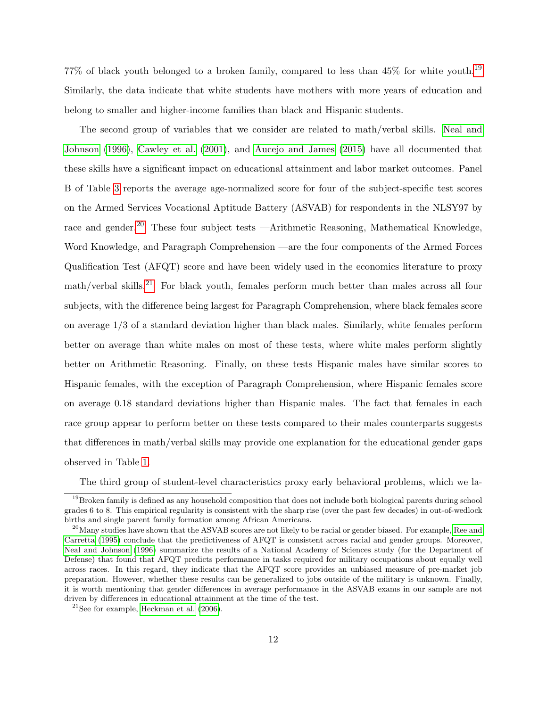77% of black youth belonged to a broken family, compared to less than 45% for white youth.[19](#page-11-0) Similarly, the data indicate that white students have mothers with more years of education and belong to smaller and higher-income families than black and Hispanic students.

The second group of variables that we consider are related to math/verbal skills. [Neal and](#page-54-3) [Johnson](#page-54-3) [\(1996\)](#page-54-3), [Cawley et al.](#page-52-7) [\(2001\)](#page-52-7), and [Aucejo and James](#page-51-3) [\(2015\)](#page-51-3) have all documented that these skills have a significant impact on educational attainment and labor market outcomes. Panel B of Table [3](#page-12-0) reports the average age-normalized score for four of the subject-specific test scores on the Armed Services Vocational Aptitude Battery (ASVAB) for respondents in the NLSY97 by race and gender.<sup>[20](#page-11-1)</sup> These four subject tests —Arithmetic Reasoning, Mathematical Knowledge, Word Knowledge, and Paragraph Comprehension —are the four components of the Armed Forces Qualification Test (AFQT) score and have been widely used in the economics literature to proxy  $\text{math}/\text{verbal skills}^{21}$  $\text{math}/\text{verbal skills}^{21}$  $\text{math}/\text{verbal skills}^{21}$  For black youth, females perform much better than males across all four subjects, with the difference being largest for Paragraph Comprehension, where black females score on average 1/3 of a standard deviation higher than black males. Similarly, white females perform better on average than white males on most of these tests, where white males perform slightly better on Arithmetic Reasoning. Finally, on these tests Hispanic males have similar scores to Hispanic females, with the exception of Paragraph Comprehension, where Hispanic females score on average 0.18 standard deviations higher than Hispanic males. The fact that females in each race group appear to perform better on these tests compared to their males counterparts suggests that differences in math/verbal skills may provide one explanation for the educational gender gaps observed in Table [1.](#page-8-0)

The third group of student-level characteristics proxy early behavioral problems, which we la-

<span id="page-11-0"></span> $19$ Broken family is defined as any household composition that does not include both biological parents during school grades 6 to 8. This empirical regularity is consistent with the sharp rise (over the past few decades) in out-of-wedlock births and single parent family formation among African Americans.

<span id="page-11-1"></span> $^{20}$ Many studies have shown that the ASVAB scores are not likely to be racial or gender biased. For example, [Ree and](#page-54-4) [Carretta](#page-54-4) [\(1995\)](#page-54-4) conclude that the predictiveness of AFQT is consistent across racial and gender groups. Moreover, [Neal and Johnson](#page-54-3) [\(1996\)](#page-54-3) summarize the results of a National Academy of Sciences study (for the Department of Defense) that found that AFQT predicts performance in tasks required for military occupations about equally well across races. In this regard, they indicate that the AFQT score provides an unbiased measure of pre-market job preparation. However, whether these results can be generalized to jobs outside of the military is unknown. Finally, it is worth mentioning that gender differences in average performance in the ASVAB exams in our sample are not driven by differences in educational attainment at the time of the test.

<span id="page-11-2"></span> $21$ See for example, [Heckman et al.](#page-53-4)  $(2006)$ .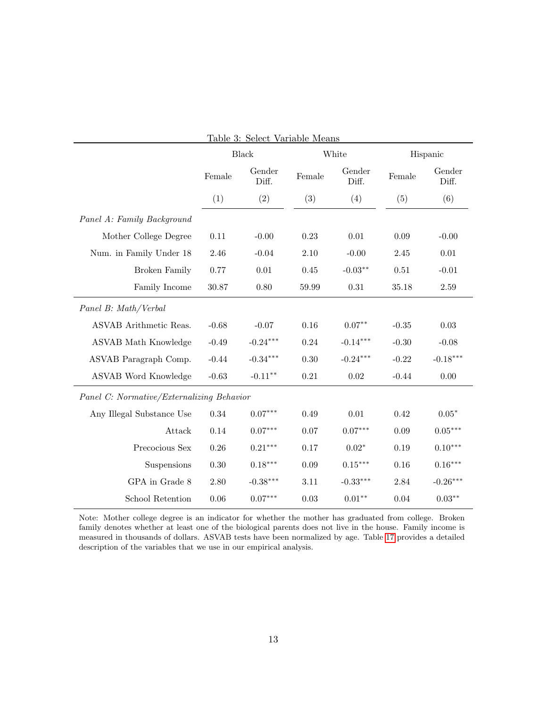<span id="page-12-0"></span>

|                                           | Table 3: Select Variable Means |                       |          |                    |          |                       |
|-------------------------------------------|--------------------------------|-----------------------|----------|--------------------|----------|-----------------------|
|                                           |                                | <b>Black</b>          |          | White              |          | Hispanic              |
|                                           | Female                         | Gender<br>Diff.       | Female   | Gender<br>Diff.    | Female   | Gender<br>Diff.       |
|                                           | (1)                            | (2)                   | (3)      | (4)                | (5)      | (6)                   |
| Panel A: Family Background                |                                |                       |          |                    |          |                       |
| Mother College Degree                     | 0.11                           | $-0.00$               | 0.23     | $0.01\,$           | 0.09     | $-0.00$               |
| Num. in Family Under 18                   | 2.46                           | $-0.04$               | 2.10     | $-0.00$            | 2.45     | $0.01\,$              |
| <b>Broken Family</b>                      | $0.77\,$                       | $0.01\,$              | $0.45\,$ | $-0.03^{\ast\ast}$ | $0.51\,$ | $-0.01$               |
| Family Income                             | 30.87                          | 0.80                  | 59.99    | 0.31               | 35.18    | $2.59\,$              |
| Panel B: Math/Verbal                      |                                |                       |          |                    |          |                       |
| ASVAB Arithmetic Reas.                    | $-0.68$                        | $-0.07$               | 0.16     | $0.07**$           | $-0.35$  | 0.03                  |
| ASVAB Math Knowledge                      | $-0.49$                        | $-0.24***$            | 0.24     | $-0.14***$         | $-0.30$  | $-0.08$               |
| ASVAB Paragraph Comp.                     | $-0.44$                        | $\text{-}0.34^{***}$  | 0.30     | $-0.24***$         | $-0.22$  | $-0.18***$            |
| ASVAB Word Knowledge                      | $-0.63$                        | $-0.11***$            | 0.21     | $0.02\,$           | $-0.44$  | 0.00                  |
| Panel C: Normative/Externalizing Behavior |                                |                       |          |                    |          |                       |
| Any Illegal Substance Use                 | 0.34                           | $0.07***$             | 0.49     | 0.01               | 0.42     | $0.05*$               |
| Attack                                    | $0.14\,$                       | $0.07***$             | 0.07     | $0.07***$          | 0.09     | $0.05***$             |
| Precocious Sex                            | 0.26                           | $0.21***$             | 0.17     | $0.02*$            | 0.19     | $0.10^{\ast\ast\ast}$ |
| Suspensions                               | $0.30\,$                       | $0.18^{\ast\ast\ast}$ | 0.09     | $0.15***$          | 0.16     | $0.16***$             |
| GPA in Grade 8                            | $2.80\,$                       | $-0.38***$            | $3.11\,$ | $-0.33***$         | 2.84     | $-0.26***$            |
| School Retention                          | 0.06                           | $0.07***$             | 0.03     | $0.01**$           | 0.04     | $0.03**$              |

Note: Mother college degree is an indicator for whether the mother has graduated from college. Broken family denotes whether at least one of the biological parents does not live in the house. Family income is measured in thousands of dollars. ASVAB tests have been normalized by age. Table [17](#page-57-0) provides a detailed description of the variables that we use in our empirical analysis.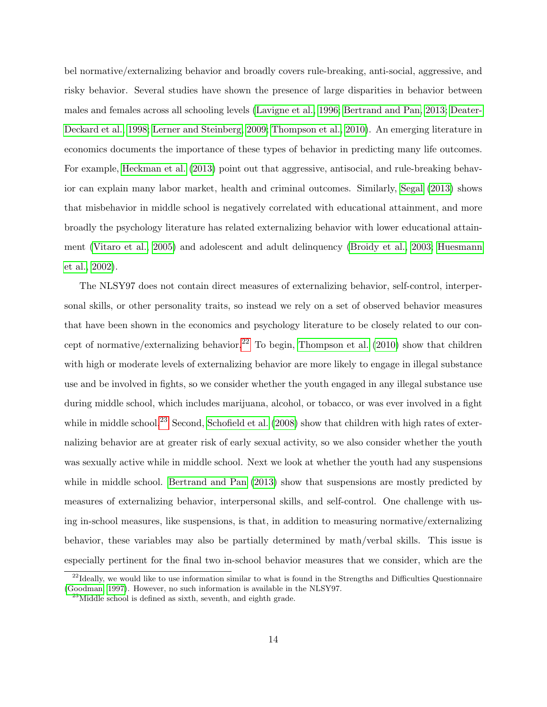bel normative/externalizing behavior and broadly covers rule-breaking, anti-social, aggressive, and risky behavior. Several studies have shown the presence of large disparities in behavior between males and females across all schooling levels [\(Lavigne et al., 1996;](#page-53-5) [Bertrand and Pan, 2013;](#page-51-6) [Deater-](#page-52-8)[Deckard et al., 1998;](#page-52-8) [Lerner and Steinberg, 2009;](#page-53-6) [Thompson et al., 2010\)](#page-54-5). An emerging literature in economics documents the importance of these types of behavior in predicting many life outcomes. For example, [Heckman et al.](#page-53-7) [\(2013\)](#page-53-7) point out that aggressive, antisocial, and rule-breaking behavior can explain many labor market, health and criminal outcomes. Similarly, [Segal](#page-54-6) [\(2013\)](#page-54-6) shows that misbehavior in middle school is negatively correlated with educational attainment, and more broadly the psychology literature has related externalizing behavior with lower educational attainment [\(Vitaro et al., 2005\)](#page-54-7) and adolescent and adult delinquency [\(Broidy et al., 2003;](#page-51-7) [Huesmann](#page-53-8) [et al., 2002\)](#page-53-8).

The NLSY97 does not contain direct measures of externalizing behavior, self-control, interpersonal skills, or other personality traits, so instead we rely on a set of observed behavior measures that have been shown in the economics and psychology literature to be closely related to our con-cept of normative/externalizing behavior.<sup>[22](#page-13-0)</sup> To begin, [Thompson et al.](#page-54-5) [\(2010\)](#page-54-5) show that children with high or moderate levels of externalizing behavior are more likely to engage in illegal substance use and be involved in fights, so we consider whether the youth engaged in any illegal substance use during middle school, which includes marijuana, alcohol, or tobacco, or was ever involved in a fight while in middle school.<sup>[23](#page-13-1)</sup> Second, [Schofield et al.](#page-54-8)  $(2008)$  show that children with high rates of externalizing behavior are at greater risk of early sexual activity, so we also consider whether the youth was sexually active while in middle school. Next we look at whether the youth had any suspensions while in middle school. [Bertrand and Pan](#page-51-6)  $(2013)$  show that suspensions are mostly predicted by measures of externalizing behavior, interpersonal skills, and self-control. One challenge with using in-school measures, like suspensions, is that, in addition to measuring normative/externalizing behavior, these variables may also be partially determined by math/verbal skills. This issue is especially pertinent for the final two in-school behavior measures that we consider, which are the

<span id="page-13-0"></span> $^{22}$ Ideally, we would like to use information similar to what is found in the Strengths and Difficulties Questionnaire [\(Goodman, 1997\)](#page-53-9). However, no such information is available in the NLSY97.

<span id="page-13-1"></span> $^{23}$ Middle school is defined as sixth, seventh, and eighth grade.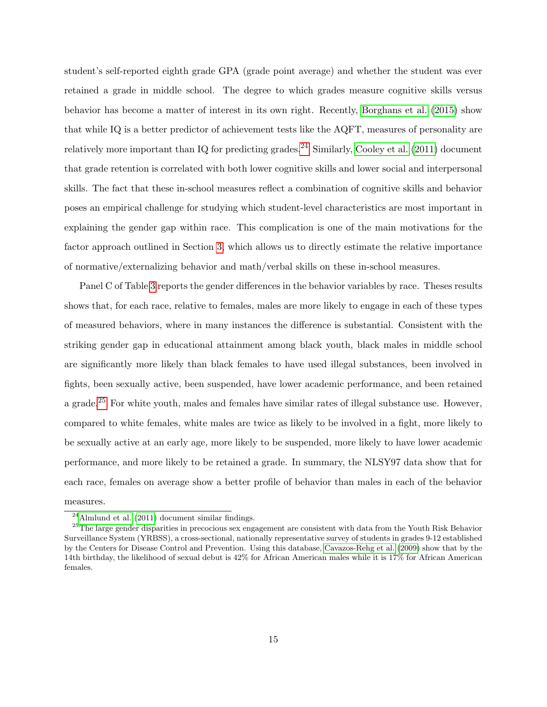student's self-reported eighth grade GPA (grade point average) and whether the student was ever retained a grade in middle school. The degree to which grades measure cognitive skills versus behavior has become a matter of interest in its own right. Recently, [Borghans et al.](#page-51-8) [\(2015\)](#page-51-8) show that while IQ is a better predictor of achievement tests like the AQFT, measures of personality are relatively more important than IQ for predicting grades.<sup>[24](#page-14-0)</sup> Similarly, [Cooley et al.](#page-52-9) [\(2011\)](#page-52-9) document that grade retention is correlated with both lower cognitive skills and lower social and interpersonal skills. The fact that these in-school measures reflect a combination of cognitive skills and behavior poses an empirical challenge for studying which student-level characteristics are most important in explaining the gender gap within race. This complication is one of the main motivations for the factor approach outlined in Section [3,](#page-18-0) which allows us to directly estimate the relative importance of normative/externalizing behavior and math/verbal skills on these in-school measures.

Panel C of Table [3](#page-12-0) reports the gender differences in the behavior variables by race. Theses results shows that, for each race, relative to females, males are more likely to engage in each of these types of measured behaviors, where in many instances the difference is substantial. Consistent with the striking gender gap in educational attainment among black youth, black males in middle school are significantly more likely than black females to have used illegal substances, been involved in fights, been sexually active, been suspended, have lower academic performance, and been retained a grade.<sup>[25](#page-14-1)</sup> For white youth, males and females have similar rates of illegal substance use. However, compared to white females, white males are twice as likely to be involved in a fight, more likely to be sexually active at an early age, more likely to be suspended, more likely to have lower academic performance, and more likely to be retained a grade. In summary, the NLSY97 data show that for each race, females on average show a better profile of behavior than males in each of the behavior

measures.

<span id="page-14-1"></span><span id="page-14-0"></span> $^{24}\mbox{Almlund}$  et al. [\(2011\)](#page-51-9) document similar findings.

<sup>&</sup>lt;sup>25</sup>The large gender disparities in precocious sex engagement are consistent with data from the Youth Risk Behavior Surveillance System (YRBSS), a cross-sectional, nationally representative survey of students in grades 9-12 established by the Centers for Disease Control and Prevention. Using this database, [Cavazos-Rehg et al.](#page-52-10) [\(2009\)](#page-52-10) show that by the 14th birthday, the likelihood of sexual debut is 42% for African American males while it is 17% for African American females.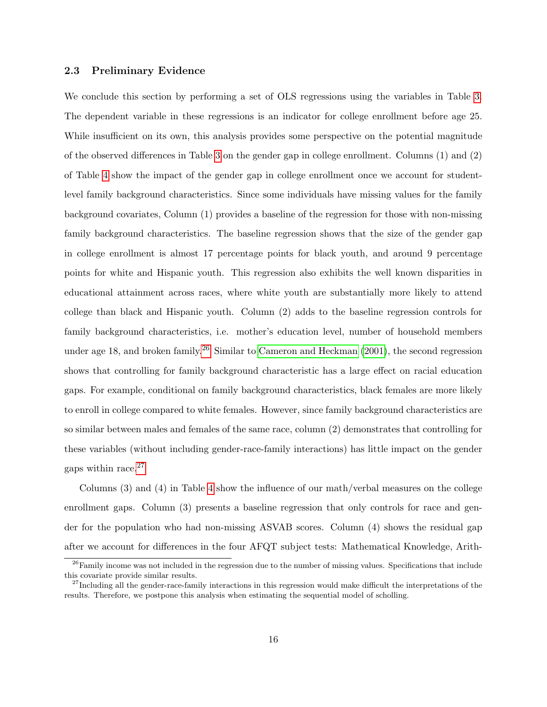## 2.3 Preliminary Evidence

We conclude this section by performing a set of OLS regressions using the variables in Table [3.](#page-12-0) The dependent variable in these regressions is an indicator for college enrollment before age 25. While insufficient on its own, this analysis provides some perspective on the potential magnitude of the observed differences in Table [3](#page-12-0) on the gender gap in college enrollment. Columns (1) and (2) of Table [4](#page-16-0) show the impact of the gender gap in college enrollment once we account for studentlevel family background characteristics. Since some individuals have missing values for the family background covariates, Column (1) provides a baseline of the regression for those with non-missing family background characteristics. The baseline regression shows that the size of the gender gap in college enrollment is almost 17 percentage points for black youth, and around 9 percentage points for white and Hispanic youth. This regression also exhibits the well known disparities in educational attainment across races, where white youth are substantially more likely to attend college than black and Hispanic youth. Column (2) adds to the baseline regression controls for family background characteristics, i.e. mother's education level, number of household members under age 18, and broken family.<sup>[26](#page-15-0)</sup> Similar to [Cameron and Heckman](#page-52-5)  $(2001)$ , the second regression shows that controlling for family background characteristic has a large effect on racial education gaps. For example, conditional on family background characteristics, black females are more likely to enroll in college compared to white females. However, since family background characteristics are so similar between males and females of the same race, column (2) demonstrates that controlling for these variables (without including gender-race-family interactions) has little impact on the gender gaps within race. $27$ 

Columns (3) and (4) in Table [4](#page-16-0) show the influence of our math/verbal measures on the college enrollment gaps. Column (3) presents a baseline regression that only controls for race and gender for the population who had non-missing ASVAB scores. Column (4) shows the residual gap after we account for differences in the four AFQT subject tests: Mathematical Knowledge, Arith-

<span id="page-15-0"></span> $26$ Family income was not included in the regression due to the number of missing values. Specifications that include this covariate provide similar results.

<span id="page-15-1"></span> $27$ Including all the gender-race-family interactions in this regression would make difficult the interpretations of the results. Therefore, we postpone this analysis when estimating the sequential model of scholling.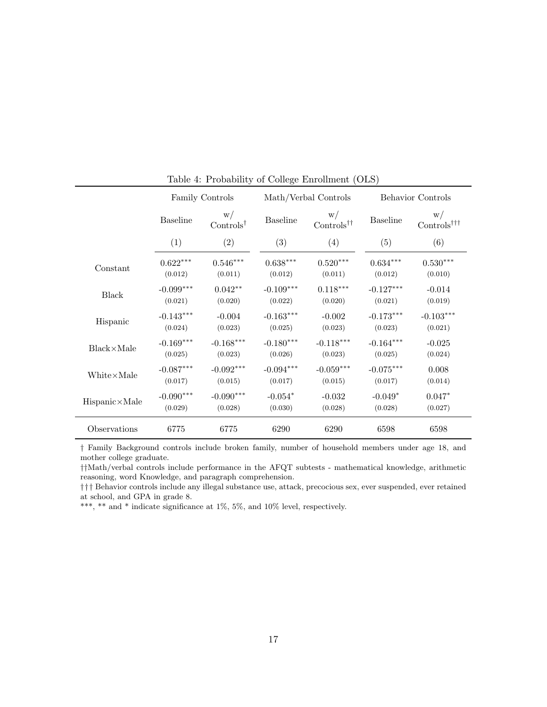|                        |                 | Family Controls                   |                        | Math/Verbal Controls                     | Behavior Controls |                                                 |  |
|------------------------|-----------------|-----------------------------------|------------------------|------------------------------------------|-------------------|-------------------------------------------------|--|
|                        | <b>Baseline</b> | W/<br>$\text{Controls}^{\dagger}$ | <b>Baseline</b>        | W/<br>$\text{Controls}^{\dagger\dagger}$ | <b>Baseline</b>   | W/<br>$\text{Controls}^{\dagger\dagger\dagger}$ |  |
|                        | (1)             | (2)                               | (3)                    | (4)                                      | (5)               | (6)                                             |  |
| Constant               | $0.622***$      | $0.546***$                        | $0.638^{\ast\ast\ast}$ | $0.520***$                               | $0.634***$        | $0.530***$                                      |  |
|                        | (0.012)         | (0.011)                           | (0.012)                | (0.011)                                  | (0.012)           | (0.010)                                         |  |
| Black                  | $-0.099***$     | $0.042**$                         | $-0.109***$            | $0.118^{\ast \ast \ast}$                 | $-0.127***$       | $-0.014$                                        |  |
|                        | (0.021)         | (0.020)                           | (0.022)                | (0.020)                                  | (0.021)           | (0.019)                                         |  |
| Hispanic               | $-0.143***$     | $-0.004$                          | $-0.163***$            | $-0.002$                                 | $-0.173***$       | $-0.103***$                                     |  |
|                        | (0.024)         | (0.023)                           | (0.025)                | (0.023)                                  | (0.023)           | (0.021)                                         |  |
| $Black \times Male$    | $-0.169***$     | $-0.168***$                       | $-0.180***$            | $-0.118***$                              | $-0.164***$       | $-0.025$                                        |  |
|                        | (0.025)         | (0.023)                           | (0.026)                | (0.023)                                  | (0.025)           | (0.024)                                         |  |
| White×Male             | $-0.087***$     | $-0.092***$                       | $-0.094***$            | $-0.059^{***}\,$                         | $-0.075***$       | 0.008                                           |  |
|                        | (0.017)         | (0.015)                           | (0.017)                | (0.015)                                  | (0.017)           | (0.014)                                         |  |
| $Hispanic \times Male$ | $-0.090***$     | $-0.090***$                       | $-0.054*$              | $-0.032$                                 | $-0.049*$         | $0.047*$                                        |  |
|                        | (0.029)         | (0.028)                           | (0.030)                | (0.028)                                  | (0.028)           | (0.027)                                         |  |
| Observations           | 6775            | 6775                              | 6290                   | 6290                                     | 6598              | 6598                                            |  |

<span id="page-16-0"></span>Table 4: Probability of College Enrollment (OLS)

† Family Background controls include broken family, number of household members under age 18, and mother college graduate.

††Math/verbal controls include performance in the AFQT subtests - mathematical knowledge, arithmetic reasoning, word Knowledge, and paragraph comprehension.

††† Behavior controls include any illegal substance use, attack, precocious sex, ever suspended, ever retained at school, and GPA in grade 8.

\*\*\*, \*\* and \* indicate significance at  $1\%$ , 5%, and  $10\%$  level, respectively.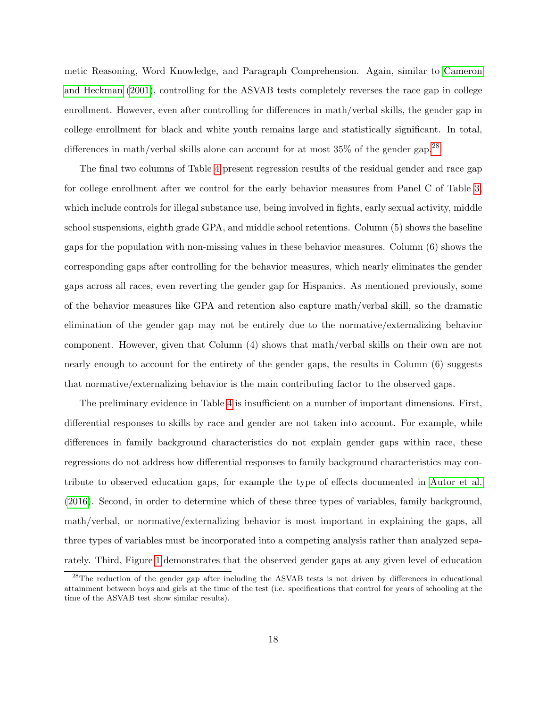metic Reasoning, Word Knowledge, and Paragraph Comprehension. Again, similar to [Cameron](#page-52-5) [and Heckman](#page-52-5) [\(2001\)](#page-52-5), controlling for the ASVAB tests completely reverses the race gap in college enrollment. However, even after controlling for differences in math/verbal skills, the gender gap in college enrollment for black and white youth remains large and statistically significant. In total, differences in math/verbal skills alone can account for at most  $35\%$  of the gender gap.<sup>[28](#page-17-0)</sup>

The final two columns of Table [4](#page-16-0) present regression results of the residual gender and race gap for college enrollment after we control for the early behavior measures from Panel C of Table [3,](#page-12-0) which include controls for illegal substance use, being involved in fights, early sexual activity, middle school suspensions, eighth grade GPA, and middle school retentions. Column (5) shows the baseline gaps for the population with non-missing values in these behavior measures. Column (6) shows the corresponding gaps after controlling for the behavior measures, which nearly eliminates the gender gaps across all races, even reverting the gender gap for Hispanics. As mentioned previously, some of the behavior measures like GPA and retention also capture math/verbal skill, so the dramatic elimination of the gender gap may not be entirely due to the normative/externalizing behavior component. However, given that Column (4) shows that math/verbal skills on their own are not nearly enough to account for the entirety of the gender gaps, the results in Column (6) suggests that normative/externalizing behavior is the main contributing factor to the observed gaps.

The preliminary evidence in Table [4](#page-16-0) is insufficient on a number of important dimensions. First, differential responses to skills by race and gender are not taken into account. For example, while differences in family background characteristics do not explain gender gaps within race, these regressions do not address how differential responses to family background characteristics may contribute to observed education gaps, for example the type of effects documented in [Autor et al.](#page-51-2) [\(2016\)](#page-51-2). Second, in order to determine which of these three types of variables, family background, math/verbal, or normative/externalizing behavior is most important in explaining the gaps, all three types of variables must be incorporated into a competing analysis rather than analyzed separately. Third, Figure [1](#page-7-0) demonstrates that the observed gender gaps at any given level of education

<span id="page-17-0"></span><sup>&</sup>lt;sup>28</sup>The reduction of the gender gap after including the ASVAB tests is not driven by differences in educational attainment between boys and girls at the time of the test (i.e. specifications that control for years of schooling at the time of the ASVAB test show similar results).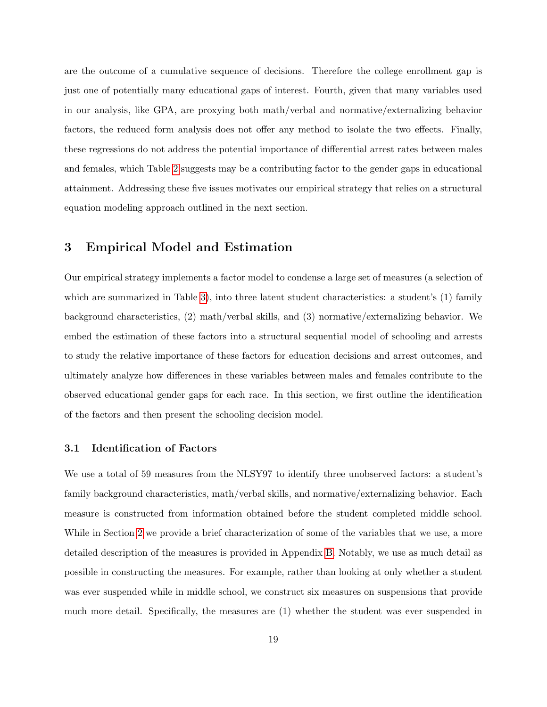are the outcome of a cumulative sequence of decisions. Therefore the college enrollment gap is just one of potentially many educational gaps of interest. Fourth, given that many variables used in our analysis, like GPA, are proxying both math/verbal and normative/externalizing behavior factors, the reduced form analysis does not offer any method to isolate the two effects. Finally, these regressions do not address the potential importance of differential arrest rates between males and females, which Table [2](#page-9-0) suggests may be a contributing factor to the gender gaps in educational attainment. Addressing these five issues motivates our empirical strategy that relies on a structural equation modeling approach outlined in the next section.

# <span id="page-18-0"></span>3 Empirical Model and Estimation

Our empirical strategy implements a factor model to condense a large set of measures (a selection of which are summarized in Table [3\)](#page-12-0), into three latent student characteristics: a student's (1) family background characteristics, (2) math/verbal skills, and (3) normative/externalizing behavior. We embed the estimation of these factors into a structural sequential model of schooling and arrests to study the relative importance of these factors for education decisions and arrest outcomes, and ultimately analyze how differences in these variables between males and females contribute to the observed educational gender gaps for each race. In this section, we first outline the identification of the factors and then present the schooling decision model.

## 3.1 Identification of Factors

We use a total of 59 measures from the NLSY97 to identify three unobserved factors: a student's family background characteristics, math/verbal skills, and normative/externalizing behavior. Each measure is constructed from information obtained before the student completed middle school. While in Section [2](#page-6-0) we provide a brief characterization of some of the variables that we use, a more detailed description of the measures is provided in Appendix [B.](#page-55-0) Notably, we use as much detail as possible in constructing the measures. For example, rather than looking at only whether a student was ever suspended while in middle school, we construct six measures on suspensions that provide much more detail. Specifically, the measures are (1) whether the student was ever suspended in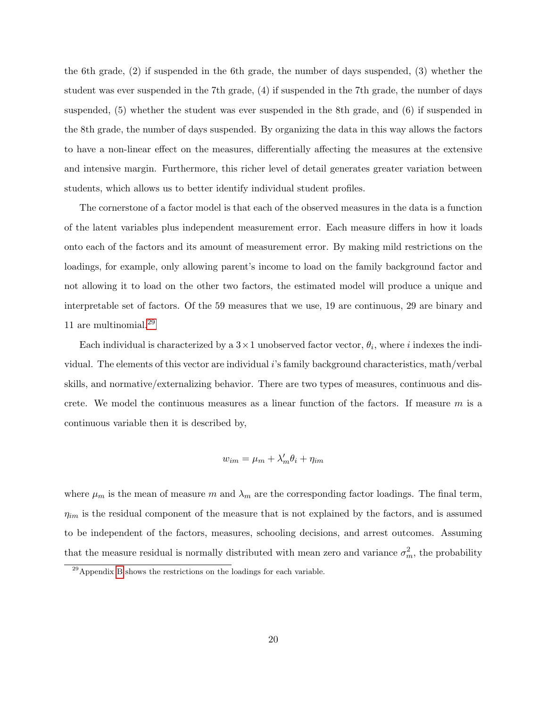the 6th grade, (2) if suspended in the 6th grade, the number of days suspended, (3) whether the student was ever suspended in the 7th grade, (4) if suspended in the 7th grade, the number of days suspended, (5) whether the student was ever suspended in the 8th grade, and (6) if suspended in the 8th grade, the number of days suspended. By organizing the data in this way allows the factors to have a non-linear effect on the measures, differentially affecting the measures at the extensive and intensive margin. Furthermore, this richer level of detail generates greater variation between students, which allows us to better identify individual student profiles.

The cornerstone of a factor model is that each of the observed measures in the data is a function of the latent variables plus independent measurement error. Each measure differs in how it loads onto each of the factors and its amount of measurement error. By making mild restrictions on the loadings, for example, only allowing parent's income to load on the family background factor and not allowing it to load on the other two factors, the estimated model will produce a unique and interpretable set of factors. Of the 59 measures that we use, 19 are continuous, 29 are binary and 11 are multinomial. $^{29}$  $^{29}$  $^{29}$ 

Each individual is characterized by a  $3 \times 1$  unobserved factor vector,  $\theta_i$ , where i indexes the individual. The elements of this vector are individual i's family background characteristics, math/verbal skills, and normative/externalizing behavior. There are two types of measures, continuous and discrete. We model the continuous measures as a linear function of the factors. If measure  $m$  is a continuous variable then it is described by,

$$
w_{im} = \mu_m + \lambda'_m \theta_i + \eta_{im}
$$

where  $\mu_m$  is the mean of measure m and  $\lambda_m$  are the corresponding factor loadings. The final term,  $\eta_{im}$  is the residual component of the measure that is not explained by the factors, and is assumed to be independent of the factors, measures, schooling decisions, and arrest outcomes. Assuming that the measure residual is normally distributed with mean zero and variance  $\sigma_m^2$ , the probability

<span id="page-19-0"></span> $^{29}$ Appendix [B](#page-55-0) shows the restrictions on the loadings for each variable.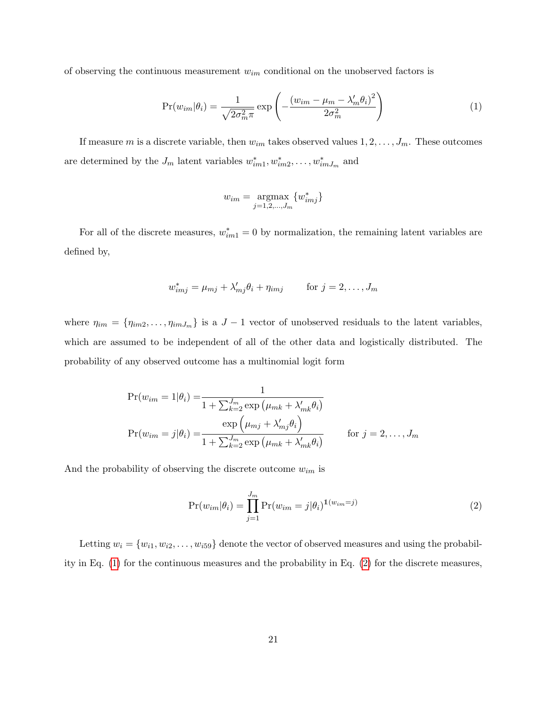of observing the continuous measurement  $w_{im}$  conditional on the unobserved factors is

$$
Pr(w_{im}|\theta_i) = \frac{1}{\sqrt{2\sigma_m^2 \pi}} \exp\left(-\frac{(w_{im} - \mu_m - \lambda'_m \theta_i)^2}{2\sigma_m^2}\right)
$$
(1)

If measure m is a discrete variable, then  $w_{im}$  takes observed values  $1, 2, \ldots, J_m$ . These outcomes are determined by the  $J_m$  latent variables  $w_{im1}^*, w_{im2}^*, \ldots, w_{imJ_m}^*$  and

<span id="page-20-0"></span>
$$
w_{im} = \operatorname*{argmax}_{j=1,2,\ldots,J_m} \{w_{imj}^*\}
$$

For all of the discrete measures,  $w_{im1}^* = 0$  by normalization, the remaining latent variables are defined by,

$$
w_{imj}^* = \mu_{mj} + \lambda'_{mj}\theta_i + \eta_{imj} \qquad \text{for } j = 2, \dots, J_m
$$

where  $\eta_{im} = {\eta_{im2}, \dots, \eta_{imJ_m}}$  is a  $J-1$  vector of unobserved residuals to the latent variables, which are assumed to be independent of all of the other data and logistically distributed. The probability of any observed outcome has a multinomial logit form

$$
Pr(w_{im} = 1 | \theta_i) = \frac{1}{1 + \sum_{k=2}^{J_m} \exp\left(\mu_{mk} + \lambda'_{mk}\theta_i\right)}
$$

$$
Pr(w_{im} = j | \theta_i) = \frac{\exp\left(\mu_{mj} + \lambda'_{mj}\theta_i\right)}{1 + \sum_{k=2}^{J_m} \exp\left(\mu_{mk} + \lambda'_{mk}\theta_i\right)} \qquad \text{for } j = 2, \dots, J_m
$$

And the probability of observing the discrete outcome  $w_{im}$  is

<span id="page-20-1"></span>
$$
\Pr(w_{im}|\theta_i) = \prod_{j=1}^{J_m} \Pr(w_{im} = j|\theta_i)^{\mathbb{1}(w_{im} = j)}
$$
\n(2)

Letting  $w_i = \{w_{i1}, w_{i2}, \ldots, w_{i59}\}\$  denote the vector of observed measures and using the probability in Eq. [\(1\)](#page-20-0) for the continuous measures and the probability in Eq. [\(2\)](#page-20-1) for the discrete measures,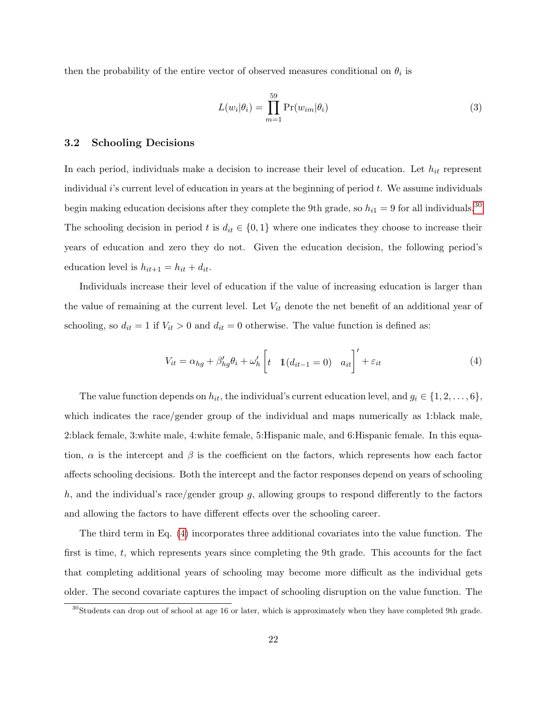then the probability of the entire vector of observed measures conditional on  $\theta_i$  is

$$
L(w_i|\theta_i) = \prod_{m=1}^{59} \Pr(w_{im}|\theta_i)
$$
\n(3)

## 3.2 Schooling Decisions

In each period, individuals make a decision to increase their level of education. Let  $h_{it}$  represent individual  $i$ 's current level of education in years at the beginning of period  $t$ . We assume individuals begin making education decisions after they complete the 9th grade, so  $h_{i1} = 9$  for all individuals.<sup>[30](#page-21-0)</sup> The schooling decision in period t is  $d_{it} \in \{0,1\}$  where one indicates they choose to increase their years of education and zero they do not. Given the education decision, the following period's education level is  $h_{it+1} = h_{it} + d_{it}$ .

Individuals increase their level of education if the value of increasing education is larger than the value of remaining at the current level. Let  $V_{it}$  denote the net benefit of an additional year of schooling, so  $d_{it} = 1$  if  $V_{it} > 0$  and  $d_{it} = 0$  otherwise. The value function is defined as:

<span id="page-21-1"></span>
$$
V_{it} = \alpha_{hg} + \beta'_{hg}\theta_i + \omega'_h \left[ t \quad \mathbb{1}(d_{it-1} = 0) \quad a_{it} \right]' + \varepsilon_{it} \tag{4}
$$

The value function depends on  $h_{it}$ , the individual's current education level, and  $g_i \in \{1, 2, \ldots, 6\}$ , which indicates the race/gender group of the individual and maps numerically as 1:black male, 2:black female, 3:white male, 4:white female, 5:Hispanic male, and 6:Hispanic female. In this equation,  $\alpha$  is the intercept and  $\beta$  is the coefficient on the factors, which represents how each factor affects schooling decisions. Both the intercept and the factor responses depend on years of schooling h, and the individual's race/gender group g, allowing groups to respond differently to the factors and allowing the factors to have different effects over the schooling career.

The third term in Eq. [\(4\)](#page-21-1) incorporates three additional covariates into the value function. The first is time,  $t$ , which represents years since completing the 9th grade. This accounts for the fact that completing additional years of schooling may become more difficult as the individual gets older. The second covariate captures the impact of schooling disruption on the value function. The

<span id="page-21-0"></span><sup>&</sup>lt;sup>30</sup>Students can drop out of school at age 16 or later, which is approximately when they have completed 9th grade.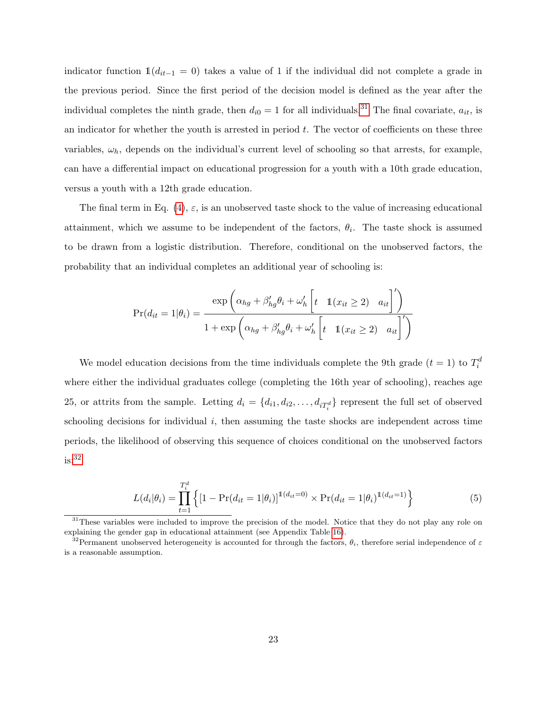indicator function  $\mathbb{1}(d_{it-1} = 0)$  takes a value of 1 if the individual did not complete a grade in the previous period. Since the first period of the decision model is defined as the year after the individual completes the ninth grade, then  $d_{i0} = 1$  for all individuals.<sup>[31](#page-22-0)</sup> The final covariate,  $a_{it}$ , is an indicator for whether the youth is arrested in period  $t$ . The vector of coefficients on these three variables,  $\omega_h$ , depends on the individual's current level of schooling so that arrests, for example, can have a differential impact on educational progression for a youth with a 10th grade education, versus a youth with a 12th grade education.

The final term in Eq. [\(4\)](#page-21-1),  $\varepsilon$ , is an unobserved taste shock to the value of increasing educational attainment, which we assume to be independent of the factors,  $\theta_i$ . The taste shock is assumed to be drawn from a logistic distribution. Therefore, conditional on the unobserved factors, the probability that an individual completes an additional year of schooling is:

$$
Pr(d_{it} = 1 | \theta_i) = \frac{\exp\left(\alpha_{hg} + \beta'_{hg}\theta_i + \omega'_h \left[t \quad \mathbb{1}(x_{it} \ge 2) \quad a_{it}\right]'\right)}{1 + \exp\left(\alpha_{hg} + \beta'_{hg}\theta_i + \omega'_h \left[t \quad \mathbb{1}(x_{it} \ge 2) \quad a_{it}\right]'\right)}
$$

We model education decisions from the time individuals complete the 9th grade  $(t = 1)$  to  $T_i^d$ where either the individual graduates college (completing the 16th year of schooling), reaches age 25, or attrits from the sample. Letting  $d_i = \{d_{i1}, d_{i2}, \ldots, d_{iT_i^d}\}$  represent the full set of observed schooling decisions for individual  $i$ , then assuming the taste shocks are independent across time periods, the likelihood of observing this sequence of choices conditional on the unobserved factors  $is:$ <sup>[32](#page-22-1)</sup>

$$
L(d_i|\theta_i) = \prod_{t=1}^{T_i^d} \left\{ [1 - \Pr(d_{it} = 1|\theta_i)]^{1(d_{it} = 0)} \times \Pr(d_{it} = 1|\theta_i)^{1(d_{it} = 1)} \right\}
$$
(5)

<span id="page-22-0"></span> $31$ These variables were included to improve the precision of the model. Notice that they do not play any role on explaining the gender gap in educational attainment (see Appendix Table [16\)](#page-55-1).

<span id="page-22-1"></span> $\frac{32}{32}$ Permanent unobserved heterogeneity is accounted for through the factors,  $\theta_i$ , therefore serial independence of  $\varepsilon$ is a reasonable assumption.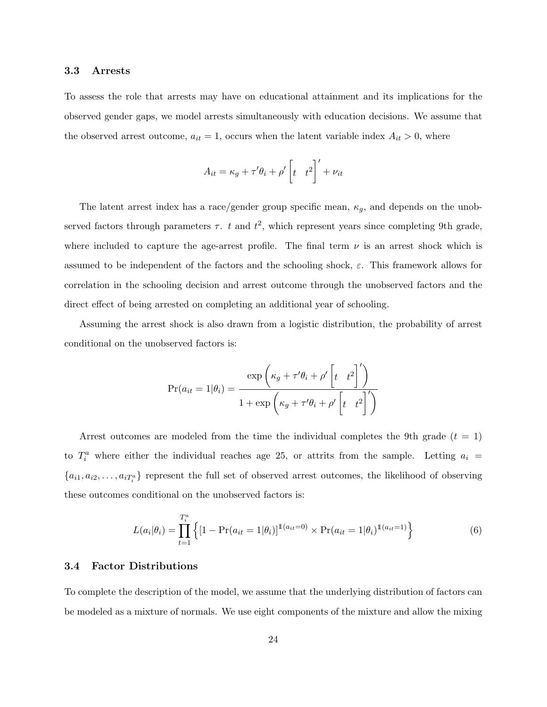## 3.3 Arrests

To assess the role that arrests may have on educational attainment and its implications for the observed gender gaps, we model arrests simultaneously with education decisions. We assume that the observed arrest outcome,  $a_{it} = 1$ , occurs when the latent variable index  $A_{it} > 0$ , where

$$
A_{it} = \kappa_g + \tau' \theta_i + \rho' \left[ t \quad t^2 \right]' + \nu_{it}
$$

The latent arrest index has a race/gender group specific mean,  $\kappa_g$ , and depends on the unobserved factors through parameters  $\tau$ . t and  $t^2$ , which represent years since completing 9th grade, where included to capture the age-arrest profile. The final term  $\nu$  is an arrest shock which is assumed to be independent of the factors and the schooling shock,  $\varepsilon$ . This framework allows for correlation in the schooling decision and arrest outcome through the unobserved factors and the direct effect of being arrested on completing an additional year of schooling.

Assuming the arrest shock is also drawn from a logistic distribution, the probability of arrest conditional on the unobserved factors is:

$$
Pr(a_{it} = 1 | \theta_i) = \frac{\exp\left(\kappa_g + \tau' \theta_i + \rho' \left[t - t^2\right]'\right)}{1 + \exp\left(\kappa_g + \tau' \theta_i + \rho' \left[t - t^2\right]'\right)}
$$

Arrest outcomes are modeled from the time the individual completes the 9th grade  $(t = 1)$ to  $T_i^a$  where either the individual reaches age 25, or attrits from the sample. Letting  $a_i =$  ${a_{i1}, a_{i2}, \ldots, a_{iT_i^a}}$  represent the full set of observed arrest outcomes, the likelihood of observing these outcomes conditional on the unobserved factors is:

$$
L(a_i|\theta_i) = \prod_{t=1}^{T_i^a} \left\{ [1 - \Pr(a_{it} = 1|\theta_i)]^{1(a_{it} = 0)} \times \Pr(a_{it} = 1|\theta_i)^{1(a_{it} = 1)} \right\}
$$
(6)

#### 3.4 Factor Distributions

To complete the description of the model, we assume that the underlying distribution of factors can be modeled as a mixture of normals. We use eight components of the mixture and allow the mixing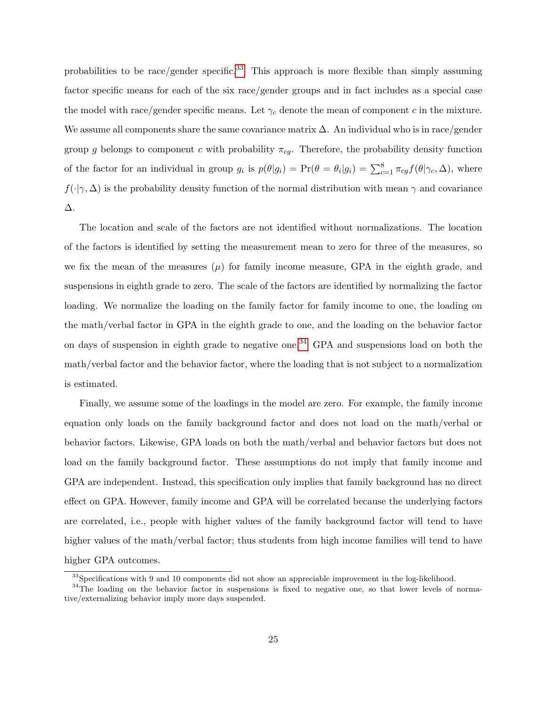probabilities to be race/gender specific.<sup>[33](#page-24-0)</sup> This approach is more flexible than simply assuming factor specific means for each of the six race/gender groups and in fact includes as a special case the model with race/gender specific means. Let  $\gamma_c$  denote the mean of component c in the mixture. We assume all components share the same covariance matrix  $\Delta$ . An individual who is in race/gender group g belongs to component c with probability  $\pi_{cg}$ . Therefore, the probability density function of the factor for an individual in group  $g_i$  is  $p(\theta|g_i) = \Pr(\theta = \theta_i|g_i) = \sum_{c=1}^{8} \pi_{cg} f(\theta|\gamma_c, \Delta)$ , where  $f(\cdot|\gamma,\Delta)$  is the probability density function of the normal distribution with mean  $\gamma$  and covariance ∆.

The location and scale of the factors are not identified without normalizations. The location of the factors is identified by setting the measurement mean to zero for three of the measures, so we fix the mean of the measures  $(\mu)$  for family income measure, GPA in the eighth grade, and suspensions in eighth grade to zero. The scale of the factors are identified by normalizing the factor loading. We normalize the loading on the family factor for family income to one, the loading on the math/verbal factor in GPA in the eighth grade to one, and the loading on the behavior factor on days of suspension in eighth grade to negative one.<sup>[34](#page-24-1)</sup> GPA and suspensions load on both the math/verbal factor and the behavior factor, where the loading that is not subject to a normalization is estimated.

Finally, we assume some of the loadings in the model are zero. For example, the family income equation only loads on the family background factor and does not load on the math/verbal or behavior factors. Likewise, GPA loads on both the math/verbal and behavior factors but does not load on the family background factor. These assumptions do not imply that family income and GPA are independent. Instead, this specification only implies that family background has no direct effect on GPA. However, family income and GPA will be correlated because the underlying factors are correlated, i.e., people with higher values of the family background factor will tend to have higher values of the math/verbal factor; thus students from high income families will tend to have higher GPA outcomes.

<span id="page-24-1"></span><span id="page-24-0"></span> $33$ Specifications with 9 and 10 components did not show an appreciable improvement in the log-likelihood.

 $34$ The loading on the behavior factor in suspensions is fixed to negative one, so that lower levels of normative/externalizing behavior imply more days suspended.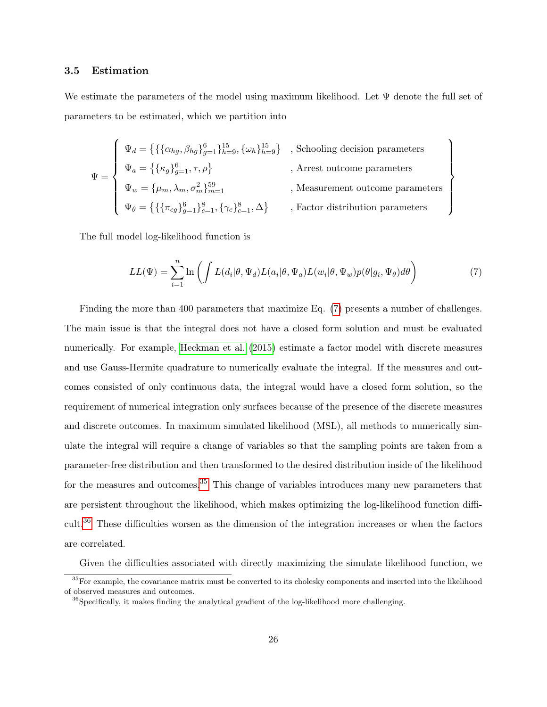## 3.5 Estimation

We estimate the parameters of the model using maximum likelihood. Let  $\Psi$  denote the full set of parameters to be estimated, which we partition into

$$
\Psi = \left\{ \begin{array}{ll} \Psi_d = \left\{ \left\{ \left\{ \alpha_{hg}, \beta_{hg} \right\}_{g=1}^6 \right\}_{h=9}^{15}, \left\{ \omega_h \right\}_{h=9}^{15} \right\} & , \text{Schooling decision parameters} \\[1.5ex] \Psi_a = \left\{ \left\{ \kappa_g \right\}_{g=1}^6, \tau, \rho \right\} & , \text{Arrest outcome parameters} \\[1.5ex] \Psi_w = \left\{ \mu_m, \lambda_m, \sigma_m^2 \right\}_{m=1}^{59} & , \text{Measurement outcome parameters} \\[1.5ex] \Psi_\theta = \left\{ \left\{ \left\{ \pi_{cg} \right\}_{g=1}^6 \right\}_{c=1}^8, \left\{ \gamma_c \right\}_{c=1}^8, \Delta \right\} & , \text{Factor distribution parameters} \end{array} \right.
$$

The full model log-likelihood function is

$$
LL(\Psi) = \sum_{i=1}^{n} \ln \left( \int L(d_i | \theta, \Psi_d) L(a_i | \theta, \Psi_a) L(w_i | \theta, \Psi_w) p(\theta | g_i, \Psi_\theta) d\theta \right) \tag{7}
$$

 $\mathcal{L}$ 

 $\overline{\mathcal{L}}$ 

<span id="page-25-0"></span> $\begin{matrix} \end{matrix}$ 

Finding the more than 400 parameters that maximize Eq. [\(7\)](#page-25-0) presents a number of challenges. The main issue is that the integral does not have a closed form solution and must be evaluated numerically. For example, [Heckman et al.](#page-53-10) [\(2015\)](#page-53-10) estimate a factor model with discrete measures and use Gauss-Hermite quadrature to numerically evaluate the integral. If the measures and outcomes consisted of only continuous data, the integral would have a closed form solution, so the requirement of numerical integration only surfaces because of the presence of the discrete measures and discrete outcomes. In maximum simulated likelihood (MSL), all methods to numerically simulate the integral will require a change of variables so that the sampling points are taken from a parameter-free distribution and then transformed to the desired distribution inside of the likelihood for the measures and outcomes.<sup>[35](#page-25-1)</sup> This change of variables introduces many new parameters that are persistent throughout the likelihood, which makes optimizing the log-likelihood function difficult.[36](#page-25-2) These difficulties worsen as the dimension of the integration increases or when the factors are correlated.

<span id="page-25-1"></span>Given the difficulties associated with directly maximizing the simulate likelihood function, we

 $35$  For example, the covariance matrix must be converted to its cholesky components and inserted into the likelihood of observed measures and outcomes.

<span id="page-25-2"></span><sup>&</sup>lt;sup>36</sup>Specifically, it makes finding the analytical gradient of the log-likelihood more challenging.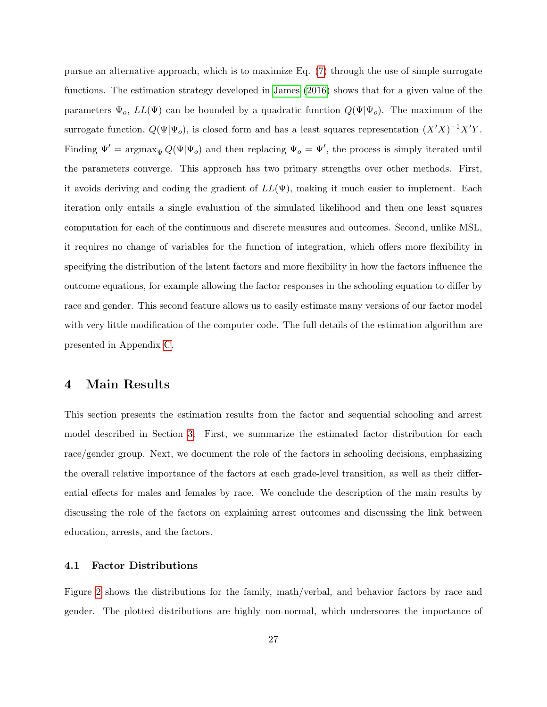pursue an alternative approach, which is to maximize Eq. [\(7\)](#page-25-0) through the use of simple surrogate functions. The estimation strategy developed in [James](#page-53-3) [\(2016\)](#page-53-3) shows that for a given value of the parameters  $\Psi_o$ ,  $LL(\Psi)$  can be bounded by a quadratic function  $Q(\Psi|\Psi_o)$ . The maximum of the surrogate function,  $Q(\Psi|\Psi_o)$ , is closed form and has a least squares representation  $(X'X)^{-1}X'Y$ . Finding  $\Psi' = \argmax_{\Psi} Q(\Psi | \Psi_o)$  and then replacing  $\Psi_o = \Psi'$ , the process is simply iterated until the parameters converge. This approach has two primary strengths over other methods. First, it avoids deriving and coding the gradient of  $LL(\Psi)$ , making it much easier to implement. Each iteration only entails a single evaluation of the simulated likelihood and then one least squares computation for each of the continuous and discrete measures and outcomes. Second, unlike MSL, it requires no change of variables for the function of integration, which offers more flexibility in specifying the distribution of the latent factors and more flexibility in how the factors influence the outcome equations, for example allowing the factor responses in the schooling equation to differ by race and gender. This second feature allows us to easily estimate many versions of our factor model with very little modification of the computer code. The full details of the estimation algorithm are presented in Appendix [C.](#page-61-0)

## <span id="page-26-0"></span>4 Main Results

This section presents the estimation results from the factor and sequential schooling and arrest model described in Section [3.](#page-18-0) First, we summarize the estimated factor distribution for each race/gender group. Next, we document the role of the factors in schooling decisions, emphasizing the overall relative importance of the factors at each grade-level transition, as well as their differential effects for males and females by race. We conclude the description of the main results by discussing the role of the factors on explaining arrest outcomes and discussing the link between education, arrests, and the factors.

## 4.1 Factor Distributions

Figure [2](#page-28-0) shows the distributions for the family, math/verbal, and behavior factors by race and gender. The plotted distributions are highly non-normal, which underscores the importance of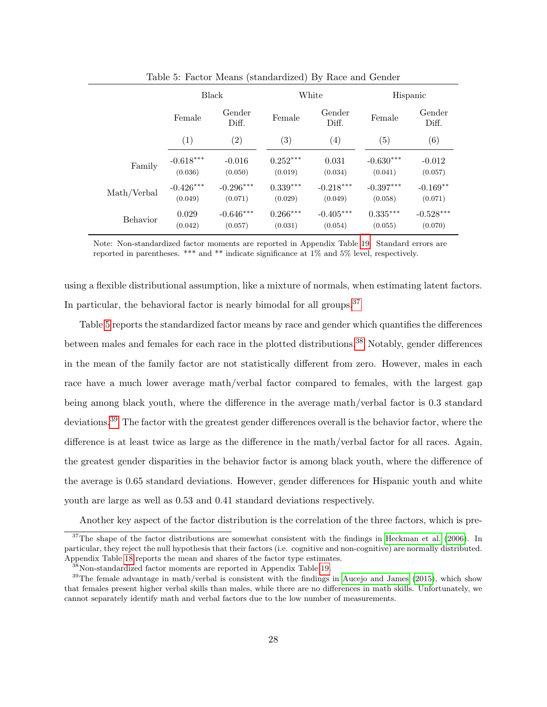|             | <b>Black</b> |                 |            | White           | Hispanic          |                 |
|-------------|--------------|-----------------|------------|-----------------|-------------------|-----------------|
|             | Female       | Gender<br>Diff. |            | Gender<br>Diff. | Female            | Gender<br>Diff. |
|             | (1)          | (2)             | (3)        | (4)             | $\left( 5\right)$ | (6)             |
| Family      | $-0.618***$  | $-0.016$        | $0.252***$ | 0.031           | $-0.630***$       | $-0.012$        |
|             | (0.036)      | (0.050)         | (0.019)    | (0.034)         | (0.041)           | (0.057)         |
| Math/Verbal | $-0.426***$  | $-0.296***$     | $0.339***$ | $-0.218***$     | $-0.397***$       | $-0.169**$      |
|             | (0.049)      | (0.071)         | (0.029)    | (0.049)         | (0.058)           | (0.071)         |
| Behavior    | 0.029        | $-0.646***$     | $0.266***$ | $-0.405***$     | $0.335***$        | $-0.528***$     |
|             | (0.042)      | (0.057)         | (0.031)    | (0.054)         | (0.055)           | (0.070)         |

<span id="page-27-1"></span>Table 5: Factor Means (standardized) By Race and Gender

Note: Non-standardized factor moments are reported in Appendix Table [19.](#page-65-0) Standard errors are reported in parentheses. \*\*\* and \*\* indicate significance at 1% and 5% level, respectively.

using a flexible distributional assumption, like a mixture of normals, when estimating latent factors. In particular, the behavioral factor is nearly bimodal for all groups.<sup>[37](#page-27-0)</sup>

Table [5](#page-27-1) reports the standardized factor means by race and gender which quantifies the differences between males and females for each race in the plotted distributions.<sup>[38](#page-27-2)</sup> Notably, gender differences in the mean of the family factor are not statistically different from zero. However, males in each race have a much lower average math/verbal factor compared to females, with the largest gap being among black youth, where the difference in the average math/verbal factor is 0.3 standard deviations.<sup>[39](#page-27-3)</sup> The factor with the greatest gender differences overall is the behavior factor, where the difference is at least twice as large as the difference in the math/verbal factor for all races. Again, the greatest gender disparities in the behavior factor is among black youth, where the difference of the average is 0.65 standard deviations. However, gender differences for Hispanic youth and white youth are large as well as 0.53 and 0.41 standard deviations respectively.

<span id="page-27-0"></span>Another key aspect of the factor distribution is the correlation of the three factors, which is pre-

 $37$ The shape of the factor distributions are somewhat consistent with the findings in [Heckman et al.](#page-53-4) [\(2006\)](#page-53-4). In particular, they reject the null hypothesis that their factors (i.e. cognitive and non-cognitive) are normally distributed. Appendix Table [18](#page-64-0) reports the mean and shares of the factor type estimates.

<span id="page-27-3"></span><span id="page-27-2"></span> $38$ Non-standardized factor moments are reported in Appendix Table [19.](#page-65-0)

 $39$ The female advantage in math/verbal is consistent with the findings in [Aucejo and James](#page-51-3) [\(2015\)](#page-51-3), which show that females present higher verbal skills than males, while there are no differences in math skills. Unfortunately, we cannot separately identify math and verbal factors due to the low number of measurements.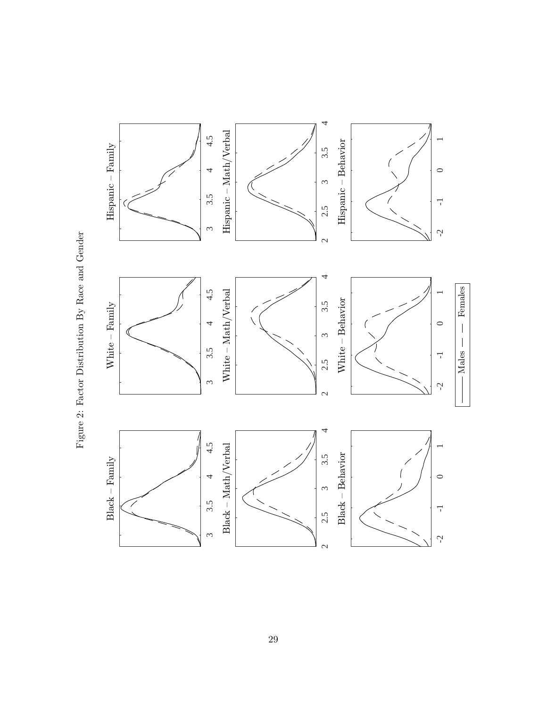

<span id="page-28-0"></span>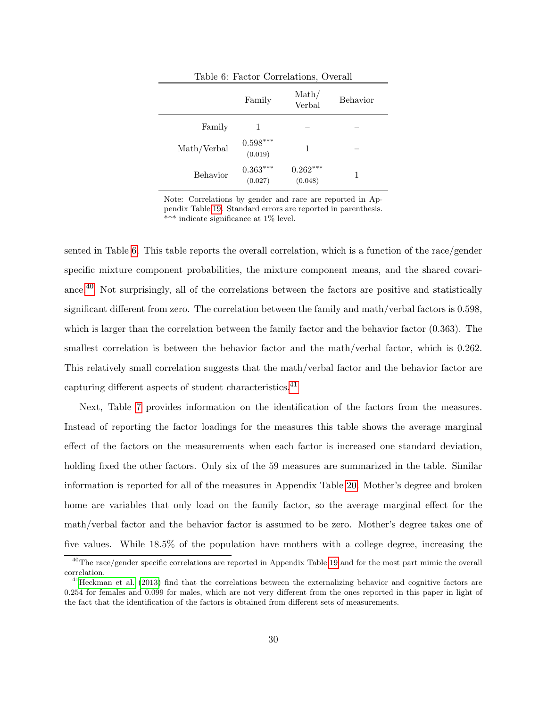<span id="page-29-0"></span>

|             |                       | Table 6: Factor Correlations, Overall |                 |
|-------------|-----------------------|---------------------------------------|-----------------|
|             | Family                | $\mathrm{Math}/$<br>Verbal            | <b>Behavior</b> |
| Family      |                       |                                       |                 |
| Math/Verbal | $0.598***$<br>(0.019) |                                       |                 |
| Behavior    | $0.363***$<br>(0.027) | $0.262***$<br>(0.048)                 |                 |

Note: Correlations by gender and race are reported in Appendix Table [19.](#page-65-0) Standard errors are reported in parenthesis. \*\*\* indicate significance at 1% level.

sented in Table [6.](#page-29-0) This table reports the overall correlation, which is a function of the race/gender specific mixture component probabilities, the mixture component means, and the shared covari-ance.<sup>[40](#page-29-1)</sup> Not surprisingly, all of the correlations between the factors are positive and statistically significant different from zero. The correlation between the family and math/verbal factors is 0.598, which is larger than the correlation between the family factor and the behavior factor (0.363). The smallest correlation is between the behavior factor and the math/verbal factor, which is 0.262. This relatively small correlation suggests that the math/verbal factor and the behavior factor are capturing different aspects of student characteristics.<sup>[41](#page-29-2)</sup>

Next, Table [7](#page-30-0) provides information on the identification of the factors from the measures. Instead of reporting the factor loadings for the measures this table shows the average marginal effect of the factors on the measurements when each factor is increased one standard deviation, holding fixed the other factors. Only six of the 59 measures are summarized in the table. Similar information is reported for all of the measures in Appendix Table [20.](#page-66-0) Mother's degree and broken home are variables that only load on the family factor, so the average marginal effect for the math/verbal factor and the behavior factor is assumed to be zero. Mother's degree takes one of five values. While 18.5% of the population have mothers with a college degree, increasing the

<span id="page-29-1"></span> $^{40}$ The race/gender specific correlations are reported in Appendix Table [19](#page-65-0) and for the most part mimic the overall correlation.

<span id="page-29-2"></span> $^{41}$ [Heckman et al.](#page-53-7) [\(2013\)](#page-53-7) find that the correlations between the externalizing behavior and cognitive factors are 0.254 for females and 0.099 for males, which are not very different from the ones reported in this paper in light of the fact that the identification of the factors is obtained from different sets of measurements.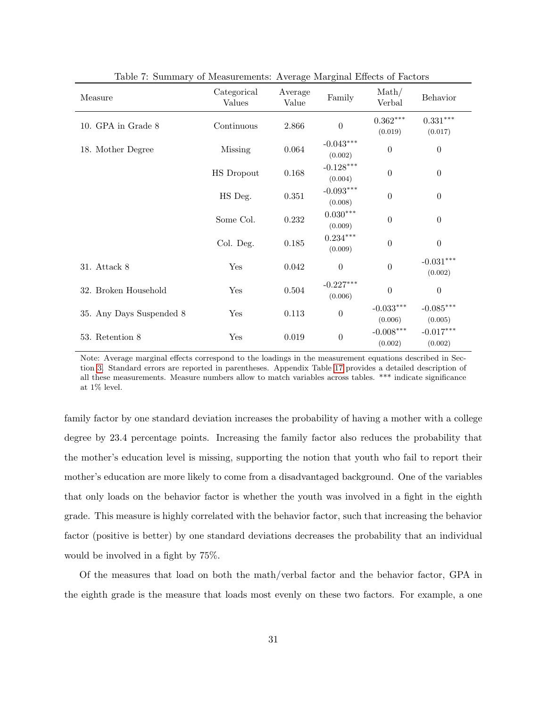| Measure                  | Categorical<br>Values | Average<br>Value | Family                            | $\mathrm{Math}/$<br>Verbal | Behavior                          |
|--------------------------|-----------------------|------------------|-----------------------------------|----------------------------|-----------------------------------|
| 10. GPA in Grade 8       | Continuous            | 2.866            | $\boldsymbol{0}$                  | $0.362***$<br>(0.019)      | $0.331^{\ast\ast\ast}$<br>(0.017) |
| 18. Mother Degree        | Missing               | 0.064            | $-0.043^{***}\,$<br>(0.002)       | $\theta$                   | $\theta$                          |
|                          | <b>HS</b> Dropout     | 0.168            | $-0.128***$<br>(0.004)            | $\theta$                   | $\boldsymbol{0}$                  |
|                          | HS Deg.               | $0.351\,$        | $-0.093***$<br>(0.008)            | $\boldsymbol{0}$           | $\theta$                          |
|                          | Some Col.             | 0.232            | $0.030***$<br>(0.009)             | $\theta$                   | $\boldsymbol{0}$                  |
|                          | Col. Deg.             | 0.185            | $0.234^{\ast\ast\ast}$<br>(0.009) | $\boldsymbol{0}$           | $\theta$                          |
| 31. Attack 8             | Yes                   | 0.042            | $\boldsymbol{0}$                  | $\boldsymbol{0}$           | $-0.031***$<br>(0.002)            |
| 32. Broken Household     | Yes                   | 0.504            | $-0.227***$<br>(0.006)            | $\overline{0}$             | $\theta$                          |
| 35. Any Days Suspended 8 | Yes                   | 0.113            | $\boldsymbol{0}$                  | $-0.033***$<br>(0.006)     | $-0.085***$<br>(0.005)            |
| 53. Retention 8          | Yes                   | 0.019            | $\boldsymbol{0}$                  | $-0.008***$<br>(0.002)     | $-0.017***$<br>(0.002)            |

<span id="page-30-0"></span>Table 7: Summary of Measurements: Average Marginal Effects of Factors

Note: Average marginal effects correspond to the loadings in the measurement equations described in Section [3.](#page-18-0) Standard errors are reported in parentheses. Appendix Table [17](#page-57-0) provides a detailed description of all these measurements. Measure numbers allow to match variables across tables. \*\*\* indicate significance at  $1\%$  level.

family factor by one standard deviation increases the probability of having a mother with a college degree by 23.4 percentage points. Increasing the family factor also reduces the probability that the mother's education level is missing, supporting the notion that youth who fail to report their mother's education are more likely to come from a disadvantaged background. One of the variables that only loads on the behavior factor is whether the youth was involved in a fight in the eighth grade. This measure is highly correlated with the behavior factor, such that increasing the behavior factor (positive is better) by one standard deviations decreases the probability that an individual would be involved in a fight by 75%.

Of the measures that load on both the math/verbal factor and the behavior factor, GPA in the eighth grade is the measure that loads most evenly on these two factors. For example, a one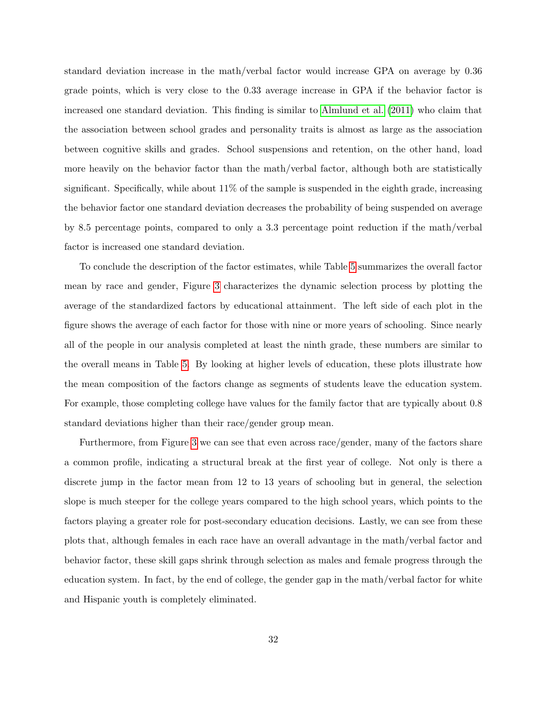standard deviation increase in the math/verbal factor would increase GPA on average by 0.36 grade points, which is very close to the 0.33 average increase in GPA if the behavior factor is increased one standard deviation. This finding is similar to [Almlund et al.](#page-51-9) [\(2011\)](#page-51-9) who claim that the association between school grades and personality traits is almost as large as the association between cognitive skills and grades. School suspensions and retention, on the other hand, load more heavily on the behavior factor than the math/verbal factor, although both are statistically significant. Specifically, while about  $11\%$  of the sample is suspended in the eighth grade, increasing the behavior factor one standard deviation decreases the probability of being suspended on average by 8.5 percentage points, compared to only a 3.3 percentage point reduction if the math/verbal factor is increased one standard deviation.

To conclude the description of the factor estimates, while Table [5](#page-27-1) summarizes the overall factor mean by race and gender, Figure [3](#page-32-0) characterizes the dynamic selection process by plotting the average of the standardized factors by educational attainment. The left side of each plot in the figure shows the average of each factor for those with nine or more years of schooling. Since nearly all of the people in our analysis completed at least the ninth grade, these numbers are similar to the overall means in Table [5.](#page-27-1) By looking at higher levels of education, these plots illustrate how the mean composition of the factors change as segments of students leave the education system. For example, those completing college have values for the family factor that are typically about 0.8 standard deviations higher than their race/gender group mean.

Furthermore, from Figure [3](#page-32-0) we can see that even across race/gender, many of the factors share a common profile, indicating a structural break at the first year of college. Not only is there a discrete jump in the factor mean from 12 to 13 years of schooling but in general, the selection slope is much steeper for the college years compared to the high school years, which points to the factors playing a greater role for post-secondary education decisions. Lastly, we can see from these plots that, although females in each race have an overall advantage in the math/verbal factor and behavior factor, these skill gaps shrink through selection as males and female progress through the education system. In fact, by the end of college, the gender gap in the math/verbal factor for white and Hispanic youth is completely eliminated.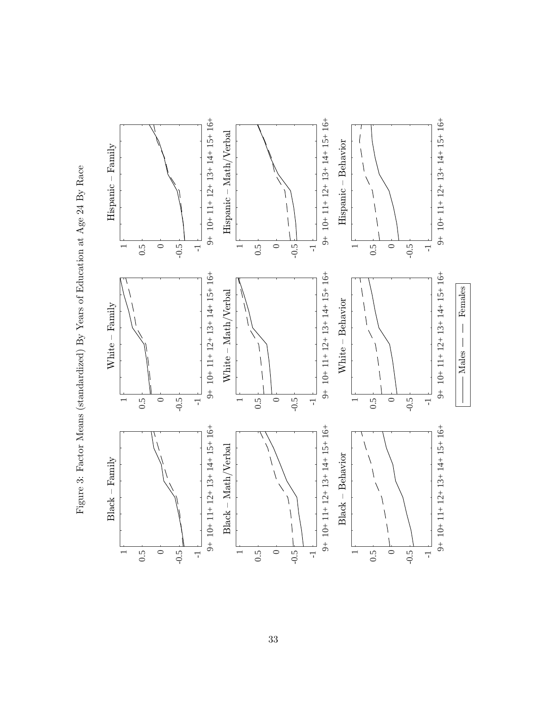

<span id="page-32-0"></span>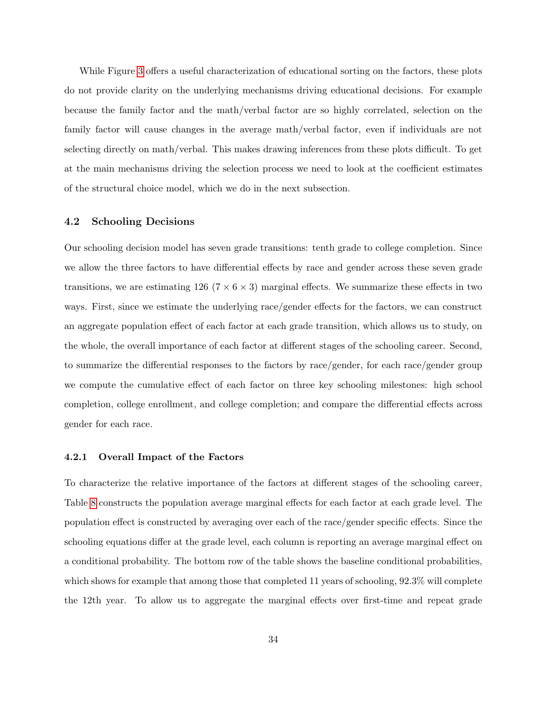While Figure [3](#page-32-0) offers a useful characterization of educational sorting on the factors, these plots do not provide clarity on the underlying mechanisms driving educational decisions. For example because the family factor and the math/verbal factor are so highly correlated, selection on the family factor will cause changes in the average math/verbal factor, even if individuals are not selecting directly on math/verbal. This makes drawing inferences from these plots difficult. To get at the main mechanisms driving the selection process we need to look at the coefficient estimates of the structural choice model, which we do in the next subsection.

## 4.2 Schooling Decisions

Our schooling decision model has seven grade transitions: tenth grade to college completion. Since we allow the three factors to have differential effects by race and gender across these seven grade transitions, we are estimating 126 ( $7 \times 6 \times 3$ ) marginal effects. We summarize these effects in two ways. First, since we estimate the underlying race/gender effects for the factors, we can construct an aggregate population effect of each factor at each grade transition, which allows us to study, on the whole, the overall importance of each factor at different stages of the schooling career. Second, to summarize the differential responses to the factors by race/gender, for each race/gender group we compute the cumulative effect of each factor on three key schooling milestones: high school completion, college enrollment, and college completion; and compare the differential effects across gender for each race.

#### 4.2.1 Overall Impact of the Factors

To characterize the relative importance of the factors at different stages of the schooling career, Table [8](#page-34-0) constructs the population average marginal effects for each factor at each grade level. The population effect is constructed by averaging over each of the race/gender specific effects. Since the schooling equations differ at the grade level, each column is reporting an average marginal effect on a conditional probability. The bottom row of the table shows the baseline conditional probabilities, which shows for example that among those that completed 11 years of schooling, 92.3% will complete the 12th year. To allow us to aggregate the marginal effects over first-time and repeat grade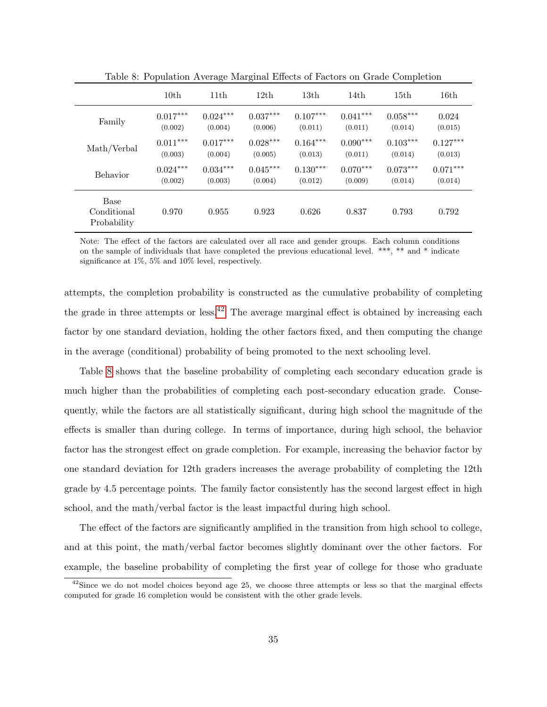|                                    | 10 <sub>th</sub> | 11 <sup>th</sup> | 12th       | 13 <sub>th</sub> | 14th       | 15th       | 16th       |
|------------------------------------|------------------|------------------|------------|------------------|------------|------------|------------|
| Family                             | $0.017***$       | $0.024***$       | $0.037***$ | $0.107***$       | $0.041***$ | $0.058***$ | 0.024      |
|                                    | (0.002)          | (0.004)          | (0.006)    | (0.011)          | (0.011)    | (0.014)    | (0.015)    |
| Math/Verbal                        | $0.011***$       | $0.017***$       | $0.028***$ | $0.164***$       | $0.090***$ | $0.103***$ | $0.127***$ |
|                                    | (0.003)          | (0.004)          | (0.005)    | (0.013)          | (0.011)    | (0.014)    | (0.013)    |
| <b>Behavior</b>                    | $0.024***$       | $0.034***$       | $0.045***$ | $0.130***$       | $0.070***$ | $0.073***$ | $0.071***$ |
|                                    | (0.002)          | (0.003)          | (0.004)    | (0.012)          | (0.009)    | (0.014)    | (0.014)    |
| Base<br>Conditional<br>Probability | 0.970            | 0.955            | 0.923      | 0.626            | 0.837      | 0.793      | 0.792      |

<span id="page-34-0"></span>Table 8: Population Average Marginal Effects of Factors on Grade Completion

Note: The effect of the factors are calculated over all race and gender groups. Each column conditions on the sample of individuals that have completed the previous educational level. \*\*\*, \*\* and \* indicate significance at 1%, 5% and 10% level, respectively.

attempts, the completion probability is constructed as the cumulative probability of completing the grade in three attempts or less.<sup>[42](#page-34-1)</sup> The average marginal effect is obtained by increasing each factor by one standard deviation, holding the other factors fixed, and then computing the change in the average (conditional) probability of being promoted to the next schooling level.

Table [8](#page-34-0) shows that the baseline probability of completing each secondary education grade is much higher than the probabilities of completing each post-secondary education grade. Consequently, while the factors are all statistically significant, during high school the magnitude of the effects is smaller than during college. In terms of importance, during high school, the behavior factor has the strongest effect on grade completion. For example, increasing the behavior factor by one standard deviation for 12th graders increases the average probability of completing the 12th grade by 4.5 percentage points. The family factor consistently has the second largest effect in high school, and the math/verbal factor is the least impactful during high school.

The effect of the factors are significantly amplified in the transition from high school to college, and at this point, the math/verbal factor becomes slightly dominant over the other factors. For example, the baseline probability of completing the first year of college for those who graduate

<span id="page-34-1"></span> $^{42}$ Since we do not model choices beyond age 25, we choose three attempts or less so that the marginal effects computed for grade 16 completion would be consistent with the other grade levels.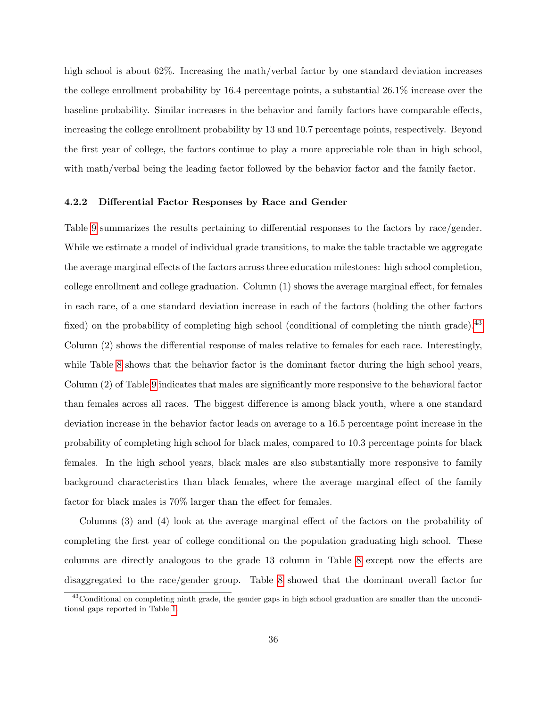high school is about 62%. Increasing the math/verbal factor by one standard deviation increases the college enrollment probability by 16.4 percentage points, a substantial 26.1% increase over the baseline probability. Similar increases in the behavior and family factors have comparable effects, increasing the college enrollment probability by 13 and 10.7 percentage points, respectively. Beyond the first year of college, the factors continue to play a more appreciable role than in high school, with math/verbal being the leading factor followed by the behavior factor and the family factor.

## 4.2.2 Differential Factor Responses by Race and Gender

Table [9](#page-36-0) summarizes the results pertaining to differential responses to the factors by race/gender. While we estimate a model of individual grade transitions, to make the table tractable we aggregate the average marginal effects of the factors across three education milestones: high school completion, college enrollment and college graduation. Column (1) shows the average marginal effect, for females in each race, of a one standard deviation increase in each of the factors (holding the other factors fixed) on the probability of completing high school (conditional of completing the ninth grade).<sup>[43](#page-35-0)</sup> Column (2) shows the differential response of males relative to females for each race. Interestingly, while Table [8](#page-34-0) shows that the behavior factor is the dominant factor during the high school years, Column (2) of Table [9](#page-36-0) indicates that males are significantly more responsive to the behavioral factor than females across all races. The biggest difference is among black youth, where a one standard deviation increase in the behavior factor leads on average to a 16.5 percentage point increase in the probability of completing high school for black males, compared to 10.3 percentage points for black females. In the high school years, black males are also substantially more responsive to family background characteristics than black females, where the average marginal effect of the family factor for black males is 70% larger than the effect for females.

Columns (3) and (4) look at the average marginal effect of the factors on the probability of completing the first year of college conditional on the population graduating high school. These columns are directly analogous to the grade 13 column in Table [8](#page-34-0) except now the effects are disaggregated to the race/gender group. Table [8](#page-34-0) showed that the dominant overall factor for

<span id="page-35-0"></span><sup>&</sup>lt;sup>43</sup>Conditional on completing ninth grade, the gender gaps in high school graduation are smaller than the unconditional gaps reported in Table [1.](#page-8-0)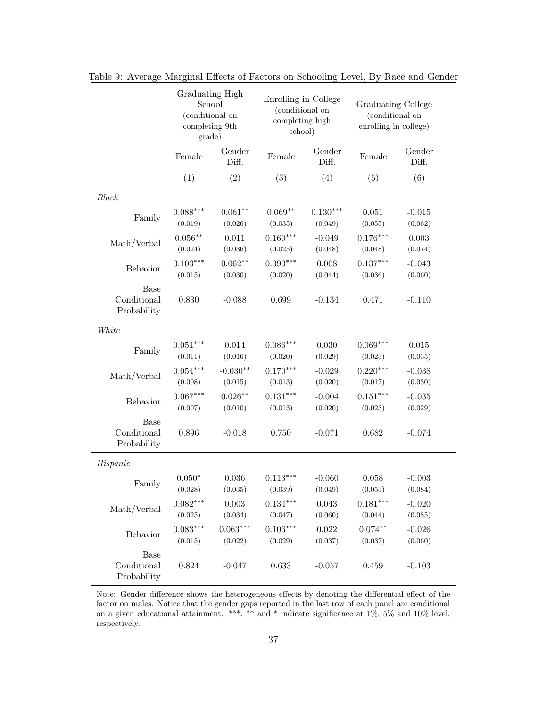|                                           | Graduating High<br>School<br>(conditional on<br>completing 9th<br>grade) |                 | Enrolling in College<br>(conditional on<br>completing high<br>school) |                 | <b>Graduating College</b><br>(conditional on<br>enrolling in college) |                 |
|-------------------------------------------|--------------------------------------------------------------------------|-----------------|-----------------------------------------------------------------------|-----------------|-----------------------------------------------------------------------|-----------------|
|                                           | Female                                                                   | Gender<br>Diff. | Female                                                                | Gender<br>Diff. | Female                                                                | Gender<br>Diff. |
|                                           | (1)                                                                      | (2)             | (3)                                                                   | (4)             | (5)                                                                   | (6)             |
| Black                                     |                                                                          |                 |                                                                       |                 |                                                                       |                 |
| Family                                    | $0.088***$                                                               | $0.061**$       | $0.069**$                                                             | $0.130***$      | 0.051                                                                 | $-0.015$        |
|                                           | (0.019)                                                                  | (0.026)         | (0.035)                                                               | (0.049)         | (0.055)                                                               | (0.062)         |
| Math/Verbal                               | $0.056***$                                                               | 0.011           | $0.160***$                                                            | $-0.049$        | $0.176***$                                                            | 0.003           |
|                                           | (0.024)                                                                  | (0.036)         | (0.025)                                                               | (0.048)         | (0.048)                                                               | (0.074)         |
| Behavior                                  | $0.103***$                                                               | $0.062**$       | $0.090***$                                                            | 0.008           | $0.137***$                                                            | $-0.043$        |
|                                           | (0.015)                                                                  | (0.030)         | (0.020)                                                               | (0.044)         | (0.036)                                                               | (0.060)         |
| <b>Base</b><br>Conditional<br>Probability | 0.830                                                                    | $-0.088$        | 0.699                                                                 | $-0.134$        | 0.471                                                                 | $-0.110$        |
| White                                     |                                                                          |                 |                                                                       |                 |                                                                       |                 |
| Family                                    | $0.051***$                                                               | 0.014           | $0.086***$                                                            | 0.030           | $0.069***$                                                            | 0.015           |
|                                           | (0.011)                                                                  | (0.016)         | (0.020)                                                               | (0.029)         | (0.023)                                                               | (0.035)         |
| Math/Verbal                               | $0.054***$                                                               | $-0.030**$      | $0.170***$                                                            | $-0.029$        | $0.220***$                                                            | $-0.038$        |
|                                           | (0.008)                                                                  | (0.015)         | (0.013)                                                               | (0.020)         | (0.017)                                                               | (0.030)         |
| Behavior                                  | $0.067***$                                                               | $0.026**$       | $0.131***$                                                            | $-0.004$        | $0.151***$                                                            | $-0.035$        |
|                                           | (0.007)                                                                  | (0.010)         | (0.013)                                                               | (0.020)         | (0.023)                                                               | (0.029)         |
| <b>Base</b><br>Conditional<br>Probability | 0.896                                                                    | $-0.018$        | 0.750                                                                 | $-0.071$        | 0.682                                                                 | $-0.074$        |
| Hispanic                                  |                                                                          |                 |                                                                       |                 |                                                                       |                 |
| Family                                    | $0.050*$                                                                 | 0.036           | $0.113***$                                                            | $-0.060$        | 0.058                                                                 | $-0.003$        |
|                                           | (0.028)                                                                  | (0.035)         | (0.039)                                                               | (0.049)         | (0.053)                                                               | (0.084)         |
| Math/Verbal                               | $0.082***$                                                               | 0.003           | $0.134***$                                                            | 0.043           | $0.181***$                                                            | $-0.020$        |
|                                           | (0.025)                                                                  | (0.034)         | (0.047)                                                               | (0.060)         | (0.044)                                                               | (0.085)         |
| Behavior                                  | $0.083***$                                                               | $0.063^{***}\,$ | $0.106***$                                                            | 0.022           | $0.074**$                                                             | $-0.026$        |
|                                           | (0.015)                                                                  | (0.022)         | (0.029)                                                               | (0.037)         | (0.037)                                                               | (0.060)         |
| Base<br>Conditional<br>Probability        | 0.824                                                                    | $-0.047$        | 0.633                                                                 | $-0.057$        | 0.459                                                                 | $-0.103$        |

<span id="page-36-0"></span>Table 9: Average Marginal Effects of Factors on Schooling Level, By Race and Gender

Note: Gender difference shows the heterogeneous effects by denoting the differential effect of the factor on males. Notice that the gender gaps reported in the last row of each panel are conditional on a given educational attainment. \*\*\*, \*\* and \* indicate significance at 1%, 5% and 10% level, respectively.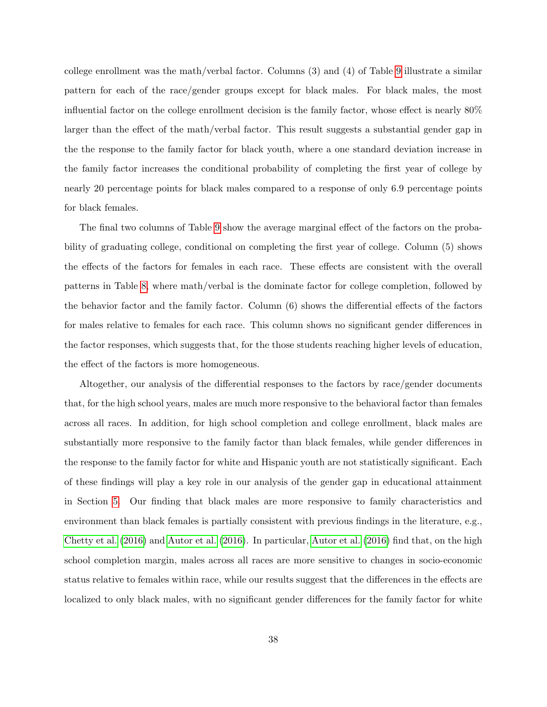college enrollment was the math/verbal factor. Columns (3) and (4) of Table [9](#page-36-0) illustrate a similar pattern for each of the race/gender groups except for black males. For black males, the most influential factor on the college enrollment decision is the family factor, whose effect is nearly 80% larger than the effect of the math/verbal factor. This result suggests a substantial gender gap in the the response to the family factor for black youth, where a one standard deviation increase in the family factor increases the conditional probability of completing the first year of college by nearly 20 percentage points for black males compared to a response of only 6.9 percentage points for black females.

The final two columns of Table [9](#page-36-0) show the average marginal effect of the factors on the probability of graduating college, conditional on completing the first year of college. Column (5) shows the effects of the factors for females in each race. These effects are consistent with the overall patterns in Table [8,](#page-34-0) where math/verbal is the dominate factor for college completion, followed by the behavior factor and the family factor. Column (6) shows the differential effects of the factors for males relative to females for each race. This column shows no significant gender differences in the factor responses, which suggests that, for the those students reaching higher levels of education, the effect of the factors is more homogeneous.

Altogether, our analysis of the differential responses to the factors by race/gender documents that, for the high school years, males are much more responsive to the behavioral factor than females across all races. In addition, for high school completion and college enrollment, black males are substantially more responsive to the family factor than black females, while gender differences in the response to the family factor for white and Hispanic youth are not statistically significant. Each of these findings will play a key role in our analysis of the gender gap in educational attainment in Section [5.](#page-40-0) Our finding that black males are more responsive to family characteristics and environment than black females is partially consistent with previous findings in the literature, e.g., [Chetty et al.](#page-52-3) [\(2016\)](#page-52-3) and [Autor et al.](#page-51-2) [\(2016\)](#page-51-2). In particular, [Autor et al.](#page-51-2) [\(2016\)](#page-51-2) find that, on the high school completion margin, males across all races are more sensitive to changes in socio-economic status relative to females within race, while our results suggest that the differences in the effects are localized to only black males, with no significant gender differences for the family factor for white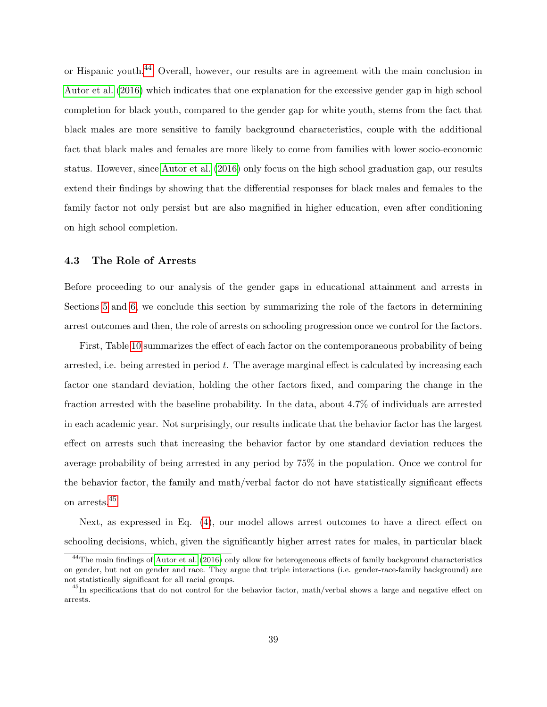or Hispanic youth.[44](#page-38-0) Overall, however, our results are in agreement with the main conclusion in [Autor et al.](#page-51-2) [\(2016\)](#page-51-2) which indicates that one explanation for the excessive gender gap in high school completion for black youth, compared to the gender gap for white youth, stems from the fact that black males are more sensitive to family background characteristics, couple with the additional fact that black males and females are more likely to come from families with lower socio-economic status. However, since [Autor et al.](#page-51-2) [\(2016\)](#page-51-2) only focus on the high school graduation gap, our results extend their findings by showing that the differential responses for black males and females to the family factor not only persist but are also magnified in higher education, even after conditioning on high school completion.

## 4.3 The Role of Arrests

Before proceeding to our analysis of the gender gaps in educational attainment and arrests in Sections [5](#page-40-0) and [6,](#page-47-0) we conclude this section by summarizing the role of the factors in determining arrest outcomes and then, the role of arrests on schooling progression once we control for the factors.

First, Table [10](#page-39-0) summarizes the effect of each factor on the contemporaneous probability of being arrested, i.e. being arrested in period  $t$ . The average marginal effect is calculated by increasing each factor one standard deviation, holding the other factors fixed, and comparing the change in the fraction arrested with the baseline probability. In the data, about 4.7% of individuals are arrested in each academic year. Not surprisingly, our results indicate that the behavior factor has the largest effect on arrests such that increasing the behavior factor by one standard deviation reduces the average probability of being arrested in any period by 75% in the population. Once we control for the behavior factor, the family and math/verbal factor do not have statistically significant effects on arrests.[45](#page-38-1)

Next, as expressed in Eq. [\(4\)](#page-21-1), our model allows arrest outcomes to have a direct effect on schooling decisions, which, given the significantly higher arrest rates for males, in particular black

<span id="page-38-0"></span><sup>&</sup>lt;sup>44</sup>The main findings of [Autor et al.](#page-51-2) [\(2016\)](#page-51-2) only allow for heterogeneous effects of family background characteristics on gender, but not on gender and race. They argue that triple interactions (i.e. gender-race-family background) are not statistically significant for all racial groups.

<span id="page-38-1"></span> $^{45}$ In specifications that do not control for the behavior factor, math/verbal shows a large and negative effect on arrests.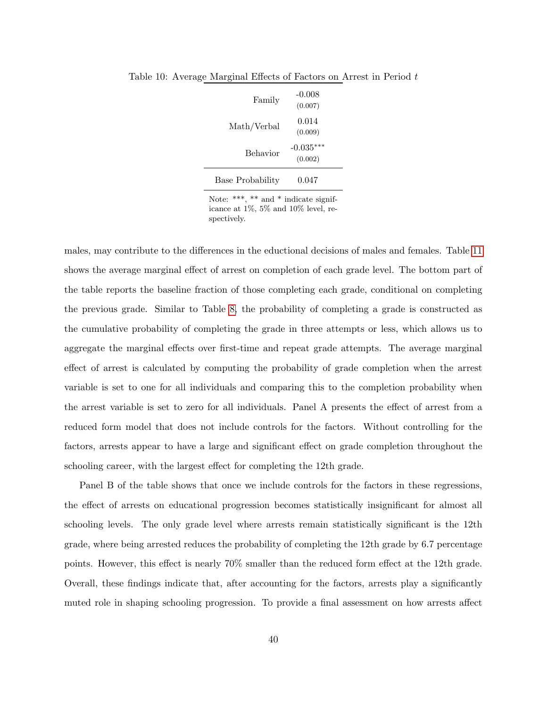<span id="page-39-0"></span>

| Family           | -0.008<br>(0.007)      |
|------------------|------------------------|
| Math/Verbal      | 0.014<br>(0.009)       |
| <b>Behavior</b>  | $-0.035***$<br>(0.002) |
| Base Probability | 0.047                  |

Table 10: Average Marginal Effects of Factors on Arrest in Period t

Note: \*\*\*, \*\* and \* indicate significance at 1%, 5% and 10% level, respectively.

males, may contribute to the differences in the eductional decisions of males and females. Table [11](#page-40-1) shows the average marginal effect of arrest on completion of each grade level. The bottom part of the table reports the baseline fraction of those completing each grade, conditional on completing the previous grade. Similar to Table [8,](#page-34-0) the probability of completing a grade is constructed as the cumulative probability of completing the grade in three attempts or less, which allows us to aggregate the marginal effects over first-time and repeat grade attempts. The average marginal effect of arrest is calculated by computing the probability of grade completion when the arrest variable is set to one for all individuals and comparing this to the completion probability when the arrest variable is set to zero for all individuals. Panel A presents the effect of arrest from a reduced form model that does not include controls for the factors. Without controlling for the factors, arrests appear to have a large and significant effect on grade completion throughout the schooling career, with the largest effect for completing the 12th grade.

Panel B of the table shows that once we include controls for the factors in these regressions, the effect of arrests on educational progression becomes statistically insignificant for almost all schooling levels. The only grade level where arrests remain statistically significant is the 12th grade, where being arrested reduces the probability of completing the 12th grade by 6.7 percentage points. However, this effect is nearly 70% smaller than the reduced form effect at the 12th grade. Overall, these findings indicate that, after accounting for the factors, arrests play a significantly muted role in shaping schooling progression. To provide a final assessment on how arrests affect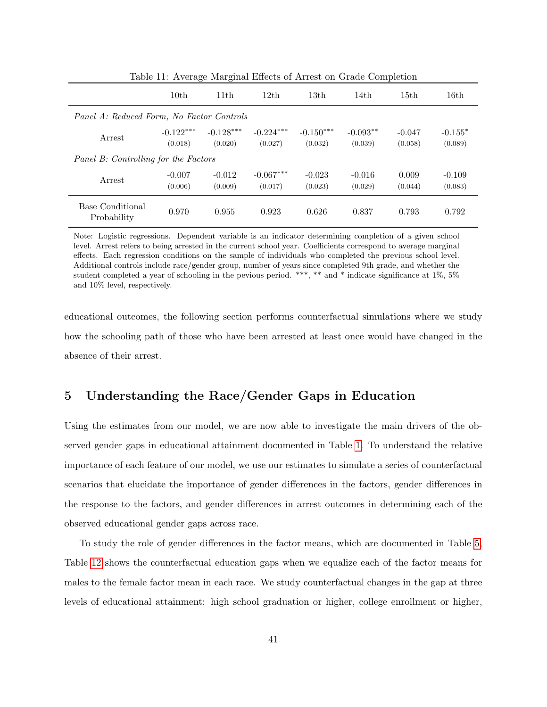|                                           | ం                      | $\epsilon$             |                        |                        |                       |                     |                      |
|-------------------------------------------|------------------------|------------------------|------------------------|------------------------|-----------------------|---------------------|----------------------|
|                                           | 10 <sub>th</sub>       | 11th                   | 12th                   | 13 <sub>th</sub>       | 14th                  | 15 <sub>th</sub>    | 16th                 |
| Panel A: Reduced Form, No Factor Controls |                        |                        |                        |                        |                       |                     |                      |
| Arrest                                    | $-0.122***$<br>(0.018) | $-0.128***$<br>(0.020) | $-0.224***$<br>(0.027) | $-0.150***$<br>(0.032) | $-0.093**$<br>(0.039) | $-0.047$<br>(0.058) | $-0.155*$<br>(0.089) |
| Panel B: Controlling for the Factors      |                        |                        |                        |                        |                       |                     |                      |
| Arrest                                    | $-0.007$<br>(0.006)    | $-0.012$<br>(0.009)    | $-0.067***$<br>(0.017) | $-0.023$<br>(0.023)    | $-0.016$<br>(0.029)   | 0.009<br>(0.044)    | $-0.109$<br>(0.083)  |
| Base Conditional<br>Probability           | 0.970                  | 0.955                  | 0.923                  | 0.626                  | 0.837                 | 0.793               | 0.792                |

<span id="page-40-1"></span>Table 11: Average Marginal Effects of Arrest on Grade Completion

Note: Logistic regressions. Dependent variable is an indicator determining completion of a given school level. Arrest refers to being arrested in the current school year. Coefficients correspond to average marginal effects. Each regression conditions on the sample of individuals who completed the previous school level. Additional controls include race/gender group, number of years since completed 9th grade, and whether the student completed a year of schooling in the pevious period. \*\*\*, \*\* and \* indicate significance at 1%, 5% and 10% level, respectively.

educational outcomes, the following section performs counterfactual simulations where we study how the schooling path of those who have been arrested at least once would have changed in the absence of their arrest.

# <span id="page-40-0"></span>5 Understanding the Race/Gender Gaps in Education

Using the estimates from our model, we are now able to investigate the main drivers of the observed gender gaps in educational attainment documented in Table [1.](#page-8-0) To understand the relative importance of each feature of our model, we use our estimates to simulate a series of counterfactual scenarios that elucidate the importance of gender differences in the factors, gender differences in the response to the factors, and gender differences in arrest outcomes in determining each of the observed educational gender gaps across race.

To study the role of gender differences in the factor means, which are documented in Table [5,](#page-27-1) Table [12](#page-42-0) shows the counterfactual education gaps when we equalize each of the factor means for males to the female factor mean in each race. We study counterfactual changes in the gap at three levels of educational attainment: high school graduation or higher, college enrollment or higher,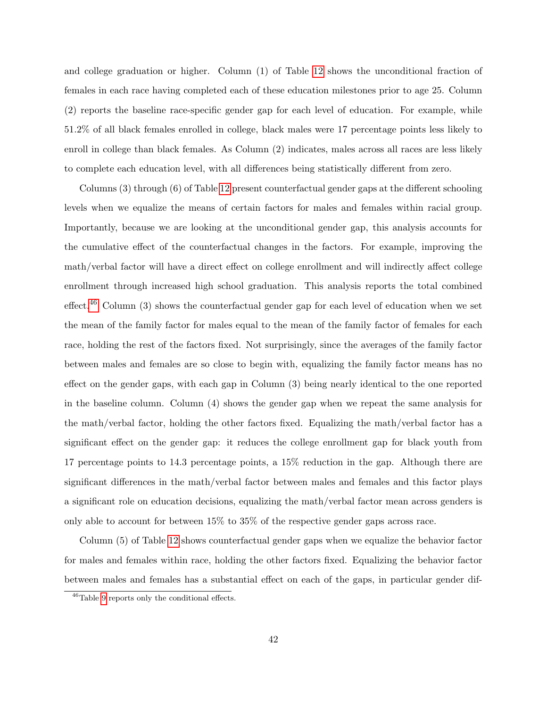and college graduation or higher. Column (1) of Table [12](#page-42-0) shows the unconditional fraction of females in each race having completed each of these education milestones prior to age 25. Column (2) reports the baseline race-specific gender gap for each level of education. For example, while 51.2% of all black females enrolled in college, black males were 17 percentage points less likely to enroll in college than black females. As Column (2) indicates, males across all races are less likely to complete each education level, with all differences being statistically different from zero.

Columns (3) through (6) of Table [12](#page-42-0) present counterfactual gender gaps at the different schooling levels when we equalize the means of certain factors for males and females within racial group. Importantly, because we are looking at the unconditional gender gap, this analysis accounts for the cumulative effect of the counterfactual changes in the factors. For example, improving the math/verbal factor will have a direct effect on college enrollment and will indirectly affect college enrollment through increased high school graduation. This analysis reports the total combined effect.[46](#page-41-0) Column (3) shows the counterfactual gender gap for each level of education when we set the mean of the family factor for males equal to the mean of the family factor of females for each race, holding the rest of the factors fixed. Not surprisingly, since the averages of the family factor between males and females are so close to begin with, equalizing the family factor means has no effect on the gender gaps, with each gap in Column (3) being nearly identical to the one reported in the baseline column. Column (4) shows the gender gap when we repeat the same analysis for the math/verbal factor, holding the other factors fixed. Equalizing the math/verbal factor has a significant effect on the gender gap: it reduces the college enrollment gap for black youth from 17 percentage points to 14.3 percentage points, a 15% reduction in the gap. Although there are significant differences in the math/verbal factor between males and females and this factor plays a significant role on education decisions, equalizing the math/verbal factor mean across genders is only able to account for between 15% to 35% of the respective gender gaps across race.

Column (5) of Table [12](#page-42-0) shows counterfactual gender gaps when we equalize the behavior factor for males and females within race, holding the other factors fixed. Equalizing the behavior factor between males and females has a substantial effect on each of the gaps, in particular gender dif-

<span id="page-41-0"></span><sup>46</sup>Table [9](#page-36-0) reports only the conditional effects.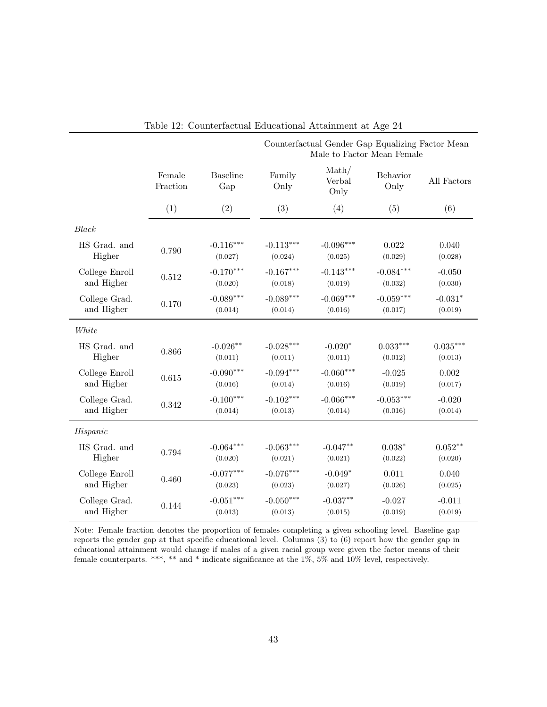|                |                    |                        | Counterfactual Gender Gap Equalizing Factor Mean<br>Male to Factor Mean Female |                                    |                  |             |  |
|----------------|--------------------|------------------------|--------------------------------------------------------------------------------|------------------------------------|------------------|-------------|--|
|                | Female<br>Fraction | <b>Baseline</b><br>Gap | Family<br>Only                                                                 | $\mathrm{Math}/$<br>Verbal<br>Only | Behavior<br>Only | All Factors |  |
|                | (1)                | (2)                    | (3)                                                                            | (4)                                | (5)              | (6)         |  |
| Black          |                    |                        |                                                                                |                                    |                  |             |  |
| HS Grad. and   | 0.790              | $-0.116***$            | $-0.113***$                                                                    | $-0.096***$                        | 0.022            | 0.040       |  |
| Higher         |                    | (0.027)                | (0.024)                                                                        | (0.025)                            | (0.029)          | (0.028)     |  |
| College Enroll | 0.512              | $-0.170***$            | $-0.167***$                                                                    | $-0.143***$                        | $-0.084***$      | $-0.050$    |  |
| and Higher     |                    | (0.020)                | (0.018)                                                                        | (0.019)                            | (0.032)          | (0.030)     |  |
| College Grad.  | 0.170              | $-0.089***$            | $-0.089***$                                                                    | $-0.069***$                        | $-0.059***$      | $-0.031*$   |  |
| and Higher     |                    | (0.014)                | (0.014)                                                                        | (0.016)                            | (0.017)          | (0.019)     |  |
| White          |                    |                        |                                                                                |                                    |                  |             |  |
| HS Grad. and   | 0.866              | $-0.026^{\ast\ast}$    | $-0.028***$                                                                    | $-0.020*$                          | $0.033^{***}\,$  | $0.035***$  |  |
| Higher         |                    | (0.011)                | (0.011)                                                                        | (0.011)                            | (0.012)          | (0.013)     |  |
| College Enroll | 0.615              | $-0.090***$            | $-0.094***$                                                                    | $-0.060***$                        | $-0.025$         | 0.002       |  |
| and Higher     |                    | (0.016)                | (0.014)                                                                        | (0.016)                            | (0.019)          | (0.017)     |  |
| College Grad.  | 0.342              | $-0.100***$            | $-0.102***$                                                                    | $-0.066***$                        | $-0.053***$      | $-0.020$    |  |
| and Higher     |                    | (0.014)                | (0.013)                                                                        | (0.014)                            | (0.016)          | (0.014)     |  |
| Hispanic       |                    |                        |                                                                                |                                    |                  |             |  |
| HS Grad. and   | 0.794              | $-0.064***$            | $-0.063***$                                                                    | $-0.047**$                         | $0.038*$         | $0.052***$  |  |
| Higher         |                    | (0.020)                | (0.021)                                                                        | (0.021)                            | (0.022)          | (0.020)     |  |
| College Enroll | 0.460              | $-0.077***$            | $-0.076***$                                                                    | $-0.049*$                          | 0.011            | 0.040       |  |
| and Higher     |                    | (0.023)                | (0.023)                                                                        | (0.027)                            | (0.026)          | (0.025)     |  |
| College Grad.  | 0.144              | $-0.051^{***}\,$       | $-0.050***$                                                                    | $-0.037**$                         | $-0.027$         | $-0.011$    |  |
| and Higher     |                    | (0.013)                | (0.013)                                                                        | (0.015)                            | (0.019)          | (0.019)     |  |

<span id="page-42-0"></span>

|  | Table 12: Counterfactual Educational Attainment at Age 24 |  |  |  |  |  |
|--|-----------------------------------------------------------|--|--|--|--|--|
|--|-----------------------------------------------------------|--|--|--|--|--|

Note: Female fraction denotes the proportion of females completing a given schooling level. Baseline gap reports the gender gap at that specific educational level. Columns (3) to (6) report how the gender gap in educational attainment would change if males of a given racial group were given the factor means of their female counterparts. \*\*\*, \*\* and \* indicate significance at the 1%, 5% and 10% level, respectively.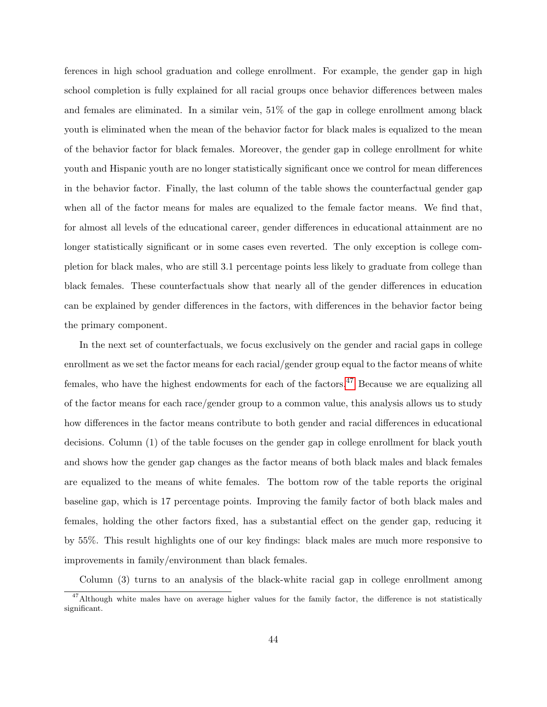ferences in high school graduation and college enrollment. For example, the gender gap in high school completion is fully explained for all racial groups once behavior differences between males and females are eliminated. In a similar vein, 51% of the gap in college enrollment among black youth is eliminated when the mean of the behavior factor for black males is equalized to the mean of the behavior factor for black females. Moreover, the gender gap in college enrollment for white youth and Hispanic youth are no longer statistically significant once we control for mean differences in the behavior factor. Finally, the last column of the table shows the counterfactual gender gap when all of the factor means for males are equalized to the female factor means. We find that, for almost all levels of the educational career, gender differences in educational attainment are no longer statistically significant or in some cases even reverted. The only exception is college completion for black males, who are still 3.1 percentage points less likely to graduate from college than black females. These counterfactuals show that nearly all of the gender differences in education can be explained by gender differences in the factors, with differences in the behavior factor being the primary component.

In the next set of counterfactuals, we focus exclusively on the gender and racial gaps in college enrollment as we set the factor means for each racial/gender group equal to the factor means of white females, who have the highest endowments for each of the factors.<sup>[47](#page-43-0)</sup> Because we are equalizing all of the factor means for each race/gender group to a common value, this analysis allows us to study how differences in the factor means contribute to both gender and racial differences in educational decisions. Column (1) of the table focuses on the gender gap in college enrollment for black youth and shows how the gender gap changes as the factor means of both black males and black females are equalized to the means of white females. The bottom row of the table reports the original baseline gap, which is 17 percentage points. Improving the family factor of both black males and females, holding the other factors fixed, has a substantial effect on the gender gap, reducing it by 55%. This result highlights one of our key findings: black males are much more responsive to improvements in family/environment than black females.

Column (3) turns to an analysis of the black-white racial gap in college enrollment among

<span id="page-43-0"></span> $47$ Although white males have on average higher values for the family factor, the difference is not statistically significant.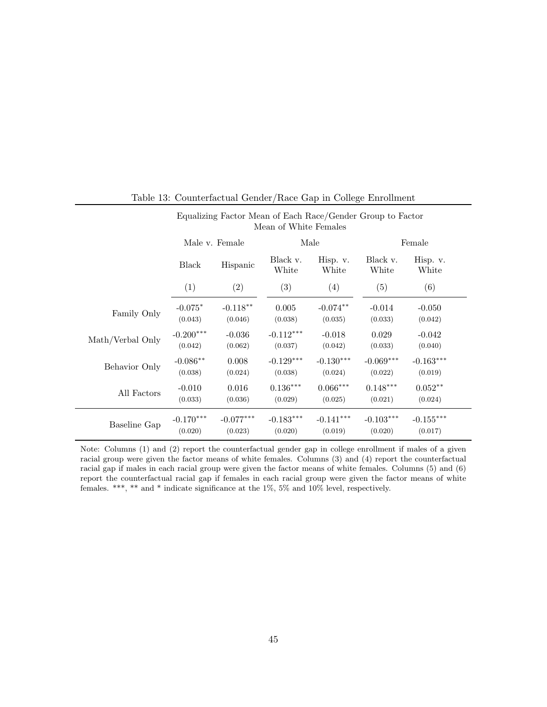|                  | Mean of White Females    |                        |                        |                        |                        |                        |  |
|------------------|--------------------------|------------------------|------------------------|------------------------|------------------------|------------------------|--|
|                  |                          | Male v. Female         |                        | Male                   |                        | Female                 |  |
|                  | <b>Black</b><br>Hispanic |                        | Black v.<br>White      | Hisp. v.<br>White      | Black v.<br>White      | Hisp. v.<br>White      |  |
|                  | (1)                      | (2)                    | (3)                    | (4)                    | (5)                    | (6)                    |  |
| Family Only      | $-0.075*$<br>(0.043)     | $-0.118**$<br>(0.046)  | 0.005<br>(0.038)       | $-0.074**$<br>(0.035)  | $-0.014$<br>(0.033)    | $-0.050$<br>(0.042)    |  |
| Math/Verbal Only | $-0.200***$<br>(0.042)   | $-0.036$<br>(0.062)    | $-0.112***$<br>(0.037) | $-0.018$<br>(0.042)    | 0.029<br>(0.033)       | $-0.042$<br>(0.040)    |  |
| Behavior Only    | $-0.086**$<br>(0.038)    | 0.008<br>(0.024)       | $-0.129***$<br>(0.038) | $-0.130***$<br>(0.024) | $-0.069***$<br>(0.022) | $-0.163***$<br>(0.019) |  |
| All Factors      | $-0.010$<br>(0.033)      | 0.016<br>(0.036)       | $0.136***$<br>(0.029)  | $0.066***$<br>(0.025)  | $0.148***$<br>(0.021)  | $0.052**$<br>(0.024)   |  |
| Baseline Gap     | $-0.170***$<br>(0.020)   | $-0.077***$<br>(0.023) | $-0.183***$<br>(0.020) | $-0.141***$<br>(0.019) | $-0.103***$<br>(0.020) | $-0.155***$<br>(0.017) |  |

Table 13: Counterfactual Gender/Race Gap in College Enrollment

Equalizing Factor Mean of Each Race/Gender Group to Factor

Note: Columns (1) and (2) report the counterfactual gender gap in college enrollment if males of a given racial group were given the factor means of white females. Columns (3) and (4) report the counterfactual racial gap if males in each racial group were given the factor means of white females. Columns (5) and (6) report the counterfactual racial gap if females in each racial group were given the factor means of white females. \*\*\*, \*\* and \* indicate significance at the 1%, 5% and 10% level, respectively.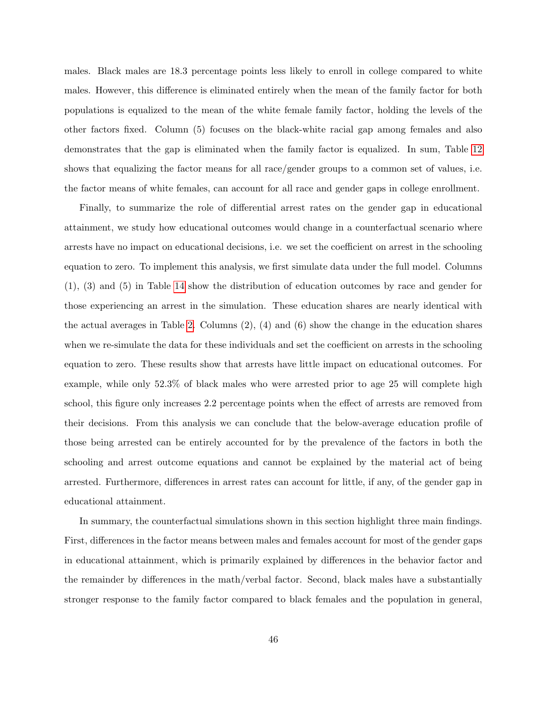males. Black males are 18.3 percentage points less likely to enroll in college compared to white males. However, this difference is eliminated entirely when the mean of the family factor for both populations is equalized to the mean of the white female family factor, holding the levels of the other factors fixed. Column (5) focuses on the black-white racial gap among females and also demonstrates that the gap is eliminated when the family factor is equalized. In sum, Table [12](#page-42-0) shows that equalizing the factor means for all race/gender groups to a common set of values, i.e. the factor means of white females, can account for all race and gender gaps in college enrollment.

Finally, to summarize the role of differential arrest rates on the gender gap in educational attainment, we study how educational outcomes would change in a counterfactual scenario where arrests have no impact on educational decisions, i.e. we set the coefficient on arrest in the schooling equation to zero. To implement this analysis, we first simulate data under the full model. Columns (1), (3) and (5) in Table [14](#page-46-0) show the distribution of education outcomes by race and gender for those experiencing an arrest in the simulation. These education shares are nearly identical with the actual averages in Table [2.](#page-9-0) Columns  $(2)$ ,  $(4)$  and  $(6)$  show the change in the education shares when we re-simulate the data for these individuals and set the coefficient on arrests in the schooling equation to zero. These results show that arrests have little impact on educational outcomes. For example, while only 52.3% of black males who were arrested prior to age 25 will complete high school, this figure only increases 2.2 percentage points when the effect of arrests are removed from their decisions. From this analysis we can conclude that the below-average education profile of those being arrested can be entirely accounted for by the prevalence of the factors in both the schooling and arrest outcome equations and cannot be explained by the material act of being arrested. Furthermore, differences in arrest rates can account for little, if any, of the gender gap in educational attainment.

In summary, the counterfactual simulations shown in this section highlight three main findings. First, differences in the factor means between males and females account for most of the gender gaps in educational attainment, which is primarily explained by differences in the behavior factor and the remainder by differences in the math/verbal factor. Second, black males have a substantially stronger response to the family factor compared to black females and the population in general,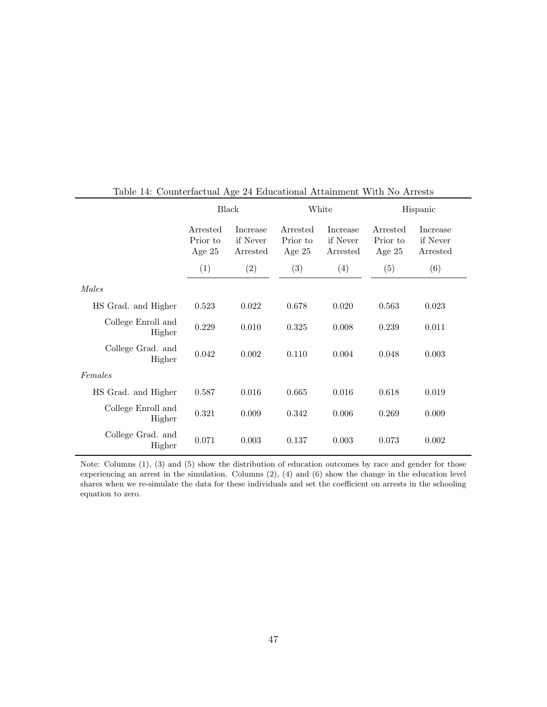|                              | Black                                                                |       | White                            |                                  | Hispanic |                                         |
|------------------------------|----------------------------------------------------------------------|-------|----------------------------------|----------------------------------|----------|-----------------------------------------|
|                              | Arrested<br>Increase<br>Prior to<br>if Never<br>Age $25$<br>Arrested |       | Arrested<br>Prior to<br>Age $25$ | Increase<br>if Never<br>Arrested |          | <b>Increase</b><br>if Never<br>Arrested |
|                              | (1)                                                                  | (2)   | (3)                              | (4)                              | (5)      | (6)                                     |
| Males                        |                                                                      |       |                                  |                                  |          |                                         |
| HS Grad. and Higher          | 0.523                                                                | 0.022 | 0.678                            | 0.020                            | 0.563    | 0.023                                   |
| College Enroll and<br>Higher | 0.229                                                                | 0.010 | 0.325                            | 0.008                            | 0.239    | 0.011                                   |
| College Grad. and<br>Higher  | 0.042                                                                | 0.002 | 0.110                            | 0.004                            | 0.048    | 0.003                                   |
| Females                      |                                                                      |       |                                  |                                  |          |                                         |
| HS Grad. and Higher          | 0.587                                                                | 0.016 | 0.665                            | 0.016                            | 0.618    | 0.019                                   |
| College Enroll and<br>Higher | 0.321                                                                | 0.009 | 0.342                            | 0.006                            | 0.269    | 0.009                                   |
| College Grad. and<br>Higher  | 0.071                                                                | 0.003 | 0.137                            | 0.003                            | 0.073    | 0.002                                   |

<span id="page-46-0"></span>Table 14: Counterfactual Age 24 Educational Attainment With No Arrests

Note: Columns (1), (3) and (5) show the distribution of education outcomes by race and gender for those experiencing an arrest in the simulation. Columns (2), (4) and (6) show the change in the education level shares when we re-simulate the data for these individuals and set the coefficient on arrests in the schooling equation to zero.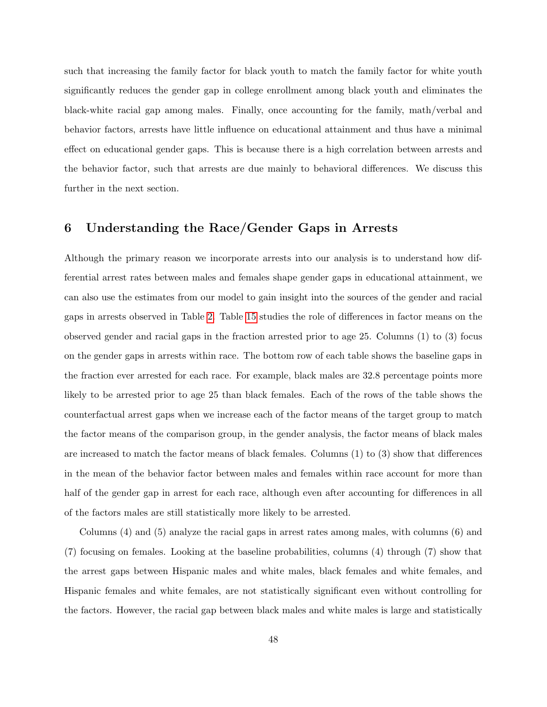such that increasing the family factor for black youth to match the family factor for white youth significantly reduces the gender gap in college enrollment among black youth and eliminates the black-white racial gap among males. Finally, once accounting for the family, math/verbal and behavior factors, arrests have little influence on educational attainment and thus have a minimal effect on educational gender gaps. This is because there is a high correlation between arrests and the behavior factor, such that arrests are due mainly to behavioral differences. We discuss this further in the next section.

## <span id="page-47-0"></span>6 Understanding the Race/Gender Gaps in Arrests

Although the primary reason we incorporate arrests into our analysis is to understand how differential arrest rates between males and females shape gender gaps in educational attainment, we can also use the estimates from our model to gain insight into the sources of the gender and racial gaps in arrests observed in Table [2.](#page-9-0) Table [15](#page-48-0) studies the role of differences in factor means on the observed gender and racial gaps in the fraction arrested prior to age 25. Columns (1) to (3) focus on the gender gaps in arrests within race. The bottom row of each table shows the baseline gaps in the fraction ever arrested for each race. For example, black males are 32.8 percentage points more likely to be arrested prior to age 25 than black females. Each of the rows of the table shows the counterfactual arrest gaps when we increase each of the factor means of the target group to match the factor means of the comparison group, in the gender analysis, the factor means of black males are increased to match the factor means of black females. Columns (1) to (3) show that differences in the mean of the behavior factor between males and females within race account for more than half of the gender gap in arrest for each race, although even after accounting for differences in all of the factors males are still statistically more likely to be arrested.

Columns (4) and (5) analyze the racial gaps in arrest rates among males, with columns (6) and (7) focusing on females. Looking at the baseline probabilities, columns (4) through (7) show that the arrest gaps between Hispanic males and white males, black females and white females, and Hispanic females and white females, are not statistically significant even without controlling for the factors. However, the racial gap between black males and white males is large and statistically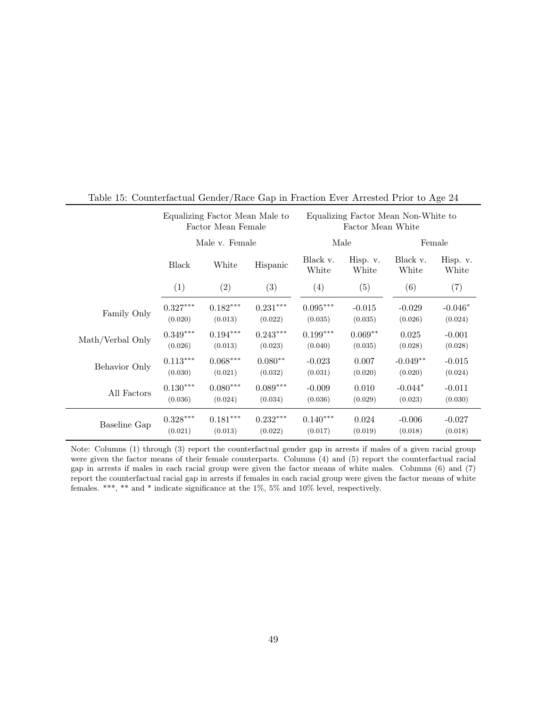|                  | Equalizing Factor Mean Male to<br>Factor Mean Female |                        |            |                   | Equalizing Factor Mean Non-White to<br>Factor Mean White |                   |                   |  |
|------------------|------------------------------------------------------|------------------------|------------|-------------------|----------------------------------------------------------|-------------------|-------------------|--|
|                  | Male v. Female                                       |                        |            |                   | Male                                                     |                   | Female            |  |
|                  | <b>Black</b>                                         | White                  | Hispanic   | Black v.<br>White | Hisp. v.<br>White                                        | Black v.<br>White | Hisp. v.<br>White |  |
|                  | (1)                                                  | (2)                    | (3)        | (4)               | (5)                                                      | (6)               | (7)               |  |
| Family Only      | $0.327***$                                           | $0.182***$             | $0.231***$ | $0.095***$        | $-0.015$                                                 | $-0.029$          | $-0.046*$         |  |
|                  | (0.020)                                              | (0.013)                | (0.022)    | (0.035)           | (0.035)                                                  | (0.026)           | (0.024)           |  |
| Math/Verbal Only | $0.349***$                                           | $0.194***$             | $0.243***$ | $0.199***$        | $0.069**$                                                | 0.025             | $-0.001$          |  |
|                  | (0.026)                                              | (0.013)                | (0.023)    | (0.040)           | (0.035)                                                  | (0.028)           | (0.028)           |  |
| Behavior Only    | $0.113***$                                           | $0.068^{\ast\ast\ast}$ | $0.080**$  | $-0.023$          | 0.007                                                    | $-0.049**$        | $-0.015$          |  |
|                  | (0.030)                                              | (0.021)                | (0.032)    | (0.031)           | (0.020)                                                  | (0.020)           | (0.024)           |  |
| All Factors      | $0.130***$                                           | $0.080***$             | $0.089***$ | $-0.009$          | 0.010                                                    | $-0.044*$         | $-0.011$          |  |
|                  | (0.036)                                              | (0.024)                | (0.034)    | (0.036)           | (0.029)                                                  | (0.023)           | (0.030)           |  |
| Baseline Gap     | $0.328^{\ast\ast\ast}$                               | $0.181***$             | $0.232***$ | $0.140***$        | 0.024                                                    | $-0.006$          | $-0.027$          |  |
|                  | (0.021)                                              | (0.013)                | (0.022)    | (0.017)           | (0.019)                                                  | (0.018)           | (0.018)           |  |

## <span id="page-48-0"></span>Table 15: Counterfactual Gender/Race Gap in Fraction Ever Arrested Prior to Age 24

Note: Columns (1) through (3) report the counterfactual gender gap in arrests if males of a given racial group were given the factor means of their female counterparts. Columns (4) and (5) report the counterfactual racial gap in arrests if males in each racial group were given the factor means of white males. Columns (6) and (7) report the counterfactual racial gap in arrests if females in each racial group were given the factor means of white females. \*\*\*, \*\* and \* indicate significance at the  $1\% ,\, 5\%$  and  $10\%$  level, respectively.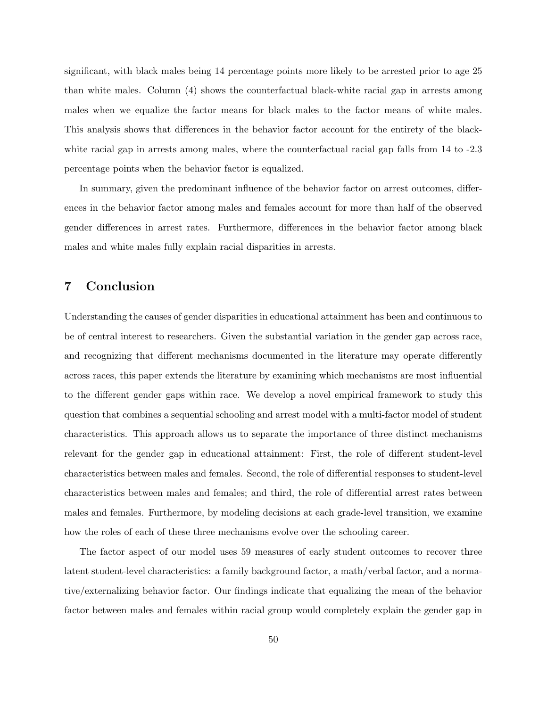significant, with black males being 14 percentage points more likely to be arrested prior to age 25 than white males. Column (4) shows the counterfactual black-white racial gap in arrests among males when we equalize the factor means for black males to the factor means of white males. This analysis shows that differences in the behavior factor account for the entirety of the blackwhite racial gap in arrests among males, where the counterfactual racial gap falls from 14 to -2.3 percentage points when the behavior factor is equalized.

In summary, given the predominant influence of the behavior factor on arrest outcomes, differences in the behavior factor among males and females account for more than half of the observed gender differences in arrest rates. Furthermore, differences in the behavior factor among black males and white males fully explain racial disparities in arrests.

# <span id="page-49-0"></span>7 Conclusion

Understanding the causes of gender disparities in educational attainment has been and continuous to be of central interest to researchers. Given the substantial variation in the gender gap across race, and recognizing that different mechanisms documented in the literature may operate differently across races, this paper extends the literature by examining which mechanisms are most influential to the different gender gaps within race. We develop a novel empirical framework to study this question that combines a sequential schooling and arrest model with a multi-factor model of student characteristics. This approach allows us to separate the importance of three distinct mechanisms relevant for the gender gap in educational attainment: First, the role of different student-level characteristics between males and females. Second, the role of differential responses to student-level characteristics between males and females; and third, the role of differential arrest rates between males and females. Furthermore, by modeling decisions at each grade-level transition, we examine how the roles of each of these three mechanisms evolve over the schooling career.

The factor aspect of our model uses 59 measures of early student outcomes to recover three latent student-level characteristics: a family background factor, a math/verbal factor, and a normative/externalizing behavior factor. Our findings indicate that equalizing the mean of the behavior factor between males and females within racial group would completely explain the gender gap in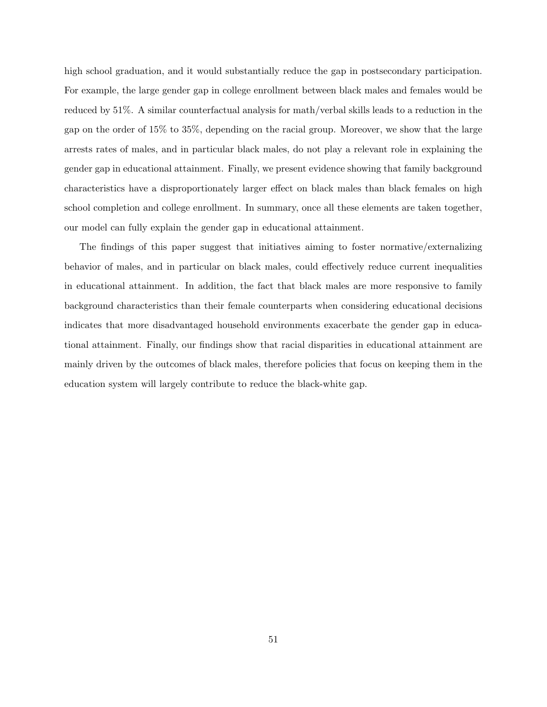high school graduation, and it would substantially reduce the gap in postsecondary participation. For example, the large gender gap in college enrollment between black males and females would be reduced by 51%. A similar counterfactual analysis for math/verbal skills leads to a reduction in the gap on the order of 15% to 35%, depending on the racial group. Moreover, we show that the large arrests rates of males, and in particular black males, do not play a relevant role in explaining the gender gap in educational attainment. Finally, we present evidence showing that family background characteristics have a disproportionately larger effect on black males than black females on high school completion and college enrollment. In summary, once all these elements are taken together, our model can fully explain the gender gap in educational attainment.

The findings of this paper suggest that initiatives aiming to foster normative/externalizing behavior of males, and in particular on black males, could effectively reduce current inequalities in educational attainment. In addition, the fact that black males are more responsive to family background characteristics than their female counterparts when considering educational decisions indicates that more disadvantaged household environments exacerbate the gender gap in educational attainment. Finally, our findings show that racial disparities in educational attainment are mainly driven by the outcomes of black males, therefore policies that focus on keeping them in the education system will largely contribute to reduce the black-white gap.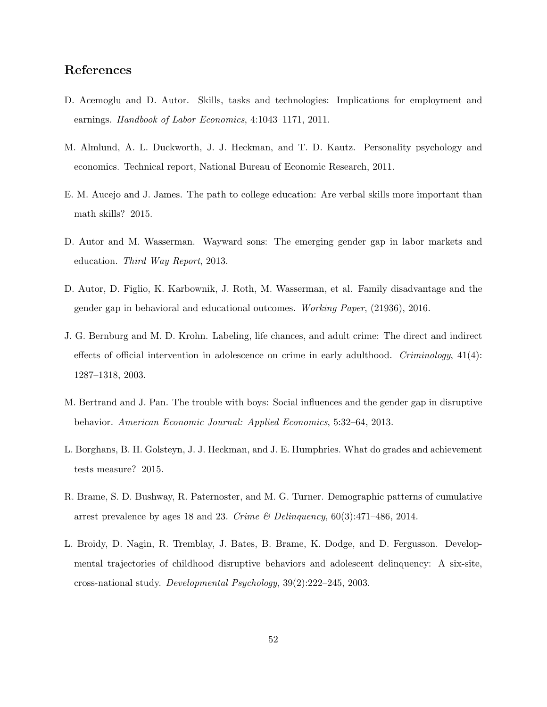# References

- <span id="page-51-0"></span>D. Acemoglu and D. Autor. Skills, tasks and technologies: Implications for employment and earnings. Handbook of Labor Economics, 4:1043–1171, 2011.
- <span id="page-51-9"></span>M. Almlund, A. L. Duckworth, J. J. Heckman, and T. D. Kautz. Personality psychology and economics. Technical report, National Bureau of Economic Research, 2011.
- <span id="page-51-3"></span>E. M. Aucejo and J. James. The path to college education: Are verbal skills more important than math skills? 2015.
- <span id="page-51-1"></span>D. Autor and M. Wasserman. Wayward sons: The emerging gender gap in labor markets and education. Third Way Report, 2013.
- <span id="page-51-2"></span>D. Autor, D. Figlio, K. Karbownik, J. Roth, M. Wasserman, et al. Family disadvantage and the gender gap in behavioral and educational outcomes. Working Paper, (21936), 2016.
- <span id="page-51-5"></span>J. G. Bernburg and M. D. Krohn. Labeling, life chances, and adult crime: The direct and indirect effects of official intervention in adolescence on crime in early adulthood. Criminology,  $41(4)$ : 1287–1318, 2003.
- <span id="page-51-6"></span>M. Bertrand and J. Pan. The trouble with boys: Social influences and the gender gap in disruptive behavior. American Economic Journal: Applied Economics, 5:32–64, 2013.
- <span id="page-51-8"></span>L. Borghans, B. H. Golsteyn, J. J. Heckman, and J. E. Humphries. What do grades and achievement tests measure? 2015.
- <span id="page-51-4"></span>R. Brame, S. D. Bushway, R. Paternoster, and M. G. Turner. Demographic patterns of cumulative arrest prevalence by ages 18 and 23. Crime  $\mathcal{B}$  Delinquency, 60(3):471–486, 2014.
- <span id="page-51-7"></span>L. Broidy, D. Nagin, R. Tremblay, J. Bates, B. Brame, K. Dodge, and D. Fergusson. Developmental trajectories of childhood disruptive behaviors and adolescent delinquency: A six-site, cross-national study. Developmental Psychology, 39(2):222–245, 2003.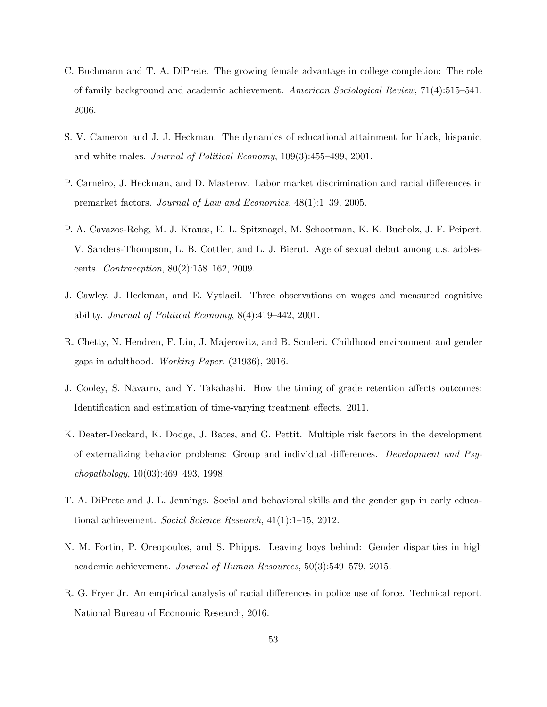- <span id="page-52-0"></span>C. Buchmann and T. A. DiPrete. The growing female advantage in college completion: The role of family background and academic achievement. American Sociological Review, 71(4):515–541, 2006.
- <span id="page-52-5"></span>S. V. Cameron and J. J. Heckman. The dynamics of educational attainment for black, hispanic, and white males. Journal of Political Economy, 109(3):455–499, 2001.
- <span id="page-52-6"></span>P. Carneiro, J. Heckman, and D. Masterov. Labor market discrimination and racial differences in premarket factors. Journal of Law and Economics, 48(1):1–39, 2005.
- <span id="page-52-10"></span>P. A. Cavazos-Rehg, M. J. Krauss, E. L. Spitznagel, M. Schootman, K. K. Bucholz, J. F. Peipert, V. Sanders-Thompson, L. B. Cottler, and L. J. Bierut. Age of sexual debut among u.s. adolescents. Contraception, 80(2):158–162, 2009.
- <span id="page-52-7"></span>J. Cawley, J. Heckman, and E. Vytlacil. Three observations on wages and measured cognitive ability. Journal of Political Economy, 8(4):419–442, 2001.
- <span id="page-52-3"></span>R. Chetty, N. Hendren, F. Lin, J. Majerovitz, and B. Scuderi. Childhood environment and gender gaps in adulthood. Working Paper, (21936), 2016.
- <span id="page-52-9"></span>J. Cooley, S. Navarro, and Y. Takahashi. How the timing of grade retention affects outcomes: Identification and estimation of time-varying treatment effects. 2011.
- <span id="page-52-8"></span>K. Deater-Deckard, K. Dodge, J. Bates, and G. Pettit. Multiple risk factors in the development of externalizing behavior problems: Group and individual differences. Development and Psychopathology, 10(03):469–493, 1998.
- <span id="page-52-1"></span>T. A. DiPrete and J. L. Jennings. Social and behavioral skills and the gender gap in early educational achievement. Social Science Research, 41(1):1–15, 2012.
- <span id="page-52-2"></span>N. M. Fortin, P. Oreopoulos, and S. Phipps. Leaving boys behind: Gender disparities in high academic achievement. Journal of Human Resources, 50(3):549–579, 2015.
- <span id="page-52-4"></span>R. G. Fryer Jr. An empirical analysis of racial differences in police use of force. Technical report, National Bureau of Economic Research, 2016.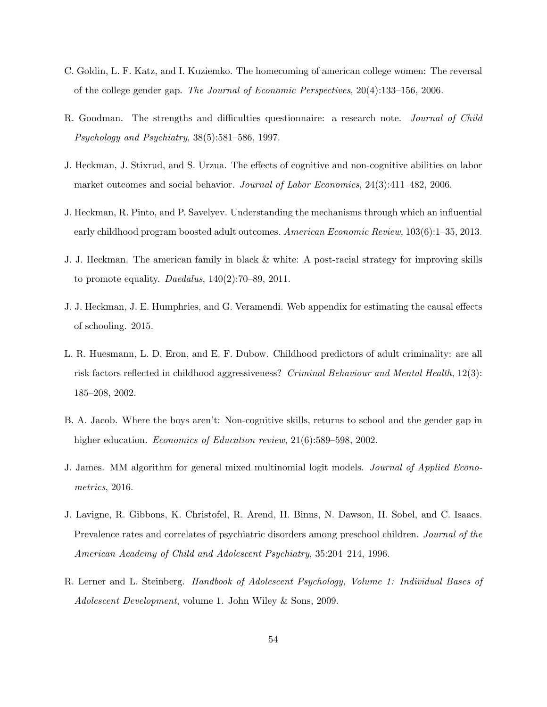- <span id="page-53-0"></span>C. Goldin, L. F. Katz, and I. Kuziemko. The homecoming of american college women: The reversal of the college gender gap. The Journal of Economic Perspectives, 20(4):133–156, 2006.
- <span id="page-53-9"></span>R. Goodman. The strengths and difficulties questionnaire: a research note. Journal of Child Psychology and Psychiatry, 38(5):581–586, 1997.
- <span id="page-53-4"></span>J. Heckman, J. Stixrud, and S. Urzua. The effects of cognitive and non-cognitive abilities on labor market outcomes and social behavior. Journal of Labor Economics, 24(3):411–482, 2006.
- <span id="page-53-7"></span>J. Heckman, R. Pinto, and P. Savelyev. Understanding the mechanisms through which an influential early childhood program boosted adult outcomes. American Economic Review, 103(6):1–35, 2013.
- <span id="page-53-2"></span>J. J. Heckman. The american family in black & white: A post-racial strategy for improving skills to promote equality. Daedalus,  $140(2):70-89$ ,  $2011$ .
- <span id="page-53-10"></span>J. J. Heckman, J. E. Humphries, and G. Veramendi. Web appendix for estimating the causal effects of schooling. 2015.
- <span id="page-53-8"></span>L. R. Huesmann, L. D. Eron, and E. F. Dubow. Childhood predictors of adult criminality: are all risk factors reflected in childhood aggressiveness? Criminal Behaviour and Mental Health, 12(3): 185–208, 2002.
- <span id="page-53-1"></span>B. A. Jacob. Where the boys aren't: Non-cognitive skills, returns to school and the gender gap in higher education. *Economics of Education review*,  $21(6)$ :589–598, 2002.
- <span id="page-53-3"></span>J. James. MM algorithm for general mixed multinomial logit models. Journal of Applied Econometrics, 2016.
- <span id="page-53-5"></span>J. Lavigne, R. Gibbons, K. Christofel, R. Arend, H. Binns, N. Dawson, H. Sobel, and C. Isaacs. Prevalence rates and correlates of psychiatric disorders among preschool children. Journal of the American Academy of Child and Adolescent Psychiatry, 35:204–214, 1996.
- <span id="page-53-6"></span>R. Lerner and L. Steinberg. Handbook of Adolescent Psychology, Volume 1: Individual Bases of Adolescent Development, volume 1. John Wiley & Sons, 2009.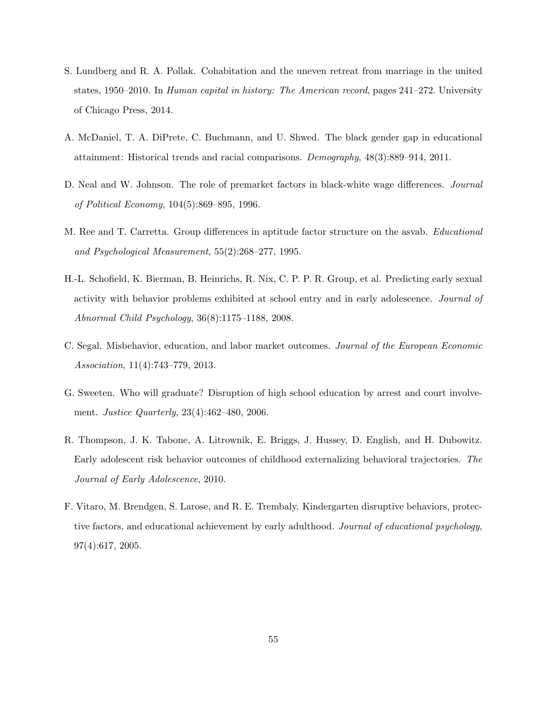- <span id="page-54-1"></span>S. Lundberg and R. A. Pollak. Cohabitation and the uneven retreat from marriage in the united states, 1950–2010. In Human capital in history: The American record, pages 241–272. University of Chicago Press, 2014.
- <span id="page-54-0"></span>A. McDaniel, T. A. DiPrete, C. Buchmann, and U. Shwed. The black gender gap in educational attainment: Historical trends and racial comparisons. Demography, 48(3):889–914, 2011.
- <span id="page-54-3"></span>D. Neal and W. Johnson. The role of premarket factors in black-white wage differences. Journal of Political Economy, 104(5):869–895, 1996.
- <span id="page-54-4"></span>M. Ree and T. Carretta. Group differences in aptitude factor structure on the asvab. Educational and Psychological Measurement, 55(2):268–277, 1995.
- <span id="page-54-8"></span>H.-L. Schofield, K. Bierman, B. Heinrichs, R. Nix, C. P. P. R. Group, et al. Predicting early sexual activity with behavior problems exhibited at school entry and in early adolescence. Journal of Abnormal Child Psychology, 36(8):1175–1188, 2008.
- <span id="page-54-6"></span>C. Segal. Misbehavior, education, and labor market outcomes. Journal of the European Economic Association, 11(4):743–779, 2013.
- <span id="page-54-2"></span>G. Sweeten. Who will graduate? Disruption of high school education by arrest and court involvement. Justice Quarterly, 23(4):462–480, 2006.
- <span id="page-54-5"></span>R. Thompson, J. K. Tabone, A. Litrownik, E. Briggs, J. Hussey, D. English, and H. Dubowitz. Early adolescent risk behavior outcomes of childhood externalizing behavioral trajectories. The Journal of Early Adolescence, 2010.
- <span id="page-54-7"></span>F. Vitaro, M. Brendgen, S. Larose, and R. E. Trembaly. Kindergarten disruptive behaviors, protective factors, and educational achievement by early adulthood. Journal of educational psychology, 97(4):617, 2005.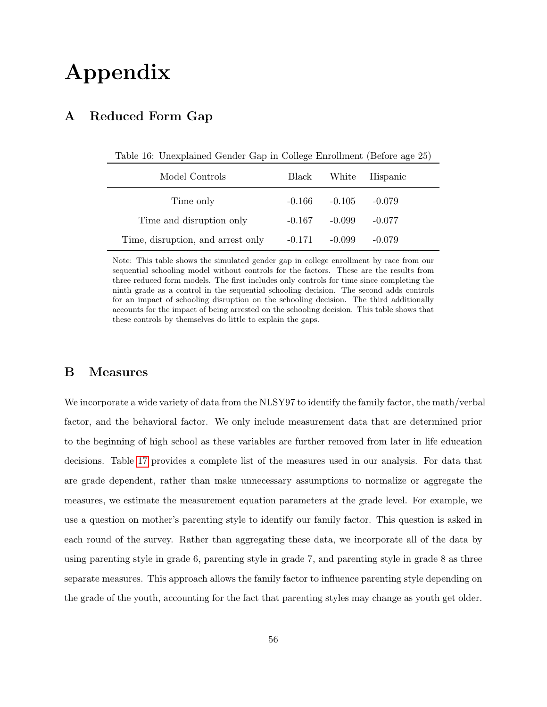# Appendix

# A Reduced Form Gap

<span id="page-55-1"></span>Table 16: Unexplained Gender Gap in College Enrollment (Before age 25)

| Model Controls                    | Black    |          | White Hispanic |
|-----------------------------------|----------|----------|----------------|
| Time only                         | $-0.166$ | $-0.105$ | $-0.079$       |
| Time and disruption only          | $-0.167$ | $-0.099$ | $-0.077$       |
| Time, disruption, and arrest only | $-0.171$ | $-0.099$ | $-0.079$       |

Note: This table shows the simulated gender gap in college enrollment by race from our sequential schooling model without controls for the factors. These are the results from three reduced form models. The first includes only controls for time since completing the ninth grade as a control in the sequential schooling decision. The second adds controls for an impact of schooling disruption on the schooling decision. The third additionally accounts for the impact of being arrested on the schooling decision. This table shows that these controls by themselves do little to explain the gaps.

# <span id="page-55-0"></span>B Measures

We incorporate a wide variety of data from the NLSY97 to identify the family factor, the math/verbal factor, and the behavioral factor. We only include measurement data that are determined prior to the beginning of high school as these variables are further removed from later in life education decisions. Table [17](#page-57-0) provides a complete list of the measures used in our analysis. For data that are grade dependent, rather than make unnecessary assumptions to normalize or aggregate the measures, we estimate the measurement equation parameters at the grade level. For example, we use a question on mother's parenting style to identify our family factor. This question is asked in each round of the survey. Rather than aggregating these data, we incorporate all of the data by using parenting style in grade 6, parenting style in grade 7, and parenting style in grade 8 as three separate measures. This approach allows the family factor to influence parenting style depending on the grade of the youth, accounting for the fact that parenting styles may change as youth get older.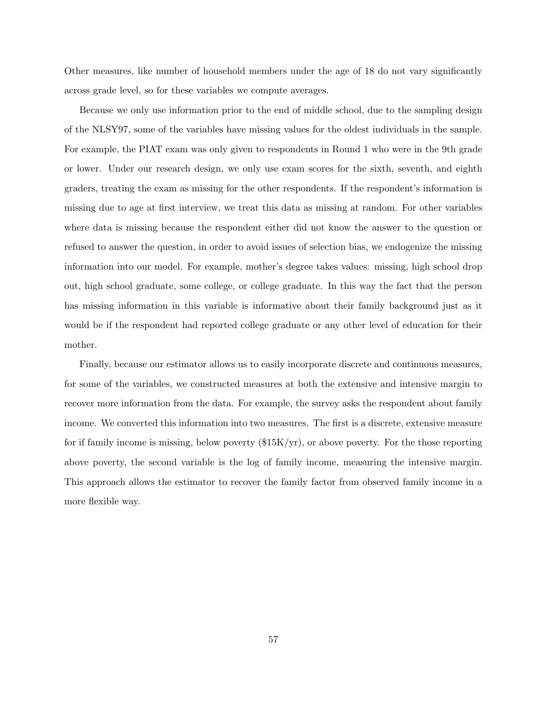Other measures, like number of household members under the age of 18 do not vary significantly across grade level, so for these variables we compute averages.

Because we only use information prior to the end of middle school, due to the sampling design of the NLSY97, some of the variables have missing values for the oldest individuals in the sample. For example, the PIAT exam was only given to respondents in Round 1 who were in the 9th grade or lower. Under our research design, we only use exam scores for the sixth, seventh, and eighth graders, treating the exam as missing for the other respondents. If the respondent's information is missing due to age at first interview, we treat this data as missing at random. For other variables where data is missing because the respondent either did not know the answer to the question or refused to answer the question, in order to avoid issues of selection bias, we endogenize the missing information into our model. For example, mother's degree takes values: missing, high school drop out, high school graduate, some college, or college graduate. In this way the fact that the person has missing information in this variable is informative about their family background just as it would be if the respondent had reported college graduate or any other level of education for their mother.

Finally, because our estimator allows us to easily incorporate discrete and continuous measures, for some of the variables, we constructed measures at both the extensive and intensive margin to recover more information from the data. For example, the survey asks the respondent about family income. We converted this information into two measures. The first is a discrete, extensive measure for if family income is missing, below poverty  $(\frac{15K}{yr})$ , or above poverty. For the those reporting above poverty, the second variable is the log of family income, measuring the intensive margin. This approach allows the estimator to recover the family factor from observed family income in a more flexible way.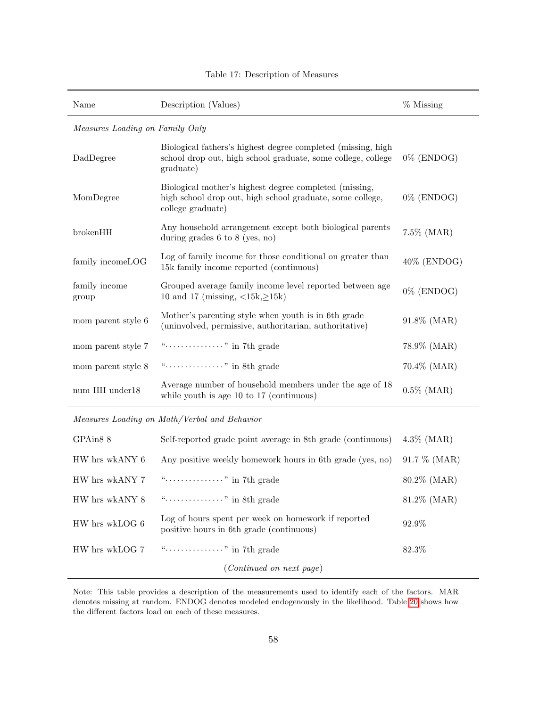<span id="page-57-0"></span>

| Name                   | Description (Values)                                                                                                                      | $%$ Missing    |  |  |  |  |
|------------------------|-------------------------------------------------------------------------------------------------------------------------------------------|----------------|--|--|--|--|
|                        | Measures Loading on Family Only                                                                                                           |                |  |  |  |  |
| DadDegree              | Biological fathers's highest degree completed (missing, high<br>school drop out, high school graduate, some college, college<br>graduate) | $0\%$ (ENDOG)  |  |  |  |  |
| MomDegree              | Biological mother's highest degree completed (missing,<br>high school drop out, high school graduate, some college,<br>college graduate)  | $0\%$ (ENDOG)  |  |  |  |  |
| brokenHH               | Any household arrangement except both biological parents<br>during grades $6$ to $8$ (yes, no)                                            | $7.5\%$ (MAR)  |  |  |  |  |
| family incomeLOG       | Log of family income for those conditional on greater than<br>15k family income reported (continuous)                                     | 40% (ENDOG)    |  |  |  |  |
| family income<br>group | Grouped average family income level reported between age<br>10 and 17 (missing, $\langle 15k, \geq 15k \rangle$ )                         | $0\%$ (ENDOG)  |  |  |  |  |
| mom parent style 6     | Mother's parenting style when youth is in 6th grade<br>(uninvolved, permissive, authoritarian, authoritative)                             | 91.8% (MAR)    |  |  |  |  |
| mom parent style 7     | "" in 7th grade                                                                                                                           | 78.9% (MAR)    |  |  |  |  |
| mom parent style 8     | "" in 8th grade                                                                                                                           | $70.4\%$ (MAR) |  |  |  |  |
| num HH under18         | Average number of household members under the age of 18<br>while youth is age $10$ to $17$ (continuous)                                   | $0.5\%$ (MAR)  |  |  |  |  |

Table 17: Description of Measures

Measures Loading on Math/Verbal and Behavior

L,

| GPAin <sub>8</sub> 8 | Self-reported grade point average in 8th grade (continuous)                                     | $4.3\%$ (MAR)  |
|----------------------|-------------------------------------------------------------------------------------------------|----------------|
| HW hrs wkANY 6       | Any positive weekly homework hours in 6th grade (yes, no)                                       | $91.7\%$ (MAR) |
| HW hrs wkANY 7       | "" in 7th grade                                                                                 | $80.2\%$ (MAR) |
| HW hrs wkANY 8       | "" in 8th grade                                                                                 | $81.2\%$ (MAR) |
| HW hrs wkLOG 6       | Log of hours spent per week on homework if reported<br>positive hours in 6th grade (continuous) | 92.9%          |
| HW hrs wkLOG 7       | "" in 7th grade                                                                                 | 82.3%          |
|                      | ( <i>Continued on next page</i> )                                                               |                |

Note: This table provides a description of the measurements used to identify each of the factors. MAR denotes missing at random. ENDOG denotes modeled endogenously in the likelihood. Table [20](#page-66-0) shows how the different factors load on each of these measures.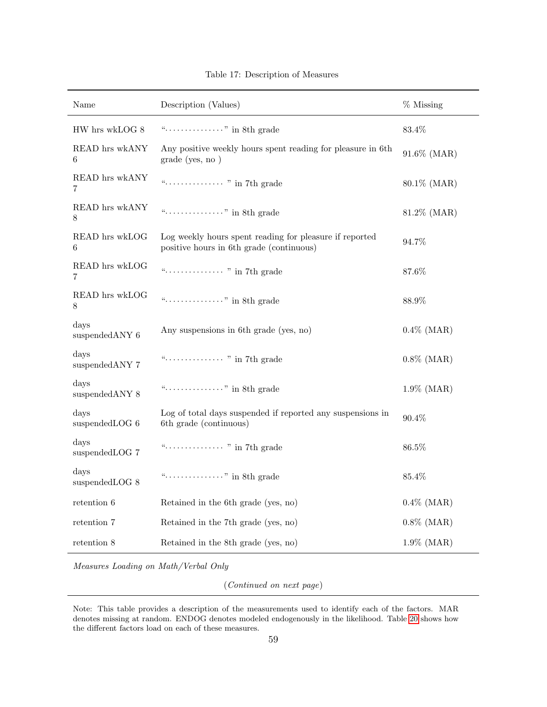| Name                            | Description (Values)                                                                                | $%$ Missing   |
|---------------------------------|-----------------------------------------------------------------------------------------------------|---------------|
| $\rm HW$ hrs wkLOG $8$          | "" in 8th grade                                                                                     | 83.4%         |
| READ hrs wkANY<br>6             | Any positive weekly hours spent reading for pleasure in 6th<br>grade (yes, no)                      | 91.6% (MAR)   |
| READ hrs wkANY<br>7             |                                                                                                     | 80.1% (MAR)   |
| READ hrs wkANY<br>8             | "" in 8th grade                                                                                     | 81.2% (MAR)   |
| READ hrs wkLOG<br>6             | Log weekly hours spent reading for pleasure if reported<br>positive hours in 6th grade (continuous) | 94.7%         |
| READ hrs wkLOG<br>7             |                                                                                                     | 87.6%         |
| READ hrs wkLOG<br>8             | "" in 8th grade                                                                                     | 88.9%         |
| days<br>suspended<br>ANY $6\,$  | Any suspensions in 6th grade (yes, no)                                                              | $0.4\%$ (MAR) |
| days<br>suspended ANY 7         |                                                                                                     | $0.8\%$ (MAR) |
| days<br>suspended ANY 8         | "" in 8th grade                                                                                     | $1.9\%$ (MAR) |
| days<br>suspendedLOG 6          | Log of total days suspended if reported any suspensions in<br>6th grade (continuous)                | 90.4%         |
| $_{\rm davs}$<br>suspendedLOG 7 |                                                                                                     | 86.5%         |
| days<br>suspendedLOG 8          | "" in 8th grade                                                                                     | $85.4\%$      |
| retention 6                     | Retained in the 6th grade (yes, no)                                                                 | $0.4\%$ (MAR) |
| retention 7                     | Retained in the 7th grade (yes, no)                                                                 | $0.8\%$ (MAR) |
| retention 8                     | Retained in the 8th grade (yes, no)                                                                 | $1.9\%$ (MAR) |

Table 17: Description of Measures

Measures Loading on Math/Verbal Only

(Continued on next page)

Note: This table provides a description of the measurements used to identify each of the factors. MAR denotes missing at random. ENDOG denotes modeled endogenously in the likelihood. Table [20](#page-66-0) shows how the different factors load on each of these measures.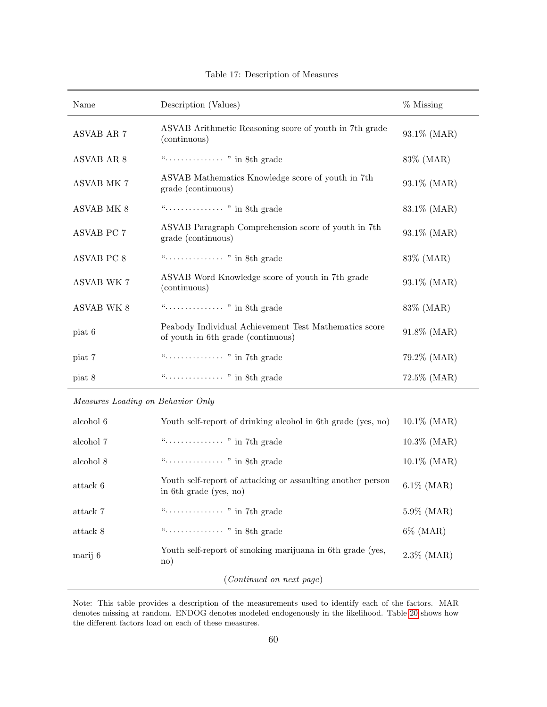| Name              | Description (Values)                                                                        | $%$ Missing  |
|-------------------|---------------------------------------------------------------------------------------------|--------------|
| ASVAB AR 7        | ASVAB Arithmetic Reasoning score of youth in 7th grade<br>(continuous)                      | 93.1% (MAR)  |
| ASVAB AR 8        |                                                                                             | $83\%$ (MAR) |
| <b>ASVAB MK 7</b> | ASVAB Mathematics Knowledge score of youth in 7th<br>grade (continuous)                     | 93.1% (MAR)  |
| ASVAB MK 8        |                                                                                             | 83.1\% (MAR) |
| <b>ASVAB PC 7</b> | ASVAB Paragraph Comprehension score of youth in 7th<br>grade (continuous)                   | 93.1% (MAR)  |
| ASVAB PC 8        |                                                                                             | 83\% (MAR)   |
| <b>ASVAB WK 7</b> | ASVAB Word Knowledge score of youth in 7th grade<br>(continuous)                            | 93.1% (MAR)  |
| <b>ASVAB WK 8</b> |                                                                                             | $83\%$ (MAR) |
| piat 6            | Peabody Individual Achievement Test Mathematics score<br>of youth in 6th grade (continuous) | 91.8% (MAR)  |
| piat 7            |                                                                                             | 79.2% (MAR)  |
| piat 8            |                                                                                             | 72.5% (MAR)  |

Table 17: Description of Measures

Measures Loading on Behavior Only

| alcohol 6 | Youth self-report of drinking alcohol in 6th grade (yes, no)                          | $10.1\%$ (MAR) |
|-----------|---------------------------------------------------------------------------------------|----------------|
| alcohol 7 |                                                                                       | $10.3\%$ (MAR) |
| alcohol 8 |                                                                                       | $10.1\%$ (MAR) |
| attack 6  | Youth self-report of attacking or assaulting another person<br>in 6th grade (yes, no) | $6.1\%$ (MAR)  |
| attack 7  |                                                                                       | $5.9\%$ (MAR)  |
| attack 8  |                                                                                       | $6\%$ (MAR)    |
| marij 6   | Youth self-report of smoking marijuana in 6th grade (yes,<br>$\rm{no}$                | $2.3\%$ (MAR)  |
|           | ( <i>Continued on next page</i> )                                                     |                |

Note: This table provides a description of the measurements used to identify each of the factors. MAR denotes missing at random. ENDOG denotes modeled endogenously in the likelihood. Table [20](#page-66-0) shows how the different factors load on each of these measures.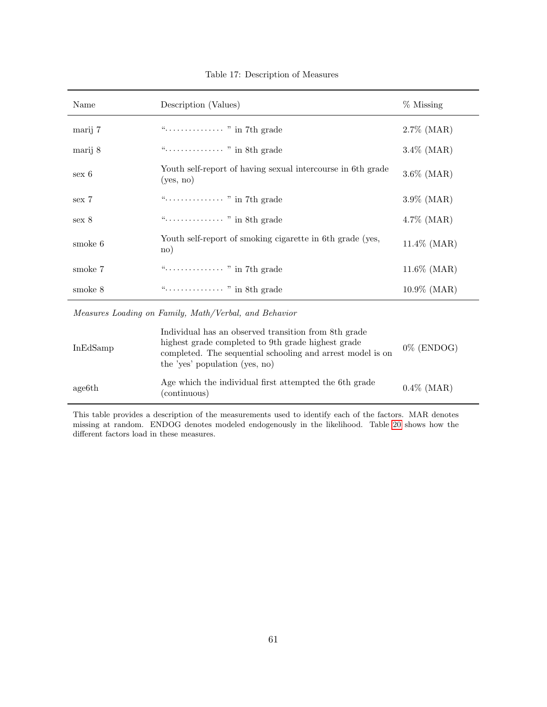| Name     | Description (Values)                                                               | % Missing      |
|----------|------------------------------------------------------------------------------------|----------------|
| marij 7  |                                                                                    | $2.7\%$ (MAR)  |
| marij 8  |                                                                                    | $3.4\%$ (MAR)  |
| $sex\ 6$ | Youth self-report of having sexual intercourse in 6th grade<br>(yes, no)           | $3.6\%$ (MAR)  |
| sex 7    |                                                                                    | $3.9\%$ (MAR)  |
| sex 8    |                                                                                    | $4.7\%$ (MAR)  |
| smoke 6  | Youth self-report of smoking cigarette in 6th grade (yes,<br>$\operatorname{no}$ ) | $11.4\%$ (MAR) |
| smoke 7  |                                                                                    | $11.6\%$ (MAR) |
| smoke 8  |                                                                                    | $10.9\%$ (MAR) |

Table 17: Description of Measures

Measures Loading on Family, Math/Verbal, and Behavior

| InEdSamp | Individual has an observed transition from 8th grade<br>highest grade completed to 9th grade highest grade<br>completed. The sequential schooling and arrest model is on<br>the 'yes' population (yes, no) | $0\%$ (ENDOG) |
|----------|------------------------------------------------------------------------------------------------------------------------------------------------------------------------------------------------------------|---------------|
| age6th   | Age which the individual first attempted the 6th grade<br>(continuous)                                                                                                                                     | $0.4\%$ (MAR) |

This table provides a description of the measurements used to identify each of the factors. MAR denotes missing at random. ENDOG denotes modeled endogenously in the likelihood. Table [20](#page-66-0) shows how the different factors load in these measures.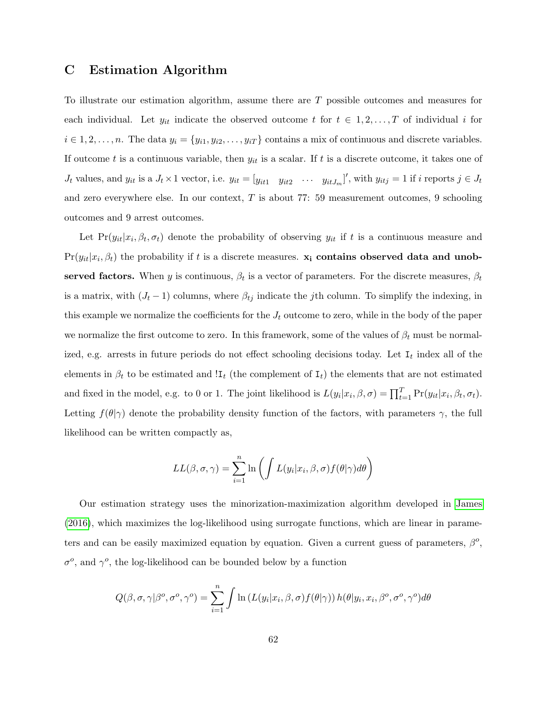# <span id="page-61-0"></span>C Estimation Algorithm

To illustrate our estimation algorithm, assume there are T possible outcomes and measures for each individual. Let  $y_{it}$  indicate the observed outcome t for  $t \in 1, 2, ..., T$  of individual i for  $i \in 1, 2, \ldots, n$ . The data  $y_i = \{y_{i1}, y_{i2}, \ldots, y_{iT}\}\)$  contains a mix of continuous and discrete variables. If outcome t is a continuous variable, then  $y_{it}$  is a scalar. If t is a discrete outcome, it takes one of  $J_t$  values, and  $y_{it}$  is a  $J_t \times 1$  vector, i.e.  $y_{it} = [y_{it1} \ y_{it2} \ \cdots \ y_{itJ_m}]'$ , with  $y_{itj} = 1$  if i reports  $j \in J_t$ and zero everywhere else. In our context,  $T$  is about 77: 59 measurement outcomes, 9 schooling outcomes and 9 arrest outcomes.

Let  $Pr(y_{it}|x_i, \beta_t, \sigma_t)$  denote the probability of observing  $y_{it}$  if t is a continuous measure and  $Pr(y_{it}|x_i, \beta_t)$  the probability if t is a discrete measures.  $\mathbf{x_i}$  contains observed data and unobserved factors. When y is continuous,  $\beta_t$  is a vector of parameters. For the discrete measures,  $\beta_t$ is a matrix, with  $(J_t - 1)$  columns, where  $\beta_{tj}$  indicate the jth column. To simplify the indexing, in this example we normalize the coefficients for the  $J_t$  outcome to zero, while in the body of the paper we normalize the first outcome to zero. In this framework, some of the values of  $\beta_t$  must be normalized, e.g. arrests in future periods do not effect schooling decisions today. Let  $I_t$  index all of the elements in  $\beta_t$  to be estimated and !I<sub>t</sub> (the complement of I<sub>t</sub>) the elements that are not estimated and fixed in the model, e.g. to 0 or 1. The joint likelihood is  $L(y_i|x_i, \beta, \sigma) = \prod_{t=1}^T \Pr(y_{it}|x_i, \beta_t, \sigma_t)$ . Letting  $f(\theta|\gamma)$  denote the probability density function of the factors, with parameters  $\gamma$ , the full likelihood can be written compactly as,

$$
LL(\beta, \sigma, \gamma) = \sum_{i=1}^{n} \ln \left( \int L(y_i | x_i, \beta, \sigma) f(\theta | \gamma) d\theta \right)
$$

Our estimation strategy uses the minorization-maximization algorithm developed in [James](#page-53-3) [\(2016\)](#page-53-3), which maximizes the log-likelihood using surrogate functions, which are linear in parameters and can be easily maximized equation by equation. Given a current guess of parameters,  $\beta^o$ ,  $\sigma^o$ , and  $\gamma^o$ , the log-likelihood can be bounded below by a function

$$
Q(\beta, \sigma, \gamma | \beta^o, \sigma^o, \gamma^o) = \sum_{i=1}^n \int \ln \left( L(y_i | x_i, \beta, \sigma) f(\theta | \gamma) \right) h(\theta | y_i, x_i, \beta^o, \sigma^o, \gamma^o) d\theta
$$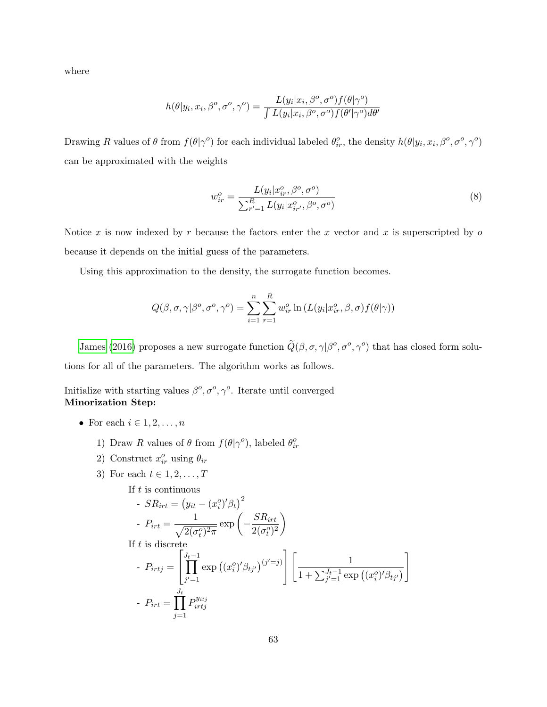where

$$
h(\theta|y_i, x_i, \beta^o, \sigma^o, \gamma^o) = \frac{L(y_i|x_i, \beta^o, \sigma^o) f(\theta|\gamma^o)}{\int L(y_i|x_i, \beta^o, \sigma^o) f(\theta'|\gamma^o) d\theta'}
$$

Drawing R values of  $\theta$  from  $f(\theta|\gamma^o)$  for each individual labeled  $\theta_i^o$ , the density  $h(\theta|y_i, x_i, \beta^o, \sigma^o, \gamma^o)$ can be approximated with the weights

$$
w_{ir}^{o} = \frac{L(y_i|x_{ir}^{o}, \beta^o, \sigma^o)}{\sum_{r'=1}^{R} L(y_i|x_{ir'}^{o}, \beta^o, \sigma^o)}
$$
(8)

Notice x is now indexed by r because the factors enter the x vector and x is superscripted by  $\sigma$ because it depends on the initial guess of the parameters.

Using this approximation to the density, the surrogate function becomes.

$$
Q(\beta, \sigma, \gamma | \beta^o, \sigma^o, \gamma^o) = \sum_{i=1}^n \sum_{r=1}^R w_{ir}^o \ln(L(y_i | x_{ir}^o, \beta, \sigma) f(\theta | \gamma))
$$

[James](#page-53-3) [\(2016\)](#page-53-3) proposes a new surrogate function  $\tilde{Q}(\beta, \sigma, \gamma | \beta^o, \sigma^o, \gamma^o)$  that has closed form solutions for all of the parameters. The algorithm works as follows.

Initialize with starting values  $\beta^o, \sigma^o, \gamma^o$ . Iterate until converged Minorization Step:

- For each  $i \in 1, 2, \ldots, n$ 
	- 1) Draw R values of  $\theta$  from  $f(\theta|\gamma^o)$ , labeled  $\theta_{ir}^o$
	- 2) Construct  $x_{ir}^o$  using  $\theta_{ir}$
	- 3) For each  $t \in 1, 2, \ldots, T$

If *t* is continuous  
\n- 
$$
SR_{irt} = (y_{it} - (x_i^o)'\beta_t)^2
$$
  
\n-  $P_{irt} = \frac{1}{\sqrt{2(\sigma_t^o)^2 \pi}} \exp\left(-\frac{SR_{irt}}{2(\sigma_t^o)^2}\right)$   
\nIf *t* is discrete  
\n-  $P_{irtj} = \left[\prod_{j'=1}^{J_t-1} \exp\left((x_i^o)'\beta_{tj'}\right)^{(j'=j)}\right] \left[\frac{1}{1 + \sum_{j'=1}^{J_t-1} \exp\left((x_i^o)'\beta_{tj'}\right)}\right]$   
\n-  $P_{irt} = \prod_{j=1}^{J_t} P_{irtj}^{y_{itj}}$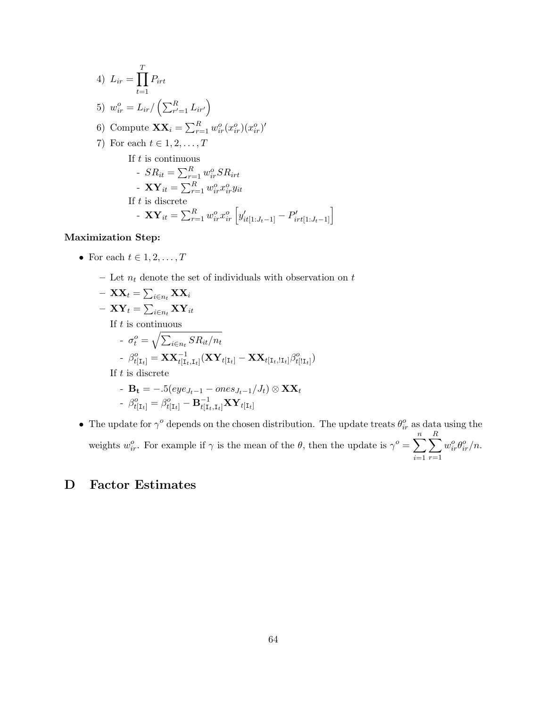4) 
$$
L_{ir} = \prod_{t=1}^{T} P_{irt}
$$
  
\n5)  $w_{ir}^{o} = L_{ir} / (\sum_{r'=1}^{R} L_{ir'})$   
\n6) Compute  $\mathbf{X} \mathbf{X}_{i} = \sum_{r=1}^{R} w_{ir}^{o}(x_{ir}^{o})(x_{ir}^{o})'$   
\n7) For each  $t \in 1, 2, ..., T$   
\nIf  $t$  is continuous  
\n-  $SR_{it} = \sum_{r=1}^{R} w_{ir}^{o} SR_{irt}$   
\n-  $\mathbf{XY}_{it} = \sum_{r=1}^{R} w_{ir}^{o} x_{ir}^{o} y_{it}$   
\nIf  $t$  is discrete  
\n-  $\mathbf{XY}_{it} = \sum_{r=1}^{R} w_{ir}^{o} x_{ir}^{o} [y'_{it[1:J_t-1]} - P'_{irt[1:J_t-1]}]$ 

## Maximization Step:

- For each  $t \in 1, 2, \ldots, T$ 
	- Let  $n_t$  denote the set of individuals with observation on  $t$
	- $\;\mathbf{X}\mathbf{X}_t = \sum_{i \in n_t} \mathbf{X} \mathbf{X}_i$  $- \;\mathbf{X}\mathbf{Y}_t = \sum_{i \in n_t} \mathbf{X} \mathbf{Y}_{it}$ If  $t$  is continuous -  $\sigma_t^o = \sqrt{\sum_{i \in n_t} S R_{it}/n_t}$  $\tau \cdot \beta^o_{t[\mathrm{I}_t]} = \mathbf{X} \mathbf{X}_{t[\mathrm{I}_t, \mathrm{I}_t]}^{-1} (\mathbf{X} \mathbf{Y}_{t[\mathrm{I}_t]} - \mathbf{X} \mathbf{X}_{t[\mathrm{I}_t, !\mathrm{I}_t]} \beta^o_{t[! \mathrm{I}_t]})$ If  $t$  is discrete -  $\mathbf{B_t} = -.5(eye_{J_t-1} - ones_{J_t-1}/J_t) \otimes \mathbf{XX}_t$ -  $\beta^o_{t[\text{I}_t]} = \beta^o_{t[\text{I}_t]} - \mathbf{B}^{-1}_{t[\text{I}_t,\text{I}_t]}\mathbf{X}\mathbf{Y}_{t[\text{I}_t]}$
- The update for  $\gamma^o$  depends on the chosen distribution. The update treats  $\theta_{ir}^o$  as data using the weights  $w_{ir}^o$ . For example if  $\gamma$  is the mean of the  $\theta$ , then the update is  $\gamma^o = \sum^n$  $i=1$  $\sum$ R  $r=1$  $w_{ir}^o \theta_{ir}^o/n$ .

# D Factor Estimates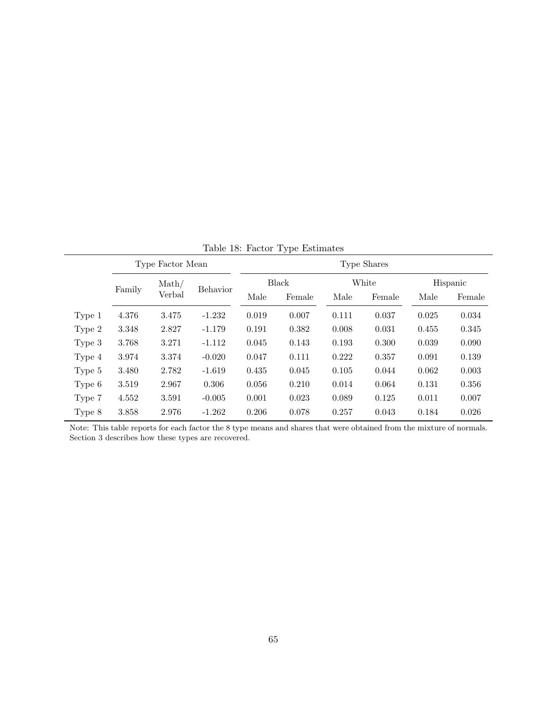| $\frac{1}{2}$ |                            |       |          |             |       |        |       |          |       |  |  |
|---------------|----------------------------|-------|----------|-------------|-------|--------|-------|----------|-------|--|--|
|               | Type Factor Mean           |       |          | Type Shares |       |        |       |          |       |  |  |
|               | $\mathrm{Math}/$<br>Family |       | Behavior | Black       |       | White  |       | Hispanic |       |  |  |
|               | Verbal                     | Male  |          | Female      | Male  | Female | Male  | Female   |       |  |  |
| Type 1        | 4.376                      | 3.475 | $-1.232$ | 0.019       | 0.007 | 0.111  | 0.037 | 0.025    | 0.034 |  |  |
| Type 2        | 3.348                      | 2.827 | $-1.179$ | 0.191       | 0.382 | 0.008  | 0.031 | 0.455    | 0.345 |  |  |
| Type 3        | 3.768                      | 3.271 | $-1.112$ | 0.045       | 0.143 | 0.193  | 0.300 | 0.039    | 0.090 |  |  |
| Type 4        | 3.974                      | 3.374 | $-0.020$ | 0.047       | 0.111 | 0.222  | 0.357 | 0.091    | 0.139 |  |  |
| Type 5        | 3.480                      | 2.782 | $-1.619$ | 0.435       | 0.045 | 0.105  | 0.044 | 0.062    | 0.003 |  |  |
| Type 6        | 3.519                      | 2.967 | 0.306    | 0.056       | 0.210 | 0.014  | 0.064 | 0.131    | 0.356 |  |  |
| Type 7        | 4.552                      | 3.591 | $-0.005$ | 0.001       | 0.023 | 0.089  | 0.125 | 0.011    | 0.007 |  |  |
| Type 8        | 3.858                      | 2.976 | $-1.262$ | 0.206       | 0.078 | 0.257  | 0.043 | 0.184    | 0.026 |  |  |

<span id="page-64-0"></span>Table 18: Factor Type Estimates

Note: This table reports for each factor the 8 type means and shares that were obtained from the mixture of normals. Section 3 describes how these types are recovered.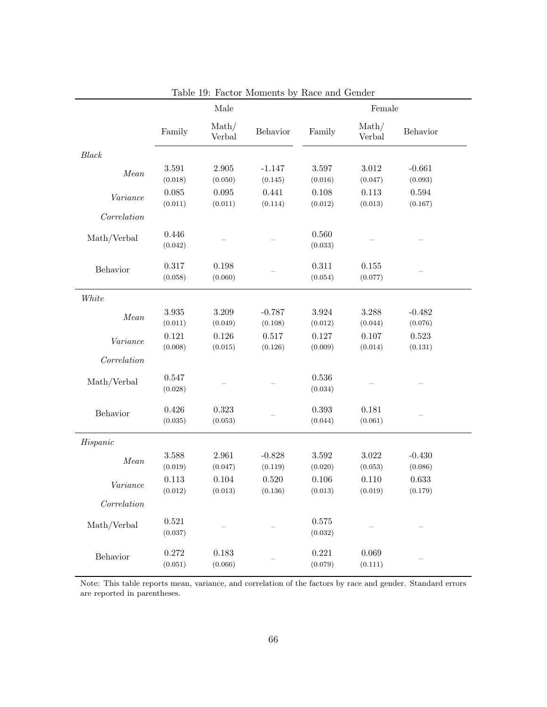|                        | Male                   |                            |                     | Female               |                  |                     |  |
|------------------------|------------------------|----------------------------|---------------------|----------------------|------------------|---------------------|--|
|                        | Family                 | $\mathrm{Math}/$<br>Verbal | Behavior            | Family               | Math/<br>Verbal  | Behavior            |  |
| Black                  |                        |                            |                     |                      |                  |                     |  |
| Mean                   | 3.591<br>(0.018)       | 2.905<br>(0.050)           | $-1.147$<br>(0.145) | 3.597<br>(0.016)     | 3.012<br>(0.047) | $-0.661$<br>(0.093) |  |
| Variance               | $\,0.085\,$<br>(0.011) | 0.095<br>(0.011)           | 0.441<br>(0.114)    | 0.108<br>(0.012)     | 0.113<br>(0.013) | 0.594<br>(0.167)    |  |
| Correlation            |                        |                            |                     |                      |                  |                     |  |
| Math/Verbal            | 0.446<br>(0.042)       |                            |                     | 0.560<br>(0.033)     |                  |                     |  |
| Behavior               | 0.317<br>(0.058)       | 0.198<br>(0.060)           |                     | 0.311<br>(0.054)     | 0.155<br>(0.077) |                     |  |
| White                  |                        |                            |                     |                      |                  |                     |  |
| $\label{eq:mean} Mean$ | $3.935\,$<br>(0.011)   | 3.209<br>(0.049)           | $-0.787$<br>(0.108) | 3.924<br>(0.012)     | 3.288<br>(0.044) | $-0.482$<br>(0.076) |  |
| Variance               | 0.121<br>(0.008)       | 0.126<br>(0.015)           | 0.517<br>(0.126)    | 0.127<br>(0.009)     | 0.107<br>(0.014) | 0.523<br>(0.131)    |  |
| Correlation            |                        |                            |                     |                      |                  |                     |  |
| Math/Verbal            | 0.547<br>(0.028)       |                            |                     | 0.536<br>(0.034)     |                  |                     |  |
| Behavior               | 0.426<br>(0.035)       | 0.323<br>(0.053)           |                     | 0.393<br>(0.044)     | 0.181<br>(0.061) |                     |  |
| His panic              |                        |                            |                     |                      |                  |                     |  |
| Mean                   | 3.588<br>(0.019)       | 2.961<br>(0.047)           | $-0.828$<br>(0.119) | $3.592\,$<br>(0.020) | 3.022<br>(0.053) | $-0.430$<br>(0.086) |  |
| Variance               | 0.113<br>(0.012)       | 0.104<br>(0.013)           | 0.520<br>(0.136)    | 0.106<br>(0.013)     | 0.110<br>(0.019) | 0.633<br>(0.179)    |  |
| Correlation            |                        |                            |                     |                      |                  |                     |  |
| Math/Verbal            | 0.521<br>(0.037)       |                            |                     | 0.575<br>(0.032)     |                  |                     |  |
| Behavior               | 0.272<br>(0.051)       | 0.183<br>(0.066)           |                     | 0.221<br>(0.079)     | 0.069<br>(0.111) |                     |  |

<span id="page-65-0"></span>Table 19: Factor Moments by Race and Gender

Note: This table reports mean, variance, and correlation of the factors by race and gender. Standard errors are reported in parentheses.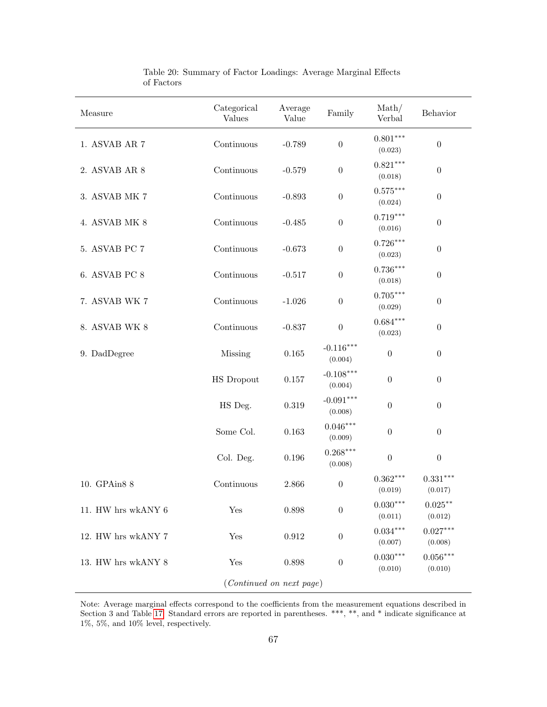<span id="page-66-0"></span>

| Measure                  | Categorical<br><b>Values</b> | Average<br>Value | Family                 | $\mathrm{Math}/$<br>Verbal | Behavior                      |  |  |
|--------------------------|------------------------------|------------------|------------------------|----------------------------|-------------------------------|--|--|
| 1. ASVAB AR 7            | Continuous                   | $-0.789$         | $\boldsymbol{0}$       | $0.801***$<br>(0.023)      | $\boldsymbol{0}$              |  |  |
| 2. ASVAB AR 8            | Continuous                   | $-0.579$         | $\boldsymbol{0}$       | $0.821***$<br>(0.018)      | $\boldsymbol{0}$              |  |  |
| 3. ASVAB MK 7            | Continuous                   | $-0.893$         | $\boldsymbol{0}$       | $0.575***$<br>(0.024)      | $\boldsymbol{0}$              |  |  |
| 4. ASVAB MK 8            | Continuous                   | $-0.485$         | $\boldsymbol{0}$       | $0.719***$<br>(0.016)      | $\boldsymbol{0}$              |  |  |
| 5. ASVAB PC 7            | Continuous                   | $-0.673$         | $\boldsymbol{0}$       | $0.726***$<br>(0.023)      | $\boldsymbol{0}$              |  |  |
| 6. ASVAB PC 8            | Continuous                   | $-0.517$         | $\boldsymbol{0}$       | $0.736***$<br>(0.018)      | $\boldsymbol{0}$              |  |  |
| 7. ASVAB WK 7            | Continuous                   | $-1.026$         | $\boldsymbol{0}$       | $0.705***$<br>(0.029)      | $\boldsymbol{0}$              |  |  |
| 8. ASVAB WK 8            | Continuous                   | $-0.837$         | $\boldsymbol{0}$       | $0.684***$<br>(0.023)      | $\boldsymbol{0}$              |  |  |
| 9. DadDegree             | Missing                      | 0.165            | $-0.116***$<br>(0.004) | $\boldsymbol{0}$           | $\boldsymbol{0}$              |  |  |
|                          | <b>HS</b> Dropout            | $0.157\,$        | $-0.108***$<br>(0.004) | $\boldsymbol{0}$           | $\boldsymbol{0}$              |  |  |
|                          | HS Deg.                      | 0.319            | $-0.091***$<br>(0.008) | $\boldsymbol{0}$           | $\boldsymbol{0}$              |  |  |
|                          | Some Col.                    | 0.163            | $0.046***$<br>(0.009)  | $\boldsymbol{0}$           | $\boldsymbol{0}$              |  |  |
|                          | Col. Deg.                    | 0.196            | $0.268***$<br>(0.008)  | $\boldsymbol{0}$           | $\boldsymbol{0}$              |  |  |
| 10. GPAin8 8             | Continuous                   | 2.866            | $\boldsymbol{0}$       | $0.362***$<br>(0.019)      | $0.331***$<br>(0.017)         |  |  |
| 11. HW hrs wkANY 6       | Yes                          | 0.898            | $\boldsymbol{0}$       | $0.030***$<br>(0.011)      | $0.025^{\ast\ast}$<br>(0.012) |  |  |
| 12. HW hrs wkANY 7       | Yes                          | 0.912            | $\boldsymbol{0}$       | $0.034***$<br>(0.007)      | $0.027***$<br>(0.008)         |  |  |
| 13. HW hrs wkANY 8       | Yes                          | 0.898            | $\boldsymbol{0}$       | $0.030***$<br>(0.010)      | $0.056***$<br>(0.010)         |  |  |
| (Continued on next page) |                              |                  |                        |                            |                               |  |  |

Table 20: Summary of Factor Loadings: Average Marginal Effects of Factors

Note: Average marginal effects correspond to the coefficients from the measurement equations described in Section 3 and Table [17.](#page-57-0) Standard errors are reported in parentheses. \*\*\*, \*\*, and \* indicate significance at 1%, 5%, and 10% level, respectively.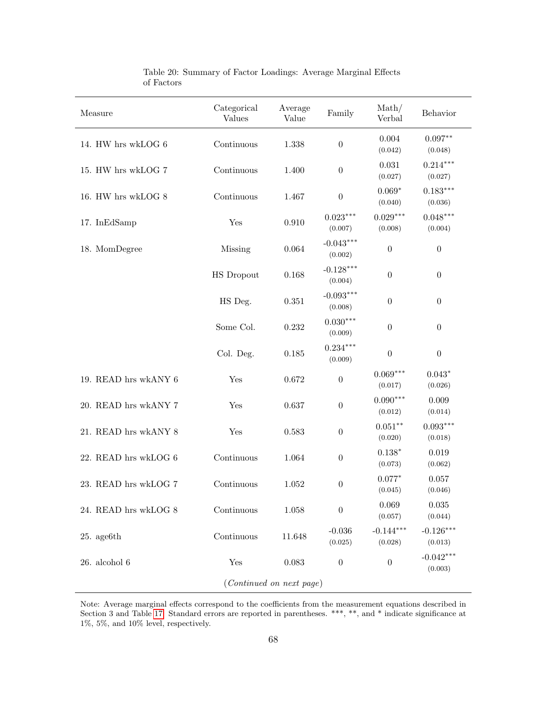| Measure                  | Categorical<br><b>Values</b> | Average<br>Value | Family                 | $\mathrm{Math}/$<br>Verbal | Behavior               |  |  |
|--------------------------|------------------------------|------------------|------------------------|----------------------------|------------------------|--|--|
| 14. HW hrs wkLOG 6       | Continuous                   | 1.338            | $\boldsymbol{0}$       | 0.004<br>(0.042)           | $0.097**$<br>(0.048)   |  |  |
| 15. HW hrs wkLOG 7       | Continuous                   | 1.400            | $\boldsymbol{0}$       | 0.031<br>(0.027)           | $0.214***$<br>(0.027)  |  |  |
| 16. HW hrs wkLOG 8       | Continuous                   | 1.467            | $\boldsymbol{0}$       | $0.069*$<br>(0.040)        | $0.183***$<br>(0.036)  |  |  |
| 17. InEdSamp             | Yes                          | 0.910            | $0.023***$<br>(0.007)  | $0.029***$<br>(0.008)      | $0.048***$<br>(0.004)  |  |  |
| 18. MomDegree            | Missing                      | 0.064            | $-0.043***$<br>(0.002) | $\boldsymbol{0}$           | $\boldsymbol{0}$       |  |  |
|                          | <b>HS</b> Dropout            | 0.168            | $-0.128***$<br>(0.004) | $\boldsymbol{0}$           | $\boldsymbol{0}$       |  |  |
|                          | HS Deg.                      | 0.351            | $-0.093***$<br>(0.008) | $\boldsymbol{0}$           | $\boldsymbol{0}$       |  |  |
|                          | Some Col.                    | 0.232            | $0.030***$<br>(0.009)  | $\boldsymbol{0}$           | $\boldsymbol{0}$       |  |  |
|                          | Col. Deg.                    | 0.185            | $0.234***$<br>(0.009)  | $\boldsymbol{0}$           | $\boldsymbol{0}$       |  |  |
| 19. READ hrs wkANY 6     | Yes                          | 0.672            | $\boldsymbol{0}$       | $0.069***$<br>(0.017)      | $0.043*$<br>(0.026)    |  |  |
| 20. READ hrs wkANY 7     | Yes                          | 0.637            | $\boldsymbol{0}$       | $0.090***$<br>(0.012)      | 0.009<br>(0.014)       |  |  |
| 21. READ hrs wkANY 8     | Yes                          | 0.583            | $\boldsymbol{0}$       | $0.051***$<br>(0.020)      | $0.093***$<br>(0.018)  |  |  |
| 22. READ hrs wkLOG 6     | Continuous                   | 1.064            | $\boldsymbol{0}$       | $0.138*$<br>(0.073)        | 0.019<br>(0.062)       |  |  |
| 23. READ hrs wkLOG 7     | Continuous                   | 1.052            | $\boldsymbol{0}$       | $0.077*$<br>(0.045)        | 0.057<br>(0.046)       |  |  |
| 24. READ hrs wkLOG 8     | Continuous                   | 1.058            | $\boldsymbol{0}$       | 0.069<br>(0.057)           | 0.035<br>(0.044)       |  |  |
| $25.$ age $6th$          | Continuous                   | 11.648           | $-0.036$<br>(0.025)    | $-0.144***$<br>(0.028)     | $-0.126***$<br>(0.013) |  |  |
| $26.$ alcohol $6$        | Yes                          | 0.083            | $\boldsymbol{0}$       | $\boldsymbol{0}$           | $-0.042***$<br>(0.003) |  |  |
| (Continued on next page) |                              |                  |                        |                            |                        |  |  |

Table 20: Summary of Factor Loadings: Average Marginal Effects of Factors

Note: Average marginal effects correspond to the coefficients from the measurement equations described in Section 3 and Table [17.](#page-57-0) Standard errors are reported in parentheses. \*\*\*, \*\*, and \* indicate significance at 1%, 5%, and 10% level, respectively.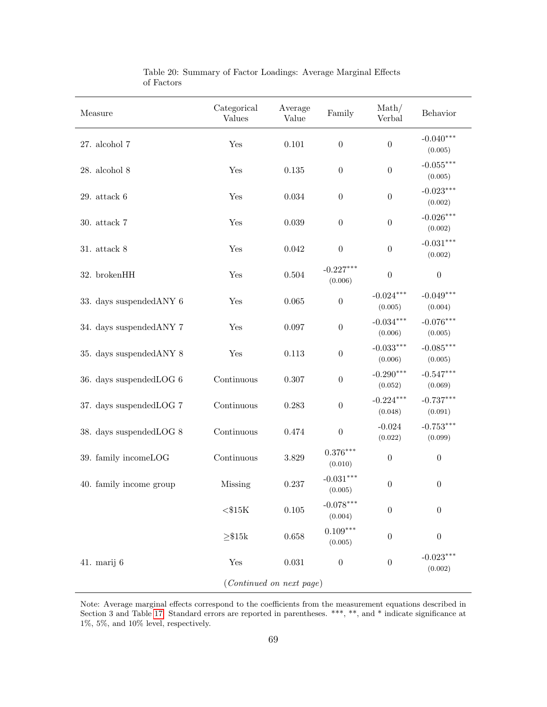| Measure                  | Categorical<br><b>Values</b> | Average<br>Value | Family                 | $\mathrm{Math}/$<br>Verbal | Behavior               |  |  |
|--------------------------|------------------------------|------------------|------------------------|----------------------------|------------------------|--|--|
| $27.$ alcohol $7$        | Yes                          | 0.101            | $\boldsymbol{0}$       | $\boldsymbol{0}$           | $-0.040***$<br>(0.005) |  |  |
| $28.$ alcohol $8\,$      | Yes                          | $0.135\,$        | $\boldsymbol{0}$       | $\boldsymbol{0}$           | $-0.055***$<br>(0.005) |  |  |
| $29.$ attack $6\,$       | Yes                          | 0.034            | $\boldsymbol{0}$       | $\boldsymbol{0}$           | $-0.023***$<br>(0.002) |  |  |
| $30.$ attack $7\,$       | Yes                          | $\,0.039\,$      | $\boldsymbol{0}$       | $\boldsymbol{0}$           | $-0.026***$<br>(0.002) |  |  |
| 31. attack 8             | Yes                          | 0.042            | $\boldsymbol{0}$       | $\boldsymbol{0}$           | $-0.031***$<br>(0.002) |  |  |
| 32. brokenHH             | Yes                          | $0.504\,$        | $-0.227***$<br>(0.006) | $\boldsymbol{0}$           | $\boldsymbol{0}$       |  |  |
| 33. days suspended ANY 6 | Yes                          | 0.065            | $\boldsymbol{0}$       | $-0.024***$<br>(0.005)     | $-0.049***$<br>(0.004) |  |  |
| 34. days suspended ANY 7 | Yes                          | 0.097            | $\boldsymbol{0}$       | $-0.034***$<br>(0.006)     | $-0.076***$<br>(0.005) |  |  |
| 35. days suspended ANY 8 | Yes                          | 0.113            | $\boldsymbol{0}$       | $-0.033***$<br>(0.006)     | $-0.085***$<br>(0.005) |  |  |
| 36. days suspendedLOG 6  | Continuous                   | 0.307            | $\boldsymbol{0}$       | $-0.290***$<br>(0.052)     | $-0.547***$<br>(0.069) |  |  |
| 37. days suspended LOG 7 | Continuous                   | 0.283            | $\boldsymbol{0}$       | $-0.224***$<br>(0.048)     | $-0.737***$<br>(0.091) |  |  |
| 38. days suspendedLOG 8  | Continuous                   | 0.474            | $\boldsymbol{0}$       | $-0.024$<br>(0.022)        | $-0.753***$<br>(0.099) |  |  |
| 39. family incomeLOG     | Continuous                   | 3.829            | $0.376***$<br>(0.010)  | $\boldsymbol{0}$           | $\boldsymbol{0}$       |  |  |
| 40. family income group  | Missing                      | $0.237\,$        | $-0.031***$<br>(0.005) | $\boldsymbol{0}$           | $\boldsymbol{0}$       |  |  |
|                          | ${<}\$15K$                   | $0.105\,$        | $-0.078***$<br>(0.004) | $\boldsymbol{0}$           | $\boldsymbol{0}$       |  |  |
|                          | ${\geq}$ $\$15k$             | 0.658            | $0.109***$<br>(0.005)  | $\boldsymbol{0}$           | $\boldsymbol{0}$       |  |  |
| 41. marij 6              | Yes                          | 0.031            | $\boldsymbol{0}$       | $\boldsymbol{0}$           | $-0.023***$<br>(0.002) |  |  |
| (Continued on next page) |                              |                  |                        |                            |                        |  |  |

Table 20: Summary of Factor Loadings: Average Marginal Effects of Factors

Note: Average marginal effects correspond to the coefficients from the measurement equations described in Section 3 and Table [17.](#page-57-0) Standard errors are reported in parentheses. \*\*\*, \*\*, and \* indicate significance at 1%, 5%, and 10% level, respectively.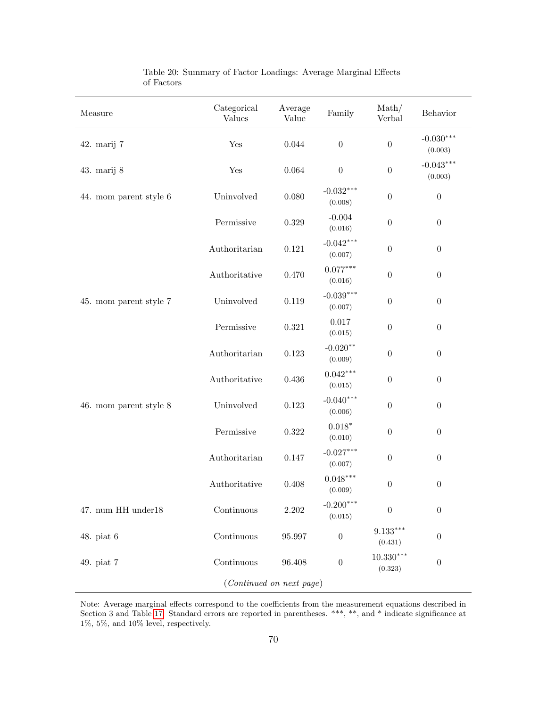| Measure                  | Categorical<br>Values | Average<br>Value | Family                 | $\mathrm{Math}/$<br>Verbal | Behavior               |  |  |
|--------------------------|-----------------------|------------------|------------------------|----------------------------|------------------------|--|--|
| 42. marij 7              | Yes                   | $0.044\,$        | $\boldsymbol{0}$       | $\boldsymbol{0}$           | $-0.030***$<br>(0.003) |  |  |
| 43. marij 8              | Yes                   | 0.064            | $\boldsymbol{0}$       | $\boldsymbol{0}$           | $-0.043***$<br>(0.003) |  |  |
| 44. mom parent style 6   | Uninvolved            | 0.080            | $-0.032***$<br>(0.008) | $\boldsymbol{0}$           | $\boldsymbol{0}$       |  |  |
|                          | Permissive            | $0.329\,$        | $-0.004$<br>(0.016)    | $\boldsymbol{0}$           | $\boldsymbol{0}$       |  |  |
|                          | Authoritarian         | 0.121            | $-0.042***$<br>(0.007) | $\boldsymbol{0}$           | $\boldsymbol{0}$       |  |  |
|                          | Authoritative         | 0.470            | $0.077***$<br>(0.016)  | $\boldsymbol{0}$           | $\boldsymbol{0}$       |  |  |
| 45. mom parent style 7   | Uninvolved            | 0.119            | $-0.039***$<br>(0.007) | $\boldsymbol{0}$           | $\boldsymbol{0}$       |  |  |
|                          | Permissive            | $0.321\,$        | 0.017<br>(0.015)       | $\boldsymbol{0}$           | $\boldsymbol{0}$       |  |  |
|                          | Authoritarian         | 0.123            | $-0.020**$<br>(0.009)  | $\boldsymbol{0}$           | $\boldsymbol{0}$       |  |  |
|                          | Authoritative         | $0.436\,$        | $0.042***$<br>(0.015)  | $\boldsymbol{0}$           | $\boldsymbol{0}$       |  |  |
| 46. mom parent style 8   | Uninvolved            | $0.123\,$        | $-0.040***$<br>(0.006) | $\boldsymbol{0}$           | $\boldsymbol{0}$       |  |  |
|                          | Permissive            | $0.322\,$        | $0.018*$<br>(0.010)    | $\boldsymbol{0}$           | $\boldsymbol{0}$       |  |  |
|                          | Authoritarian         | 0.147            | $-0.027***$<br>(0.007) | $\boldsymbol{0}$           | $\boldsymbol{0}$       |  |  |
|                          | Authoritative         | 0.408            | $0.048***$<br>(0.009)  | $\boldsymbol{0}$           | $\boldsymbol{0}$       |  |  |
| $47.$ num HH under $18$  | Continuous            | 2.202            | $-0.200***$<br>(0.015) | $\boldsymbol{0}$           | $\boldsymbol{0}$       |  |  |
| $48.$ piat $6$           | Continuous            | 95.997           | $\boldsymbol{0}$       | $9.133***$<br>(0.431)      | $\boldsymbol{0}$       |  |  |
| 49. piat 7               | Continuous            | 96.408           | $\boldsymbol{0}$       | $10.330***$<br>(0.323)     | $\boldsymbol{0}$       |  |  |
| (Continued on next page) |                       |                  |                        |                            |                        |  |  |

Table 20: Summary of Factor Loadings: Average Marginal Effects of Factors

Note: Average marginal effects correspond to the coefficients from the measurement equations described in Section 3 and Table [17.](#page-57-0) Standard errors are reported in parentheses. \*\*\*, \*\*, and \* indicate significance at 1%, 5%, and 10% level, respectively.